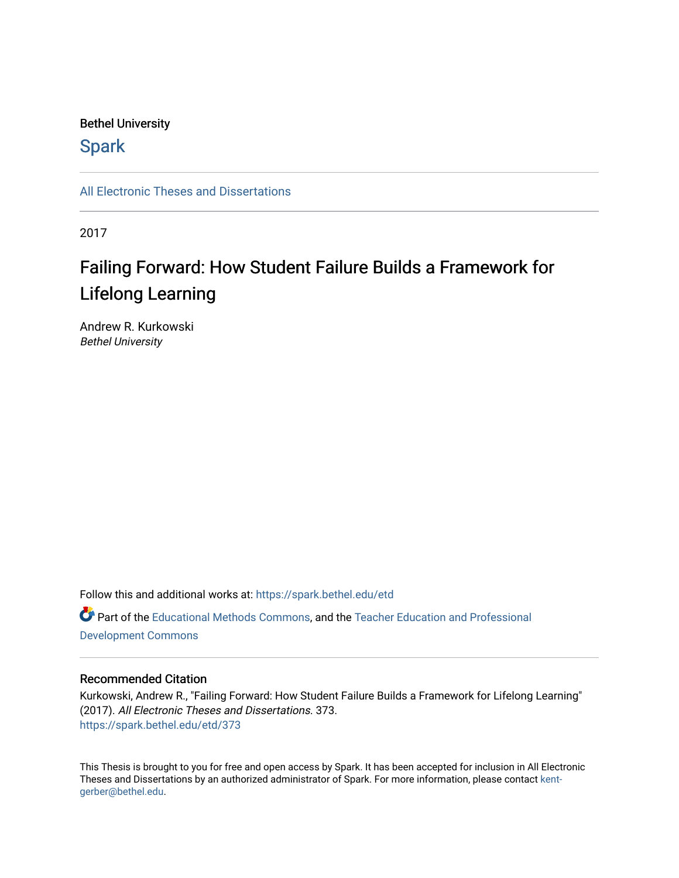## Bethel University

# **Spark**

[All Electronic Theses and Dissertations](https://spark.bethel.edu/etd) 

2017

# Failing Forward: How Student Failure Builds a Framework for Lifelong Learning

Andrew R. Kurkowski Bethel University

Follow this and additional works at: [https://spark.bethel.edu/etd](https://spark.bethel.edu/etd?utm_source=spark.bethel.edu%2Fetd%2F373&utm_medium=PDF&utm_campaign=PDFCoverPages) Part of the [Educational Methods Commons,](http://network.bepress.com/hgg/discipline/1227?utm_source=spark.bethel.edu%2Fetd%2F373&utm_medium=PDF&utm_campaign=PDFCoverPages) and the [Teacher Education and Professional](http://network.bepress.com/hgg/discipline/803?utm_source=spark.bethel.edu%2Fetd%2F373&utm_medium=PDF&utm_campaign=PDFCoverPages)  [Development Commons](http://network.bepress.com/hgg/discipline/803?utm_source=spark.bethel.edu%2Fetd%2F373&utm_medium=PDF&utm_campaign=PDFCoverPages) 

## Recommended Citation

Kurkowski, Andrew R., "Failing Forward: How Student Failure Builds a Framework for Lifelong Learning" (2017). All Electronic Theses and Dissertations. 373. [https://spark.bethel.edu/etd/373](https://spark.bethel.edu/etd/373?utm_source=spark.bethel.edu%2Fetd%2F373&utm_medium=PDF&utm_campaign=PDFCoverPages)

This Thesis is brought to you for free and open access by Spark. It has been accepted for inclusion in All Electronic Theses and Dissertations by an authorized administrator of Spark. For more information, please contact [kent](mailto:kent-gerber@bethel.edu)[gerber@bethel.edu.](mailto:kent-gerber@bethel.edu)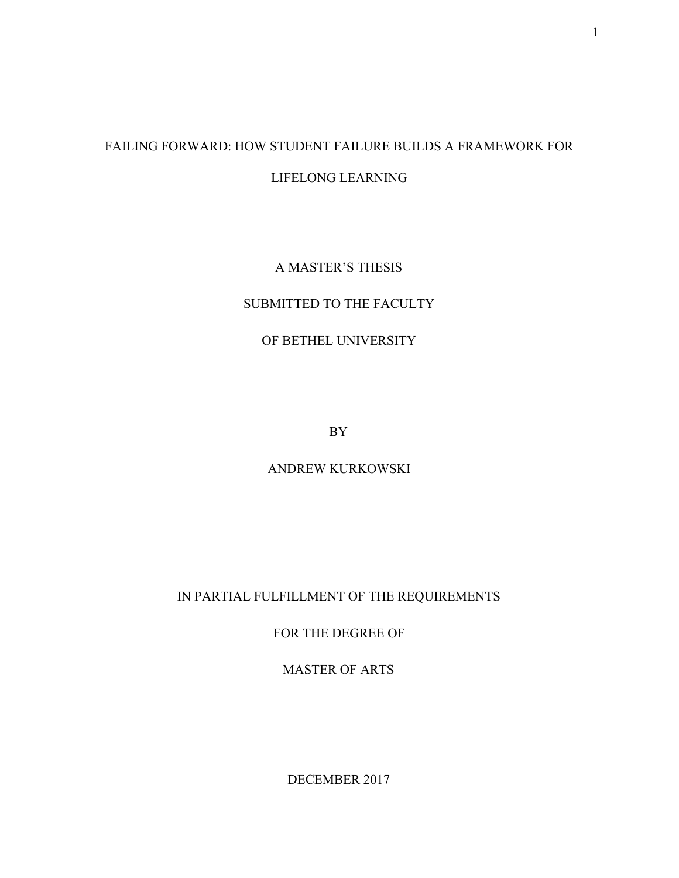# FAILING FORWARD: HOW STUDENT FAILURE BUILDS A FRAMEWORK FOR LIFELONG LEARNING

## A MASTER'S THESIS

## SUBMITTED TO THE FACULTY

## OF BETHEL UNIVERSITY

BY

ANDREW KURKOWSKI

IN PARTIAL FULFILLMENT OF THE REQUIREMENTS

FOR THE DEGREE OF

MASTER OF ARTS

DECEMBER 2017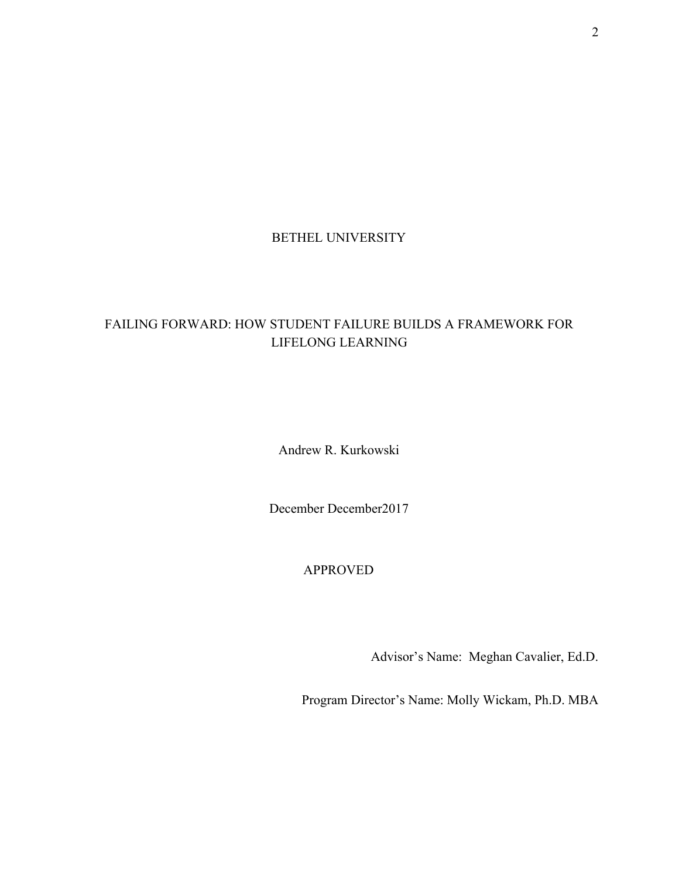## BETHEL UNIVERSITY

# FAILING FORWARD: HOW STUDENT FAILURE BUILDS A FRAMEWORK FOR LIFELONG LEARNING

Andrew R. Kurkowski

December December2017

# APPROVED

Advisor's Name: Meghan Cavalier, Ed.D.

Program Director's Name: Molly Wickam, Ph.D. MBA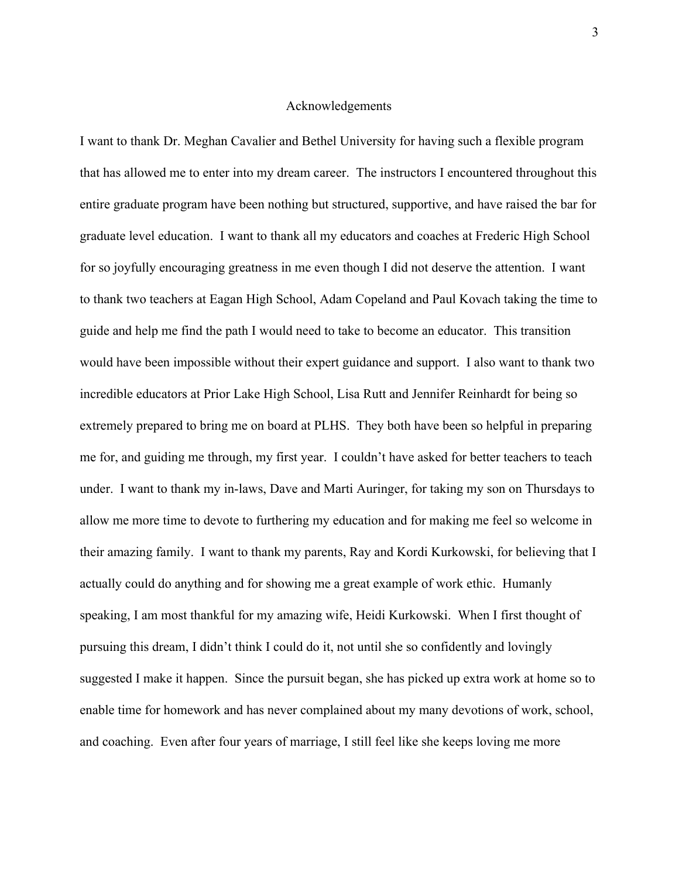## Acknowledgements

I want to thank Dr. Meghan Cavalier and Bethel University for having such a flexible program that has allowed me to enter into my dream career. The instructors I encountered throughout this entire graduate program have been nothing but structured, supportive, and have raised the bar for graduate level education. I want to thank all my educators and coaches at Frederic High School for so joyfully encouraging greatness in me even though I did not deserve the attention. I want to thank two teachers at Eagan High School, Adam Copeland and Paul Kovach taking the time to guide and help me find the path I would need to take to become an educator. This transition would have been impossible without their expert guidance and support. I also want to thank two incredible educators at Prior Lake High School, Lisa Rutt and Jennifer Reinhardt for being so extremely prepared to bring me on board at PLHS. They both have been so helpful in preparing me for, and guiding me through, my first year. I couldn't have asked for better teachers to teach under. I want to thank my in-laws, Dave and Marti Auringer, for taking my son on Thursdays to allow me more time to devote to furthering my education and for making me feel so welcome in their amazing family. I want to thank my parents, Ray and Kordi Kurkowski, for believing that I actually could do anything and for showing me a great example of work ethic. Humanly speaking, I am most thankful for my amazing wife, Heidi Kurkowski. When I first thought of pursuing this dream, I didn't think I could do it, not until she so confidently and lovingly suggested I make it happen. Since the pursuit began, she has picked up extra work at home so to enable time for homework and has never complained about my many devotions of work, school, and coaching. Even after four years of marriage, I still feel like she keeps loving me more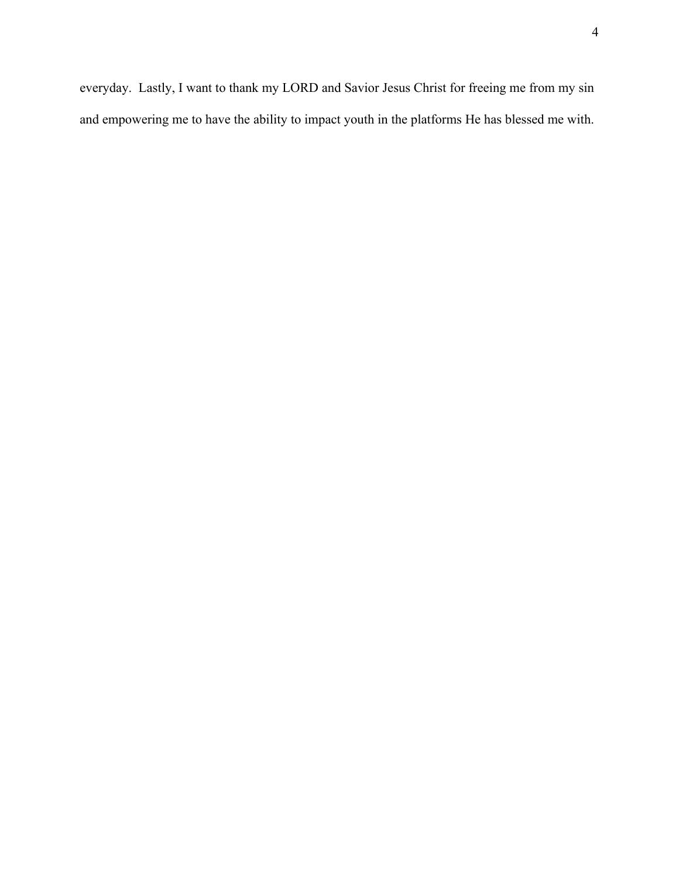everyday. Lastly, I want to thank my LORD and Savior Jesus Christ for freeing me from my sin and empowering me to have the ability to impact youth in the platforms He has blessed me with.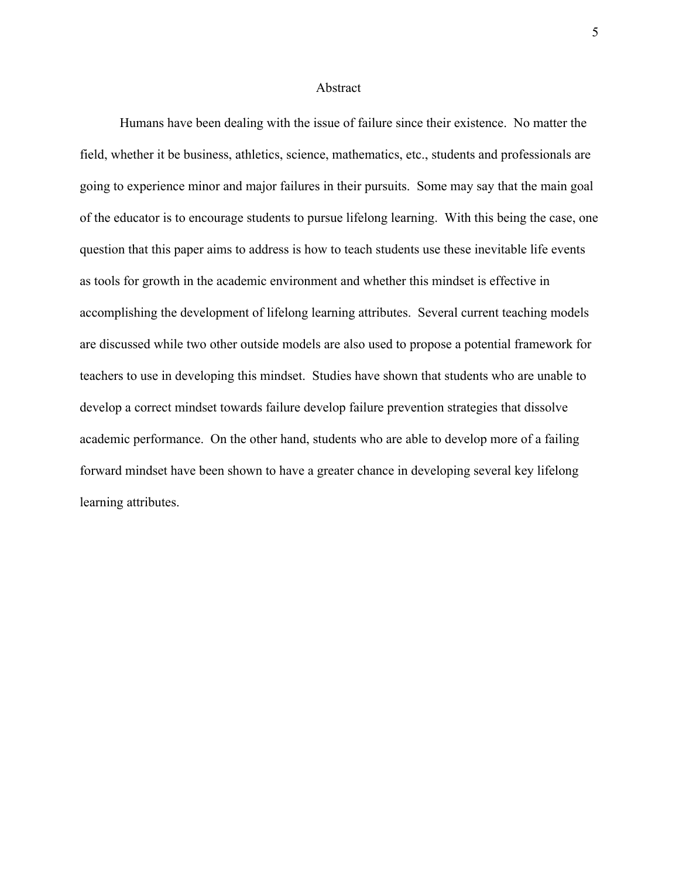#### Abstract

Humans have been dealing with the issue of failure since their existence. No matter the field, whether it be business, athletics, science, mathematics, etc., students and professionals are going to experience minor and major failures in their pursuits. Some may say that the main goal of the educator is to encourage students to pursue lifelong learning. With this being the case, one question that this paper aims to address is how to teach students use these inevitable life events as tools for growth in the academic environment and whether this mindset is effective in accomplishing the development of lifelong learning attributes. Several current teaching models are discussed while two other outside models are also used to propose a potential framework for teachers to use in developing this mindset. Studies have shown that students who are unable to develop a correct mindset towards failure develop failure prevention strategies that dissolve academic performance. On the other hand, students who are able to develop more of a failing forward mindset have been shown to have a greater chance in developing several key lifelong learning attributes.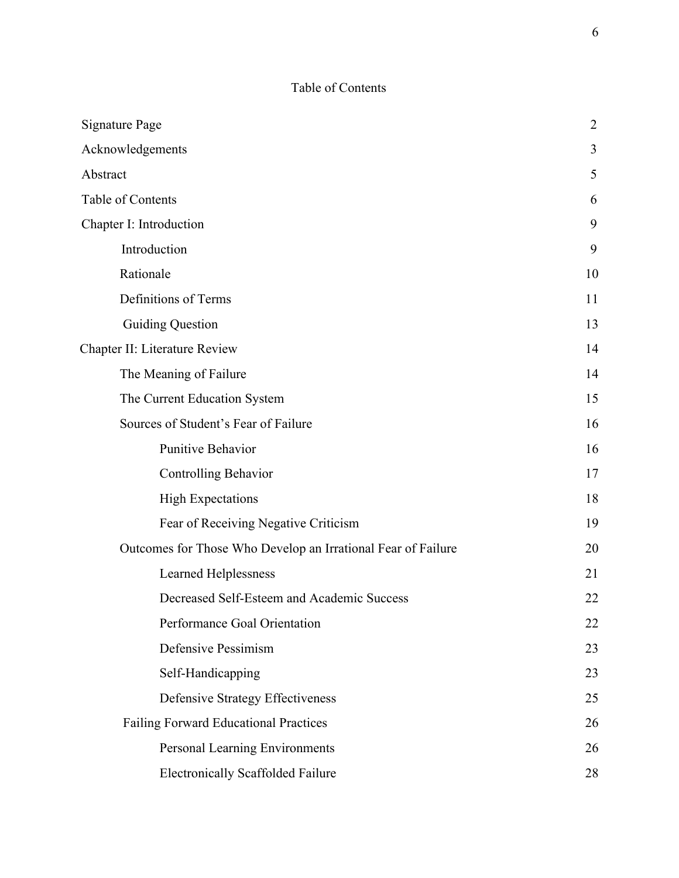# Table of Contents

| <b>Signature Page</b>                                        | $\overline{2}$ |
|--------------------------------------------------------------|----------------|
| Acknowledgements                                             | 3              |
| Abstract                                                     | 5              |
| Table of Contents                                            | 6              |
| Chapter I: Introduction                                      | 9              |
| Introduction                                                 | 9              |
| Rationale                                                    | 10             |
| Definitions of Terms                                         | 11             |
| <b>Guiding Question</b>                                      | 13             |
| Chapter II: Literature Review                                | 14             |
| The Meaning of Failure                                       | 14             |
| The Current Education System                                 | 15             |
| Sources of Student's Fear of Failure                         | 16             |
| Punitive Behavior                                            | 16             |
| <b>Controlling Behavior</b>                                  | 17             |
| <b>High Expectations</b>                                     | 18             |
| Fear of Receiving Negative Criticism                         | 19             |
| Outcomes for Those Who Develop an Irrational Fear of Failure | 20             |
| <b>Learned Helplessness</b>                                  | 21             |
| Decreased Self-Esteem and Academic Success                   | 22             |
| Performance Goal Orientation                                 | 22             |
| Defensive Pessimism                                          | 23             |
| Self-Handicapping                                            | 23             |
| Defensive Strategy Effectiveness                             | 25             |
| Failing Forward Educational Practices                        | 26             |
| Personal Learning Environments                               | 26             |
| <b>Electronically Scaffolded Failure</b>                     | 28             |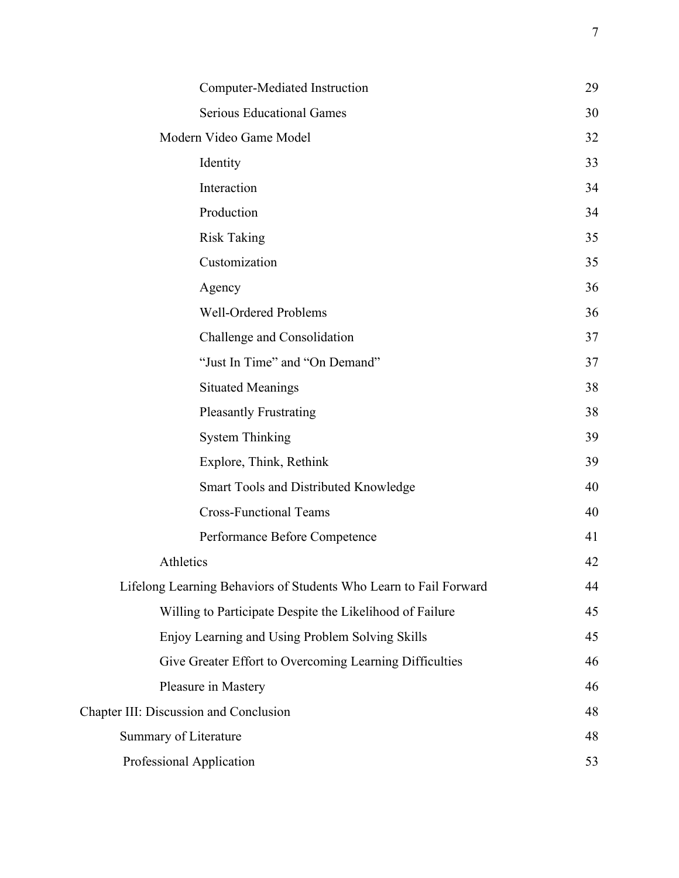|                                                                   | Computer-Mediated Instruction                            | 29 |
|-------------------------------------------------------------------|----------------------------------------------------------|----|
|                                                                   | <b>Serious Educational Games</b>                         | 30 |
| Modern Video Game Model                                           |                                                          | 32 |
| Identity                                                          |                                                          | 33 |
| Interaction                                                       |                                                          | 34 |
| Production                                                        |                                                          | 34 |
| <b>Risk Taking</b>                                                |                                                          | 35 |
| Customization                                                     |                                                          | 35 |
| Agency                                                            |                                                          | 36 |
|                                                                   | <b>Well-Ordered Problems</b>                             | 36 |
|                                                                   | Challenge and Consolidation                              | 37 |
|                                                                   | "Just In Time" and "On Demand"                           | 37 |
| <b>Situated Meanings</b>                                          |                                                          | 38 |
|                                                                   | <b>Pleasantly Frustrating</b>                            | 38 |
| <b>System Thinking</b>                                            |                                                          | 39 |
|                                                                   | Explore, Think, Rethink                                  | 39 |
|                                                                   | Smart Tools and Distributed Knowledge                    | 40 |
|                                                                   | <b>Cross-Functional Teams</b>                            | 40 |
|                                                                   | Performance Before Competence                            | 41 |
| Athletics                                                         |                                                          | 42 |
| Lifelong Learning Behaviors of Students Who Learn to Fail Forward |                                                          | 44 |
|                                                                   | Willing to Participate Despite the Likelihood of Failure | 45 |
|                                                                   | Enjoy Learning and Using Problem Solving Skills          | 45 |
|                                                                   | Give Greater Effort to Overcoming Learning Difficulties  | 46 |
| Pleasure in Mastery                                               |                                                          | 46 |
| Chapter III: Discussion and Conclusion                            |                                                          | 48 |
| Summary of Literature                                             |                                                          | 48 |
| Professional Application                                          |                                                          | 53 |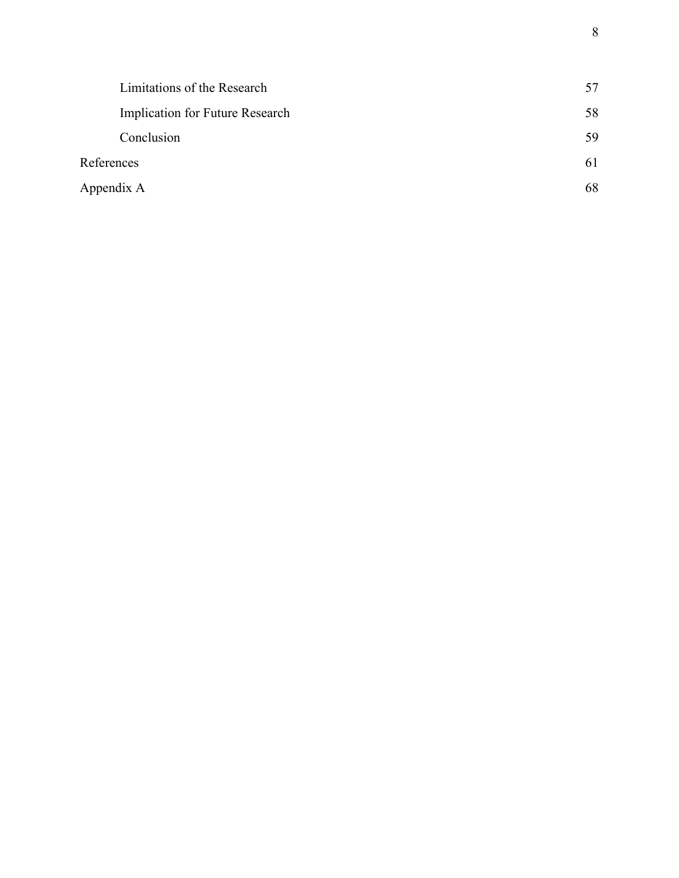|            | Limitations of the Research     | 57 |
|------------|---------------------------------|----|
|            | Implication for Future Research | 58 |
|            | Conclusion                      | 59 |
| References |                                 | 61 |
|            | Appendix A                      | 68 |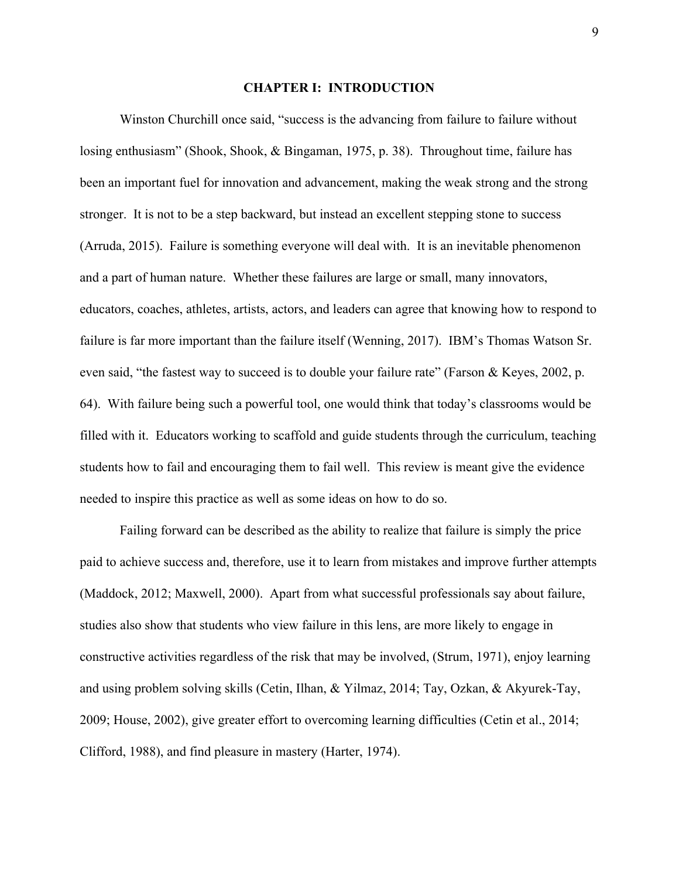#### **CHAPTER I: INTRODUCTION**

Winston Churchill once said, "success is the advancing from failure to failure without losing enthusiasm" (Shook, Shook, & Bingaman, 1975, p. 38). Throughout time, failure has been an important fuel for innovation and advancement, making the weak strong and the strong stronger. It is not to be a step backward, but instead an excellent stepping stone to success (Arruda, 2015). Failure is something everyone will deal with. It is an inevitable phenomenon and a part of human nature. Whether these failures are large or small, many innovators, educators, coaches, athletes, artists, actors, and leaders can agree that knowing how to respond to failure is far more important than the failure itself (Wenning, 2017). IBM's Thomas Watson Sr. even said, "the fastest way to succeed is to double your failure rate" (Farson & Keyes, 2002, p. 64). With failure being such a powerful tool, one would think that today's classrooms would be filled with it. Educators working to scaffold and guide students through the curriculum, teaching students how to fail and encouraging them to fail well. This review is meant give the evidence needed to inspire this practice as well as some ideas on how to do so.

Failing forward can be described as the ability to realize that failure is simply the price paid to achieve success and, therefore, use it to learn from mistakes and improve further attempts (Maddock, 2012; Maxwell, 2000). Apart from what successful professionals say about failure, studies also show that students who view failure in this lens, are more likely to engage in constructive activities regardless of the risk that may be involved, (Strum, 1971), enjoy learning and using problem solving skills (Cetin, Ilhan, & Yilmaz, 2014; Tay, Ozkan, & Akyurek-Tay, 2009; House, 2002), give greater effort to overcoming learning difficulties (Cetin et al., 2014; Clifford, 1988), and find pleasure in mastery (Harter, 1974).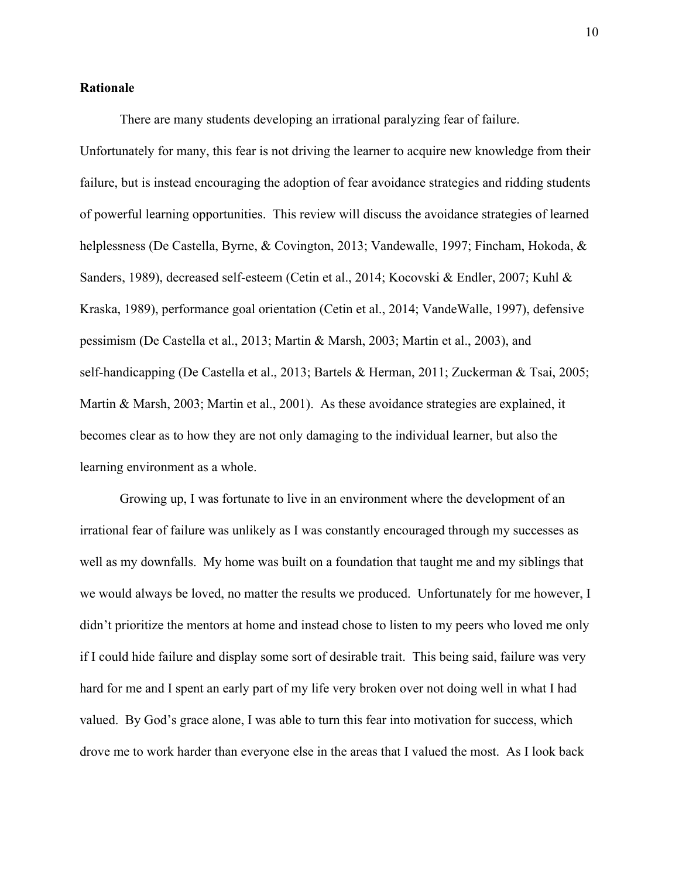## **Rationale**

There are many students developing an irrational paralyzing fear of failure.

Unfortunately for many, this fear is not driving the learner to acquire new knowledge from their failure, but is instead encouraging the adoption of fear avoidance strategies and ridding students of powerful learning opportunities. This review will discuss the avoidance strategies of learned helplessness (De Castella, Byrne, & Covington, 2013; Vandewalle, 1997; Fincham, Hokoda, & Sanders, 1989), decreased self-esteem (Cetin et al., 2014; Kocovski & Endler, 2007; Kuhl & Kraska, 1989), performance goal orientation (Cetin et al., 2014; VandeWalle, 1997), defensive pessimism (De Castella et al., 2013; Martin & Marsh, 2003; Martin et al., 2003), and self-handicapping (De Castella et al., 2013; Bartels & Herman, 2011; Zuckerman & Tsai, 2005; Martin & Marsh, 2003; Martin et al., 2001). As these avoidance strategies are explained, it becomes clear as to how they are not only damaging to the individual learner, but also the learning environment as a whole.

Growing up, I was fortunate to live in an environment where the development of an irrational fear of failure was unlikely as I was constantly encouraged through my successes as well as my downfalls. My home was built on a foundation that taught me and my siblings that we would always be loved, no matter the results we produced. Unfortunately for me however, I didn't prioritize the mentors at home and instead chose to listen to my peers who loved me only if I could hide failure and display some sort of desirable trait. This being said, failure was very hard for me and I spent an early part of my life very broken over not doing well in what I had valued. By God's grace alone, I was able to turn this fear into motivation for success, which drove me to work harder than everyone else in the areas that I valued the most. As I look back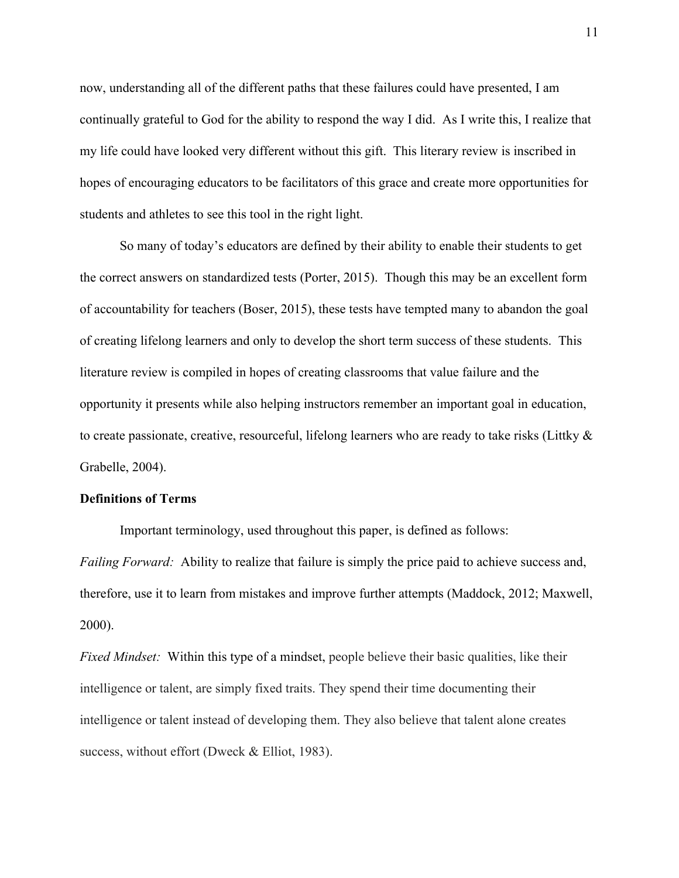now, understanding all of the different paths that these failures could have presented, I am continually grateful to God for the ability to respond the way I did. As I write this, I realize that my life could have looked very different without this gift. This literary review is inscribed in hopes of encouraging educators to be facilitators of this grace and create more opportunities for students and athletes to see this tool in the right light.

So many of today's educators are defined by their ability to enable their students to get the correct answers on standardized tests (Porter, 2015). Though this may be an excellent form of accountability for teachers (Boser, 2015), these tests have tempted many to abandon the goal of creating lifelong learners and only to develop the short term success of these students. This literature review is compiled in hopes of creating classrooms that value failure and the opportunity it presents while also helping instructors remember an important goal in education, to create passionate, creative, resourceful, lifelong learners who are ready to take risks (Littky & Grabelle, 2004).

## **Definitions of Terms**

Important terminology, used throughout this paper, is defined as follows:

*Failing Forward:* Ability to realize that failure is simply the price paid to achieve success and, therefore, use it to learn from mistakes and improve further attempts (Maddock, 2012; Maxwell, 2000).

*Fixed Mindset:* Within this type of a mindset, people believe their basic qualities, like their intelligence or talent, are simply fixed traits. They spend their time documenting their intelligence or talent instead of developing them. They also believe that talent alone creates success, without effort (Dweck & Elliot, 1983).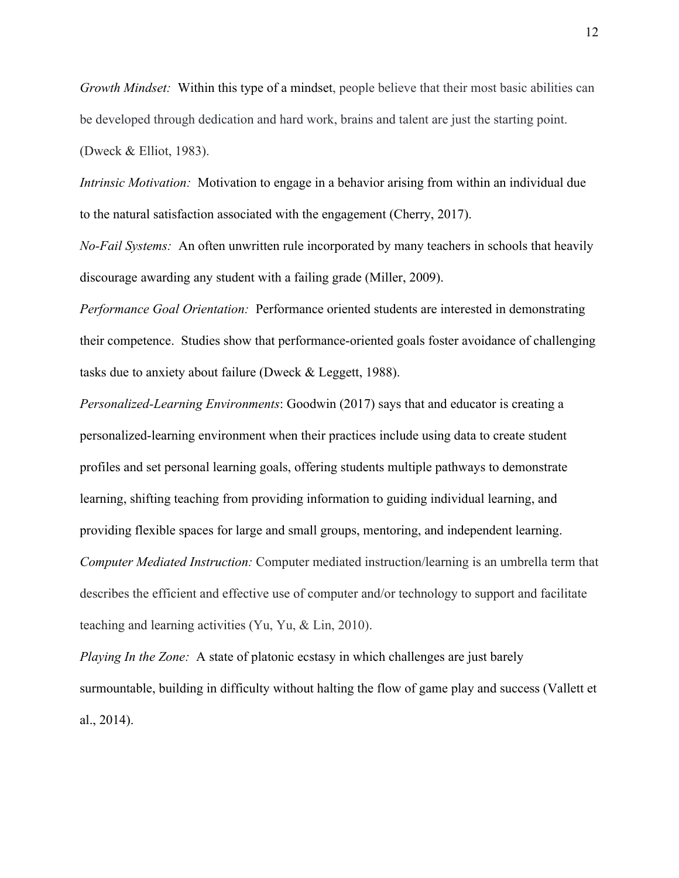*Growth Mindset:* Within this type of a mindset, people believe that their most basic abilities can be developed through dedication and hard work, brains and talent are just the starting point. (Dweck & Elliot, 1983).

*Intrinsic Motivation:* Motivation to engage in a behavior arising from within an individual due to the natural satisfaction associated with the engagement (Cherry, 2017).

*No-Fail Systems:* An often unwritten rule incorporated by many teachers in schools that heavily discourage awarding any student with a failing grade (Miller, 2009).

*Performance Goal Orientation:* Performance oriented students are interested in demonstrating their competence. Studies show that performance-oriented goals foster avoidance of challenging tasks due to anxiety about failure (Dweck & Leggett, 1988).

*Personalized-Learning Environments*: Goodwin (2017) says that and educator is creating a personalized-learning environment when their practices include using data to create student profiles and set personal learning goals, offering students multiple pathways to demonstrate learning, shifting teaching from providing information to guiding individual learning, and providing flexible spaces for large and small groups, mentoring, and independent learning. *Computer Mediated Instruction:* Computer mediated instruction/learning is an umbrella term that describes the efficient and effective use of computer and/or technology to support and facilitate teaching and learning activities (Yu, Yu, & Lin, 2010).

*Playing In the Zone:* A state of platonic ecstasy in which challenges are just barely surmountable, building in difficulty without halting the flow of game play and success (Vallett et al., 2014).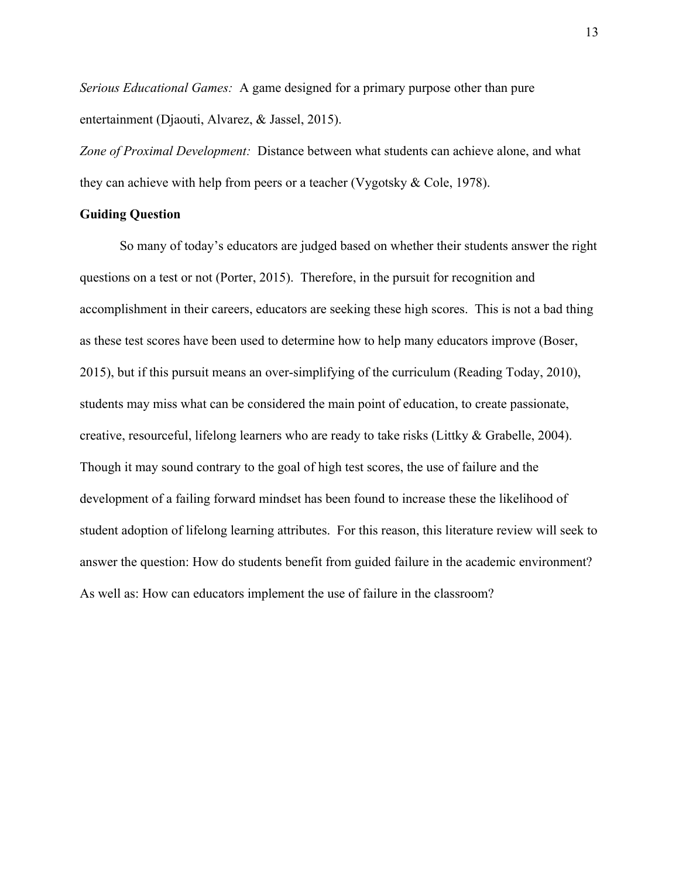*Serious Educational Games:* A game designed for a primary purpose other than pure entertainment (Djaouti, Alvarez, & Jassel, 2015).

*Zone of Proximal Development:* Distance between what students can achieve alone, and what they can achieve with help from peers or a teacher (Vygotsky & Cole, 1978).

## **Guiding Question**

So many of today's educators are judged based on whether their students answer the right questions on a test or not (Porter, 2015). Therefore, in the pursuit for recognition and accomplishment in their careers, educators are seeking these high scores. This is not a bad thing as these test scores have been used to determine how to help many educators improve (Boser, 2015), but if this pursuit means an over-simplifying of the curriculum (Reading Today, 2010), students may miss what can be considered the main point of education, to create passionate, creative, resourceful, lifelong learners who are ready to take risks (Littky & Grabelle, 2004). Though it may sound contrary to the goal of high test scores, the use of failure and the development of a failing forward mindset has been found to increase these the likelihood of student adoption of lifelong learning attributes. For this reason, this literature review will seek to answer the question: How do students benefit from guided failure in the academic environment? As well as: How can educators implement the use of failure in the classroom?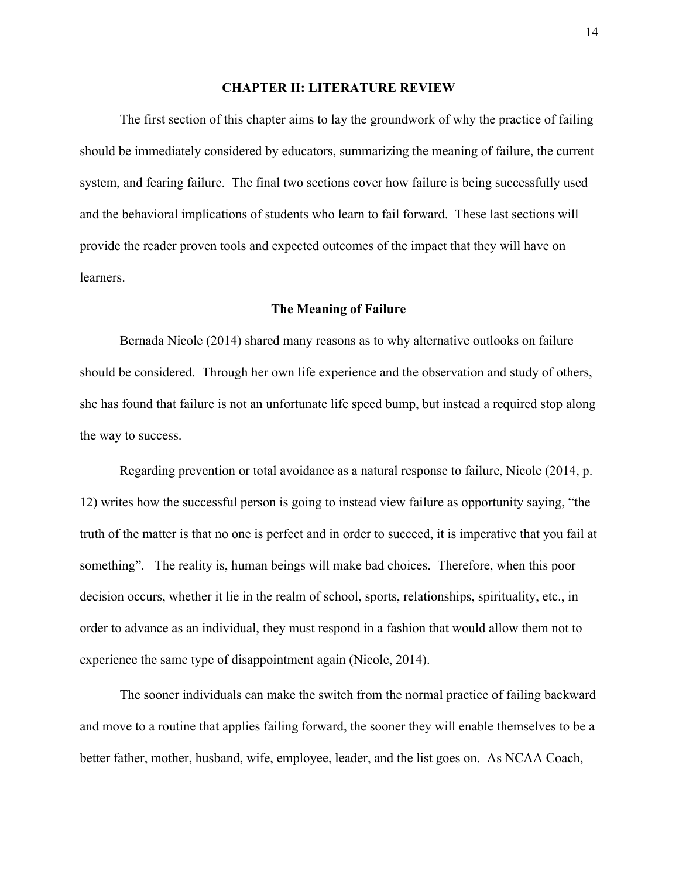#### **CHAPTER II: LITERATURE REVIEW**

The first section of this chapter aims to lay the groundwork of why the practice of failing should be immediately considered by educators, summarizing the meaning of failure, the current system, and fearing failure. The final two sections cover how failure is being successfully used and the behavioral implications of students who learn to fail forward. These last sections will provide the reader proven tools and expected outcomes of the impact that they will have on learners.

#### **The Meaning of Failure**

Bernada Nicole (2014) shared many reasons as to why alternative outlooks on failure should be considered. Through her own life experience and the observation and study of others, she has found that failure is not an unfortunate life speed bump, but instead a required stop along the way to success.

 Regarding prevention or total avoidance as a natural response to failure, Nicole (2014, p. 12) writes how the successful person is going to instead view failure as opportunity saying, "the truth of the matter is that no one is perfect and in order to succeed, it is imperative that you fail at something". The reality is, human beings will make bad choices. Therefore, when this poor decision occurs, whether it lie in the realm of school, sports, relationships, spirituality, etc., in order to advance as an individual, they must respond in a fashion that would allow them not to experience the same type of disappointment again (Nicole, 2014).

 The sooner individuals can make the switch from the normal practice of failing backward and move to a routine that applies failing forward, the sooner they will enable themselves to be a better father, mother, husband, wife, employee, leader, and the list goes on. As NCAA Coach,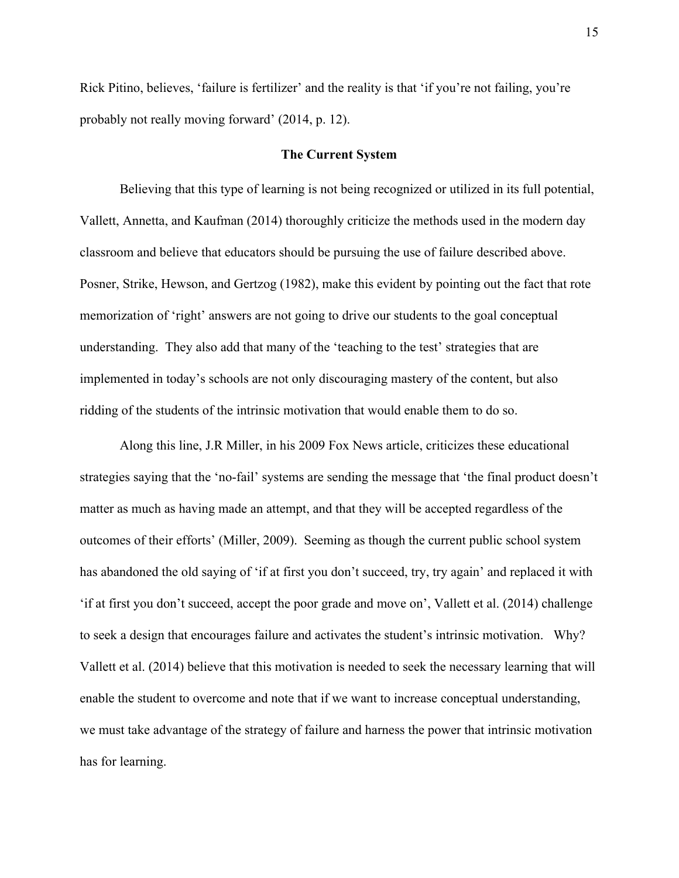Rick Pitino, believes, 'failure is fertilizer' and the reality is that 'if you're not failing, you're probably not really moving forward' (2014, p. 12).

## **The Current System**

Believing that this type of learning is not being recognized or utilized in its full potential, Vallett, Annetta, and Kaufman (2014) thoroughly criticize the methods used in the modern day classroom and believe that educators should be pursuing the use of failure described above. Posner, Strike, Hewson, and Gertzog (1982), make this evident by pointing out the fact that rote memorization of 'right' answers are not going to drive our students to the goal conceptual understanding. They also add that many of the 'teaching to the test' strategies that are implemented in today's schools are not only discouraging mastery of the content, but also ridding of the students of the intrinsic motivation that would enable them to do so.

Along this line, J.R Miller, in his 2009 Fox News article, criticizes these educational strategies saying that the 'no-fail' systems are sending the message that 'the final product doesn't matter as much as having made an attempt, and that they will be accepted regardless of the outcomes of their efforts' (Miller, 2009). Seeming as though the current public school system has abandoned the old saying of 'if at first you don't succeed, try, try again' and replaced it with 'if at first you don't succeed, accept the poor grade and move on', Vallett et al. (2014) challenge to seek a design that encourages failure and activates the student's intrinsic motivation. Why? Vallett et al. (2014) believe that this motivation is needed to seek the necessary learning that will enable the student to overcome and note that if we want to increase conceptual understanding, we must take advantage of the strategy of failure and harness the power that intrinsic motivation has for learning.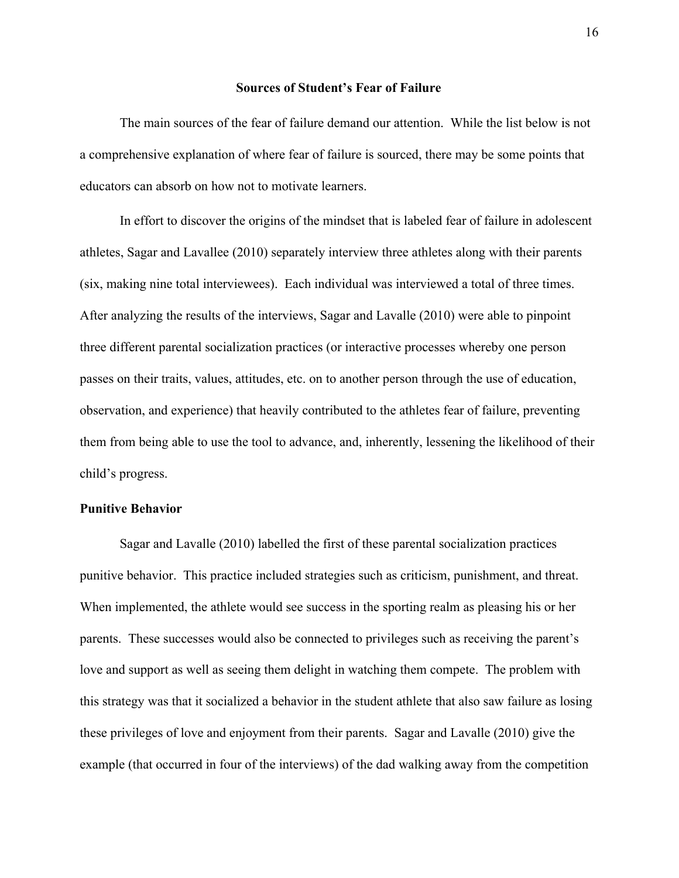#### **Sources of Student's Fear of Failure**

The main sources of the fear of failure demand our attention. While the list below is not a comprehensive explanation of where fear of failure is sourced, there may be some points that educators can absorb on how not to motivate learners.

In effort to discover the origins of the mindset that is labeled fear of failure in adolescent athletes, Sagar and Lavallee (2010) separately interview three athletes along with their parents (six, making nine total interviewees). Each individual was interviewed a total of three times. After analyzing the results of the interviews, Sagar and Lavalle (2010) were able to pinpoint three different parental socialization practices (or interactive processes whereby one person passes on their traits, values, attitudes, etc. on to another person through the use of education, observation, and experience) that heavily contributed to the athletes fear of failure, preventing them from being able to use the tool to advance, and, inherently, lessening the likelihood of their child's progress.

## **Punitive Behavior**

Sagar and Lavalle (2010) labelled the first of these parental socialization practices punitive behavior. This practice included strategies such as criticism, punishment, and threat. When implemented, the athlete would see success in the sporting realm as pleasing his or her parents. These successes would also be connected to privileges such as receiving the parent's love and support as well as seeing them delight in watching them compete. The problem with this strategy was that it socialized a behavior in the student athlete that also saw failure as losing these privileges of love and enjoyment from their parents. Sagar and Lavalle (2010) give the example (that occurred in four of the interviews) of the dad walking away from the competition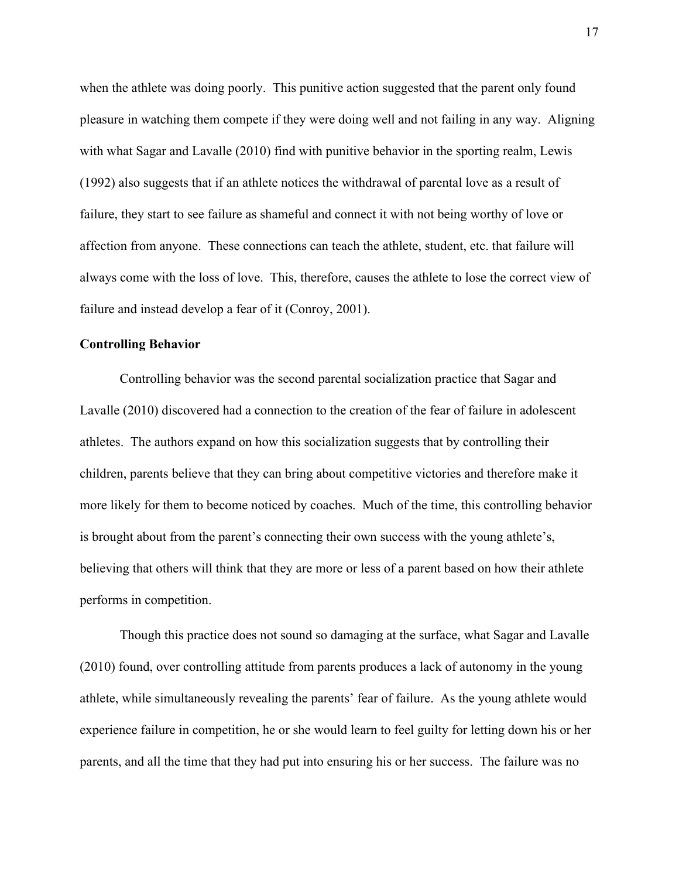when the athlete was doing poorly. This punitive action suggested that the parent only found pleasure in watching them compete if they were doing well and not failing in any way. Aligning with what Sagar and Lavalle (2010) find with punitive behavior in the sporting realm, Lewis (1992) also suggests that if an athlete notices the withdrawal of parental love as a result of failure, they start to see failure as shameful and connect it with not being worthy of love or affection from anyone. These connections can teach the athlete, student, etc. that failure will always come with the loss of love. This, therefore, causes the athlete to lose the correct view of failure and instead develop a fear of it (Conroy, 2001).

## **Controlling Behavior**

Controlling behavior was the second parental socialization practice that Sagar and Lavalle (2010) discovered had a connection to the creation of the fear of failure in adolescent athletes. The authors expand on how this socialization suggests that by controlling their children, parents believe that they can bring about competitive victories and therefore make it more likely for them to become noticed by coaches. Much of the time, this controlling behavior is brought about from the parent's connecting their own success with the young athlete's, believing that others will think that they are more or less of a parent based on how their athlete performs in competition.

Though this practice does not sound so damaging at the surface, what Sagar and Lavalle (2010) found, over controlling attitude from parents produces a lack of autonomy in the young athlete, while simultaneously revealing the parents' fear of failure. As the young athlete would experience failure in competition, he or she would learn to feel guilty for letting down his or her parents, and all the time that they had put into ensuring his or her success. The failure was no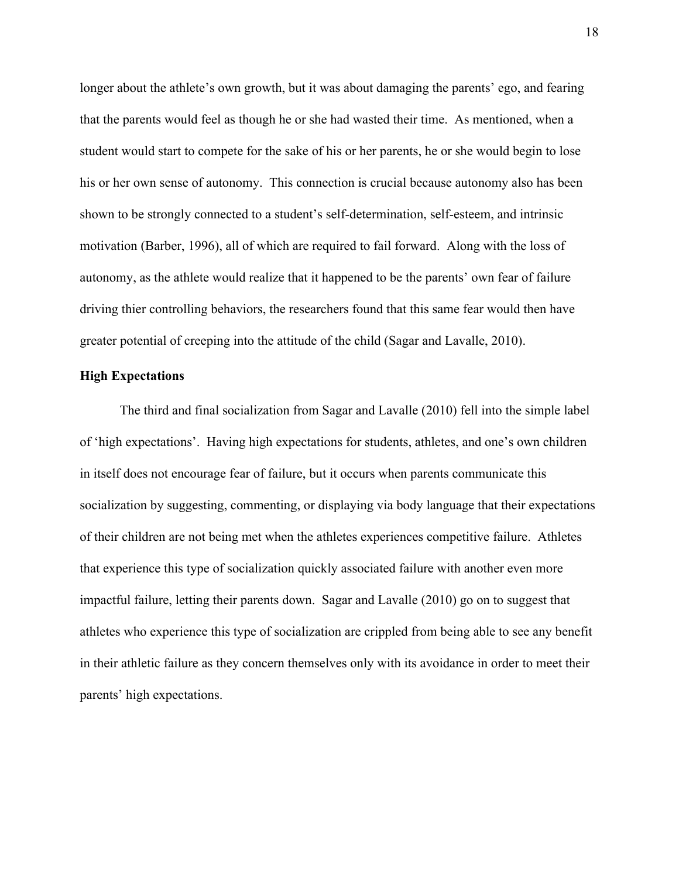longer about the athlete's own growth, but it was about damaging the parents' ego, and fearing that the parents would feel as though he or she had wasted their time. As mentioned, when a student would start to compete for the sake of his or her parents, he or she would begin to lose his or her own sense of autonomy. This connection is crucial because autonomy also has been shown to be strongly connected to a student's self-determination, self-esteem, and intrinsic motivation (Barber, 1996), all of which are required to fail forward. Along with the loss of autonomy, as the athlete would realize that it happened to be the parents' own fear of failure driving thier controlling behaviors, the researchers found that this same fear would then have greater potential of creeping into the attitude of the child (Sagar and Lavalle, 2010).

## **High Expectations**

The third and final socialization from Sagar and Lavalle (2010) fell into the simple label of 'high expectations'. Having high expectations for students, athletes, and one's own children in itself does not encourage fear of failure, but it occurs when parents communicate this socialization by suggesting, commenting, or displaying via body language that their expectations of their children are not being met when the athletes experiences competitive failure. Athletes that experience this type of socialization quickly associated failure with another even more impactful failure, letting their parents down. Sagar and Lavalle (2010) go on to suggest that athletes who experience this type of socialization are crippled from being able to see any benefit in their athletic failure as they concern themselves only with its avoidance in order to meet their parents' high expectations.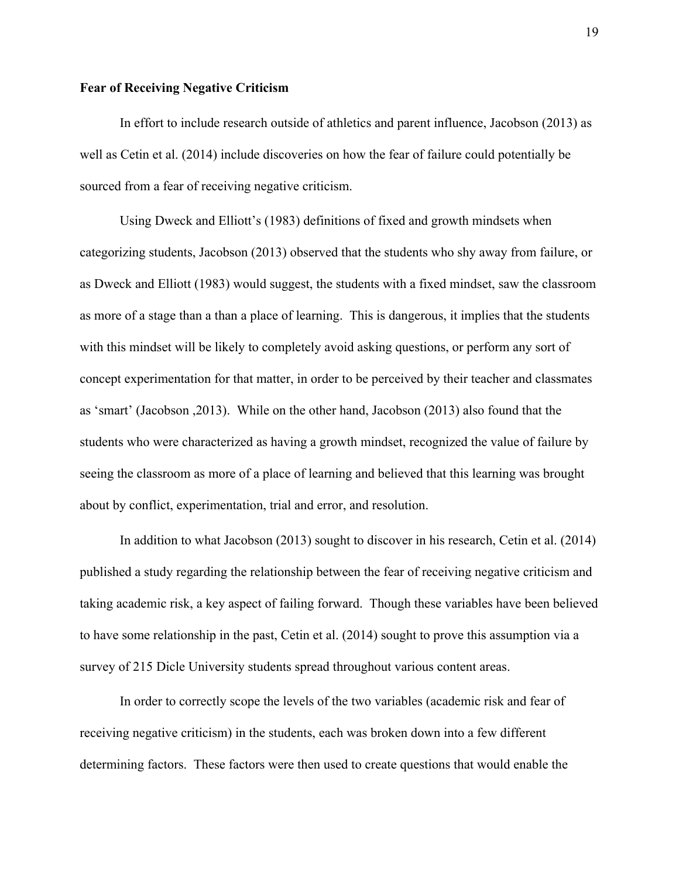## **Fear of Receiving Negative Criticism**

In effort to include research outside of athletics and parent influence, Jacobson (2013) as well as Cetin et al. (2014) include discoveries on how the fear of failure could potentially be sourced from a fear of receiving negative criticism.

Using Dweck and Elliott's (1983) definitions of fixed and growth mindsets when categorizing students, Jacobson (2013) observed that the students who shy away from failure, or as Dweck and Elliott (1983) would suggest, the students with a fixed mindset, saw the classroom as more of a stage than a than a place of learning. This is dangerous, it implies that the students with this mindset will be likely to completely avoid asking questions, or perform any sort of concept experimentation for that matter, in order to be perceived by their teacher and classmates as 'smart' (Jacobson ,2013). While on the other hand, Jacobson (2013) also found that the students who were characterized as having a growth mindset, recognized the value of failure by seeing the classroom as more of a place of learning and believed that this learning was brought about by conflict, experimentation, trial and error, and resolution.

In addition to what Jacobson (2013) sought to discover in his research, Cetin et al. (2014) published a study regarding the relationship between the fear of receiving negative criticism and taking academic risk, a key aspect of failing forward. Though these variables have been believed to have some relationship in the past, Cetin et al. (2014) sought to prove this assumption via a survey of 215 Dicle University students spread throughout various content areas.

In order to correctly scope the levels of the two variables (academic risk and fear of receiving negative criticism) in the students, each was broken down into a few different determining factors. These factors were then used to create questions that would enable the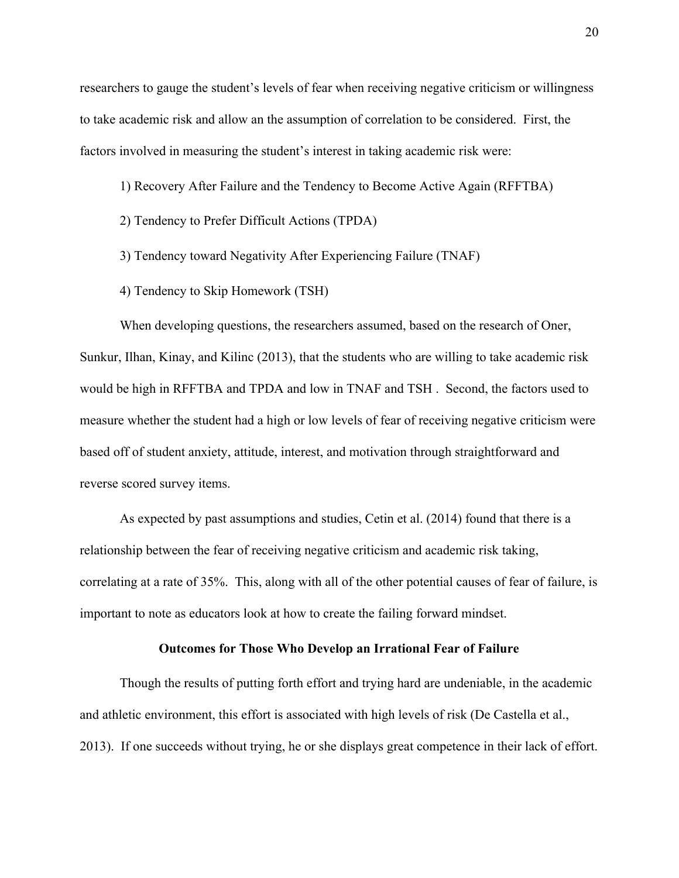researchers to gauge the student's levels of fear when receiving negative criticism or willingness to take academic risk and allow an the assumption of correlation to be considered. First, the factors involved in measuring the student's interest in taking academic risk were:

1) Recovery After Failure and the Tendency to Become Active Again (RFFTBA)

2) Tendency to Prefer Difficult Actions (TPDA)

3) Tendency toward Negativity After Experiencing Failure (TNAF)

4) Tendency to Skip Homework (TSH)

When developing questions, the researchers assumed, based on the research of Oner, Sunkur, Ilhan, Kinay, and Kilinc (2013), that the students who are willing to take academic risk would be high in RFFTBA and TPDA and low in TNAF and TSH . Second, the factors used to measure whether the student had a high or low levels of fear of receiving negative criticism were based off of student anxiety, attitude, interest, and motivation through straightforward and reverse scored survey items.

As expected by past assumptions and studies, Cetin et al. (2014) found that there is a relationship between the fear of receiving negative criticism and academic risk taking, correlating at a rate of 35%. This, along with all of the other potential causes of fear of failure, is important to note as educators look at how to create the failing forward mindset.

### **Outcomes for Those Who Develop an Irrational Fear of Failure**

Though the results of putting forth effort and trying hard are undeniable, in the academic and athletic environment, this effort is associated with high levels of risk (De Castella et al., 2013). If one succeeds without trying, he or she displays great competence in their lack of effort.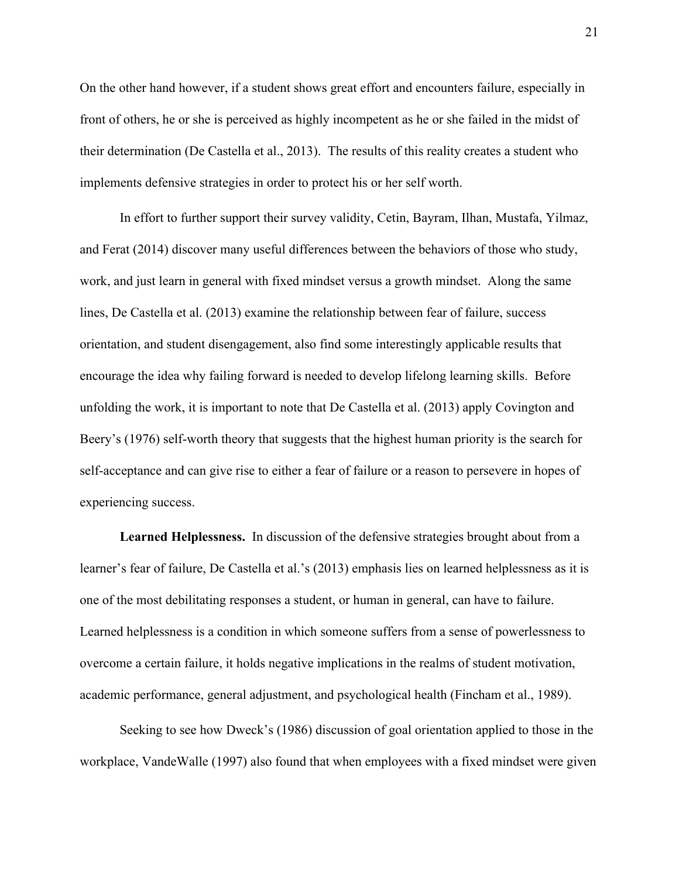On the other hand however, if a student shows great effort and encounters failure, especially in front of others, he or she is perceived as highly incompetent as he or she failed in the midst of their determination (De Castella et al., 2013). The results of this reality creates a student who implements defensive strategies in order to protect his or her self worth.

In effort to further support their survey validity, Cetin, Bayram, Ilhan, Mustafa, Yilmaz, and Ferat (2014) discover many useful differences between the behaviors of those who study, work, and just learn in general with fixed mindset versus a growth mindset. Along the same lines, De Castella et al. (2013) examine the relationship between fear of failure, success orientation, and student disengagement, also find some interestingly applicable results that encourage the idea why failing forward is needed to develop lifelong learning skills. Before unfolding the work, it is important to note that De Castella et al. (2013) apply Covington and Beery's (1976) self-worth theory that suggests that the highest human priority is the search for self-acceptance and can give rise to either a fear of failure or a reason to persevere in hopes of experiencing success.

**Learned Helplessness.** In discussion of the defensive strategies brought about from a learner's fear of failure, De Castella et al.'s (2013) emphasis lies on learned helplessness as it is one of the most debilitating responses a student, or human in general, can have to failure. Learned helplessness is a condition in which someone suffers from a sense of powerlessness to overcome a certain failure, it holds negative implications in the realms of student motivation, academic performance, general adjustment, and psychological health (Fincham et al., 1989).

Seeking to see how Dweck's (1986) discussion of goal orientation applied to those in the workplace, VandeWalle (1997) also found that when employees with a fixed mindset were given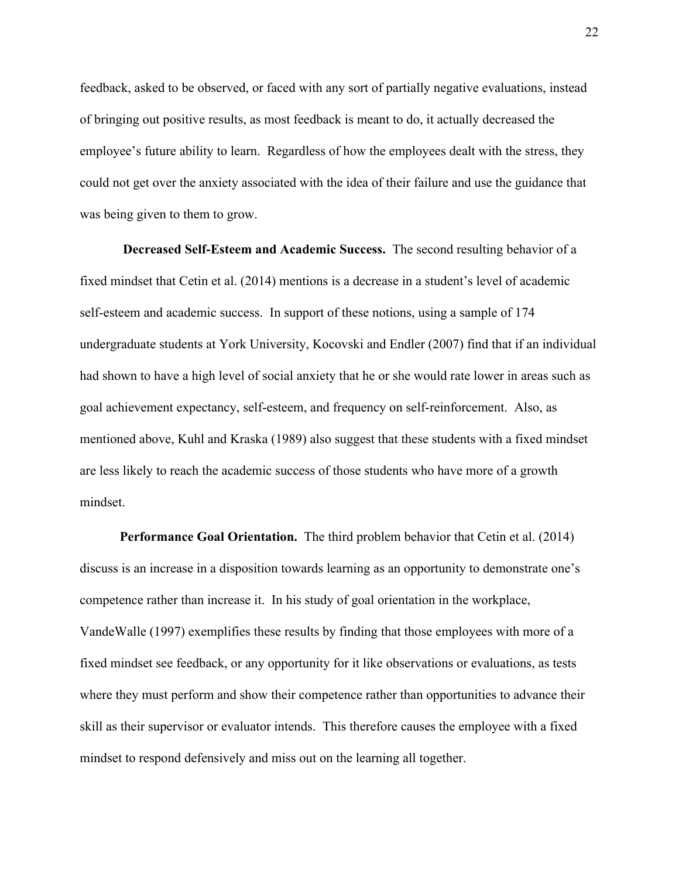feedback, asked to be observed, or faced with any sort of partially negative evaluations, instead of bringing out positive results, as most feedback is meant to do, it actually decreased the employee's future ability to learn. Regardless of how the employees dealt with the stress, they could not get over the anxiety associated with the idea of their failure and use the guidance that was being given to them to grow.

**Decreased Self-Esteem and Academic Success.** The second resulting behavior of a fixed mindset that Cetin et al. (2014) mentions is a decrease in a student's level of academic self-esteem and academic success. In support of these notions, using a sample of 174 undergraduate students at York University, Kocovski and Endler (2007) find that if an individual had shown to have a high level of social anxiety that he or she would rate lower in areas such as goal achievement expectancy, self-esteem, and frequency on self-reinforcement. Also, as mentioned above, Kuhl and Kraska (1989) also suggest that these students with a fixed mindset are less likely to reach the academic success of those students who have more of a growth mindset.

**Performance Goal Orientation.**  The third problem behavior that Cetin et al. (2014) discuss is an increase in a disposition towards learning as an opportunity to demonstrate one's competence rather than increase it. In his study of goal orientation in the workplace, VandeWalle (1997) exemplifies these results by finding that those employees with more of a fixed mindset see feedback, or any opportunity for it like observations or evaluations, as tests where they must perform and show their competence rather than opportunities to advance their skill as their supervisor or evaluator intends. This therefore causes the employee with a fixed mindset to respond defensively and miss out on the learning all together.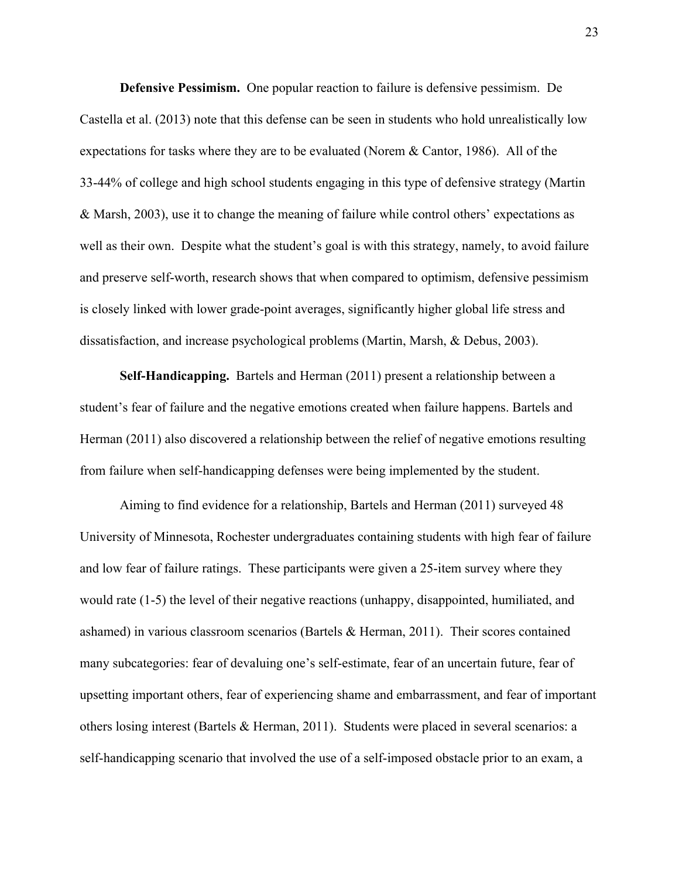**Defensive Pessimism.**  One popular reaction to failure is defensive pessimism. De Castella et al. (2013) note that this defense can be seen in students who hold unrealistically low expectations for tasks where they are to be evaluated (Norem & Cantor, 1986). All of the 33-44% of college and high school students engaging in this type of defensive strategy (Martin & Marsh, 2003), use it to change the meaning of failure while control others' expectations as well as their own. Despite what the student's goal is with this strategy, namely, to avoid failure and preserve self-worth, research shows that when compared to optimism, defensive pessimism is closely linked with lower grade-point averages, significantly higher global life stress and dissatisfaction, and increase psychological problems (Martin, Marsh, & Debus, 2003).

**Self-Handicapping.**  Bartels and Herman (2011) present a relationship between a student's fear of failure and the negative emotions created when failure happens. Bartels and Herman (2011) also discovered a relationship between the relief of negative emotions resulting from failure when self-handicapping defenses were being implemented by the student.

Aiming to find evidence for a relationship, Bartels and Herman (2011) surveyed 48 University of Minnesota, Rochester undergraduates containing students with high fear of failure and low fear of failure ratings. These participants were given a 25-item survey where they would rate (1-5) the level of their negative reactions (unhappy, disappointed, humiliated, and ashamed) in various classroom scenarios (Bartels & Herman, 2011). Their scores contained many subcategories: fear of devaluing one's self-estimate, fear of an uncertain future, fear of upsetting important others, fear of experiencing shame and embarrassment, and fear of important others losing interest (Bartels & Herman, 2011). Students were placed in several scenarios: a self-handicapping scenario that involved the use of a self-imposed obstacle prior to an exam, a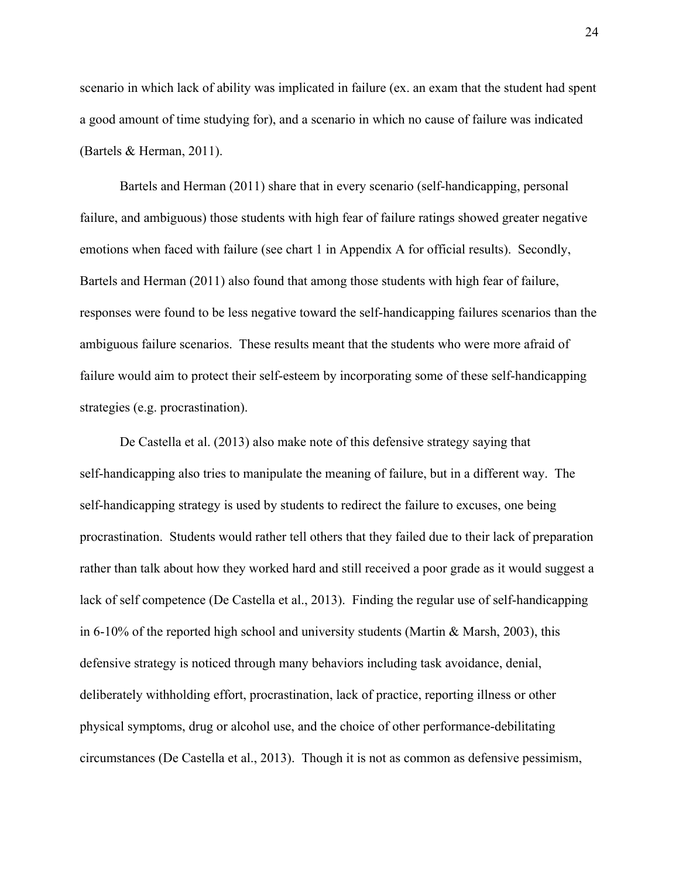scenario in which lack of ability was implicated in failure (ex. an exam that the student had spent a good amount of time studying for), and a scenario in which no cause of failure was indicated (Bartels & Herman, 2011).

Bartels and Herman (2011) share that in every scenario (self-handicapping, personal failure, and ambiguous) those students with high fear of failure ratings showed greater negative emotions when faced with failure (see chart 1 in Appendix A for official results). Secondly, Bartels and Herman (2011) also found that among those students with high fear of failure, responses were found to be less negative toward the self-handicapping failures scenarios than the ambiguous failure scenarios. These results meant that the students who were more afraid of failure would aim to protect their self-esteem by incorporating some of these self-handicapping strategies (e.g. procrastination).

De Castella et al. (2013) also make note of this defensive strategy saying that self-handicapping also tries to manipulate the meaning of failure, but in a different way. The self-handicapping strategy is used by students to redirect the failure to excuses, one being procrastination. Students would rather tell others that they failed due to their lack of preparation rather than talk about how they worked hard and still received a poor grade as it would suggest a lack of self competence (De Castella et al., 2013). Finding the regular use of self-handicapping in 6-10% of the reported high school and university students (Martin & Marsh, 2003), this defensive strategy is noticed through many behaviors including task avoidance, denial, deliberately withholding effort, procrastination, lack of practice, reporting illness or other physical symptoms, drug or alcohol use, and the choice of other performance-debilitating circumstances (De Castella et al., 2013). Though it is not as common as defensive pessimism,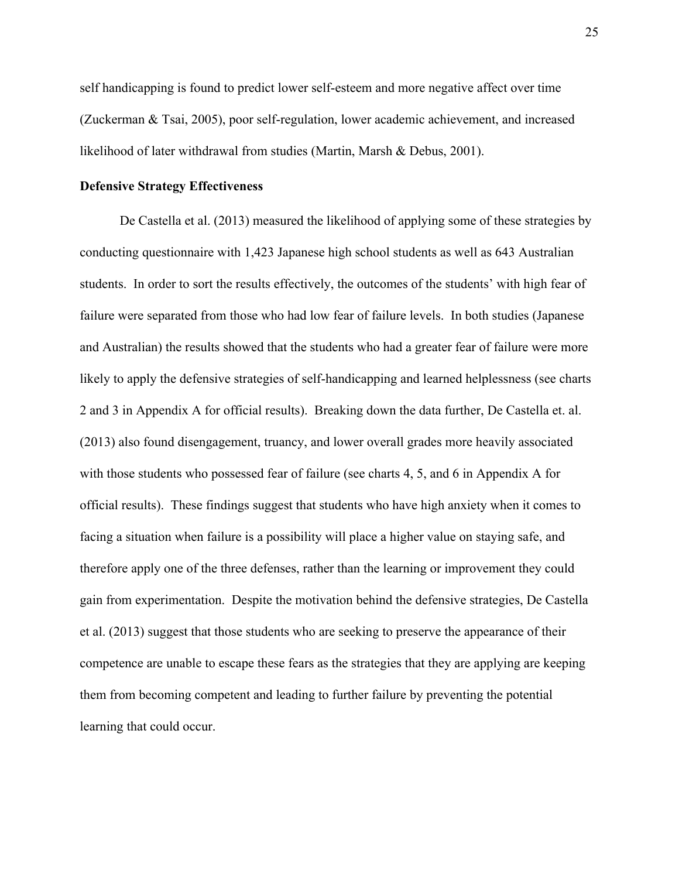self handicapping is found to predict lower self-esteem and more negative affect over time (Zuckerman & Tsai, 2005), poor self-regulation, lower academic achievement, and increased likelihood of later withdrawal from studies (Martin, Marsh & Debus, 2001).

## **Defensive Strategy Effectiveness**

De Castella et al. (2013) measured the likelihood of applying some of these strategies by conducting questionnaire with 1,423 Japanese high school students as well as 643 Australian students. In order to sort the results effectively, the outcomes of the students' with high fear of failure were separated from those who had low fear of failure levels. In both studies (Japanese and Australian) the results showed that the students who had a greater fear of failure were more likely to apply the defensive strategies of self-handicapping and learned helplessness (see charts 2 and 3 in Appendix A for official results). Breaking down the data further, De Castella et. al. (2013) also found disengagement, truancy, and lower overall grades more heavily associated with those students who possessed fear of failure (see charts 4, 5, and 6 in Appendix A for official results). These findings suggest that students who have high anxiety when it comes to facing a situation when failure is a possibility will place a higher value on staying safe, and therefore apply one of the three defenses, rather than the learning or improvement they could gain from experimentation. Despite the motivation behind the defensive strategies, De Castella et al. (2013) suggest that those students who are seeking to preserve the appearance of their competence are unable to escape these fears as the strategies that they are applying are keeping them from becoming competent and leading to further failure by preventing the potential learning that could occur.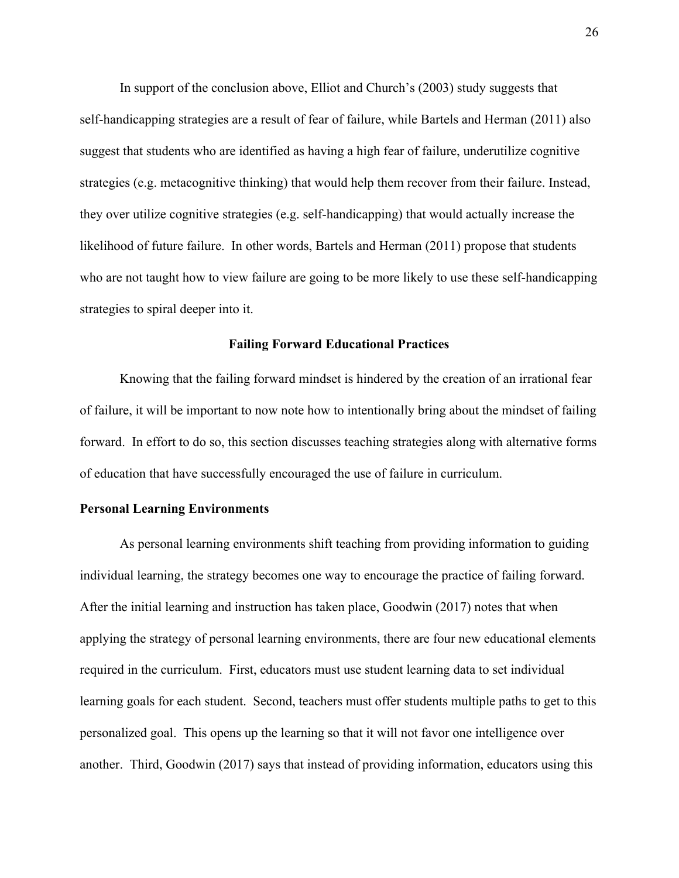In support of the conclusion above, Elliot and Church's (2003) study suggests that self-handicapping strategies are a result of fear of failure, while Bartels and Herman (2011) also suggest that students who are identified as having a high fear of failure, underutilize cognitive strategies (e.g. metacognitive thinking) that would help them recover from their failure. Instead, they over utilize cognitive strategies (e.g. self-handicapping) that would actually increase the likelihood of future failure. In other words, Bartels and Herman (2011) propose that students who are not taught how to view failure are going to be more likely to use these self-handicapping strategies to spiral deeper into it.

## **Failing Forward Educational Practices**

Knowing that the failing forward mindset is hindered by the creation of an irrational fear of failure, it will be important to now note how to intentionally bring about the mindset of failing forward. In effort to do so, this section discusses teaching strategies along with alternative forms of education that have successfully encouraged the use of failure in curriculum.

## **Personal Learning Environments**

As personal learning environments shift teaching from providing information to guiding individual learning, the strategy becomes one way to encourage the practice of failing forward. After the initial learning and instruction has taken place, Goodwin (2017) notes that when applying the strategy of personal learning environments, there are four new educational elements required in the curriculum. First, educators must use student learning data to set individual learning goals for each student. Second, teachers must offer students multiple paths to get to this personalized goal. This opens up the learning so that it will not favor one intelligence over another. Third, Goodwin (2017) says that instead of providing information, educators using this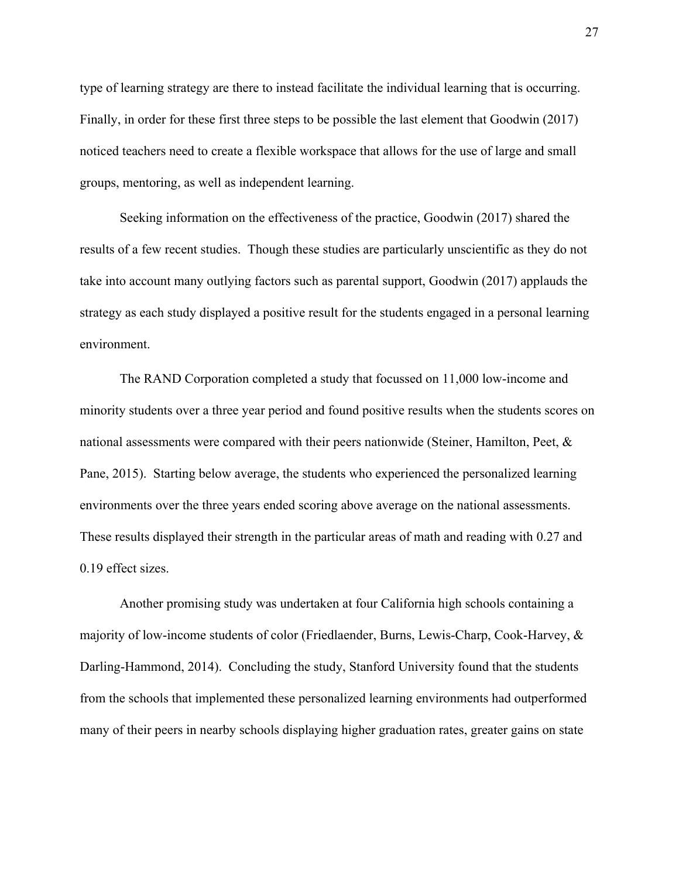type of learning strategy are there to instead facilitate the individual learning that is occurring. Finally, in order for these first three steps to be possible the last element that Goodwin (2017) noticed teachers need to create a flexible workspace that allows for the use of large and small groups, mentoring, as well as independent learning.

Seeking information on the effectiveness of the practice, Goodwin (2017) shared the results of a few recent studies. Though these studies are particularly unscientific as they do not take into account many outlying factors such as parental support, Goodwin (2017) applauds the strategy as each study displayed a positive result for the students engaged in a personal learning environment.

The RAND Corporation completed a study that focussed on 11,000 low-income and minority students over a three year period and found positive results when the students scores on national assessments were compared with their peers nationwide (Steiner, Hamilton, Peet, & Pane, 2015). Starting below average, the students who experienced the personalized learning environments over the three years ended scoring above average on the national assessments. These results displayed their strength in the particular areas of math and reading with 0.27 and 0.19 effect sizes.

Another promising study was undertaken at four California high schools containing a majority of low-income students of color (Friedlaender, Burns, Lewis-Charp, Cook-Harvey, & Darling-Hammond, 2014). Concluding the study, Stanford University found that the students from the schools that implemented these personalized learning environments had outperformed many of their peers in nearby schools displaying higher graduation rates, greater gains on state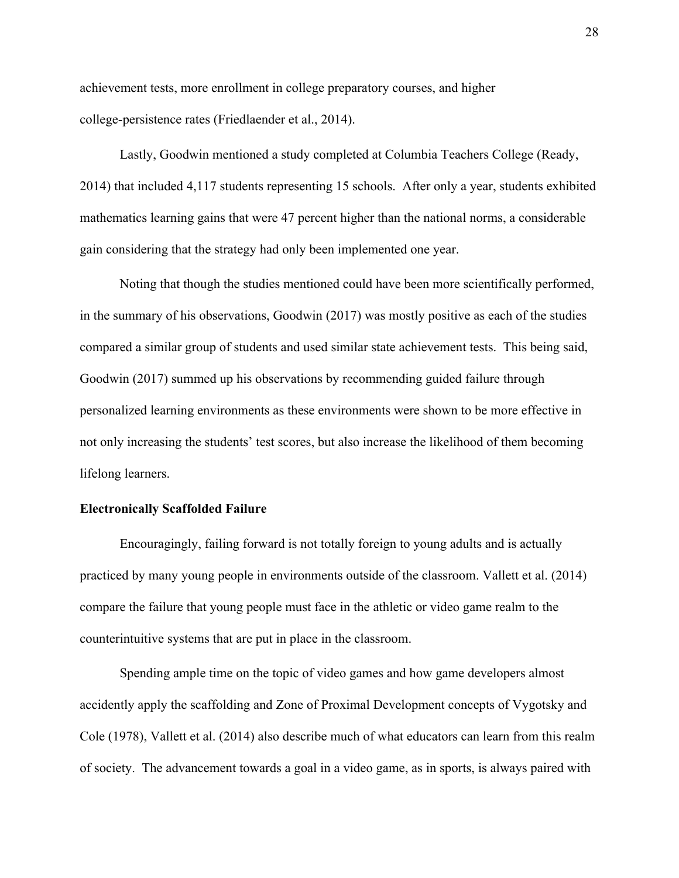achievement tests, more enrollment in college preparatory courses, and higher college-persistence rates (Friedlaender et al., 2014).

Lastly, Goodwin mentioned a study completed at Columbia Teachers College (Ready, 2014) that included 4,117 students representing 15 schools. After only a year, students exhibited mathematics learning gains that were 47 percent higher than the national norms, a considerable gain considering that the strategy had only been implemented one year.

Noting that though the studies mentioned could have been more scientifically performed, in the summary of his observations, Goodwin (2017) was mostly positive as each of the studies compared a similar group of students and used similar state achievement tests. This being said, Goodwin (2017) summed up his observations by recommending guided failure through personalized learning environments as these environments were shown to be more effective in not only increasing the students' test scores, but also increase the likelihood of them becoming lifelong learners.

## **Electronically Scaffolded Failure**

Encouragingly, failing forward is not totally foreign to young adults and is actually practiced by many young people in environments outside of the classroom. Vallett et al. (2014) compare the failure that young people must face in the athletic or video game realm to the counterintuitive systems that are put in place in the classroom.

Spending ample time on the topic of video games and how game developers almost accidently apply the scaffolding and Zone of Proximal Development concepts of Vygotsky and Cole (1978), Vallett et al. (2014) also describe much of what educators can learn from this realm of society. The advancement towards a goal in a video game, as in sports, is always paired with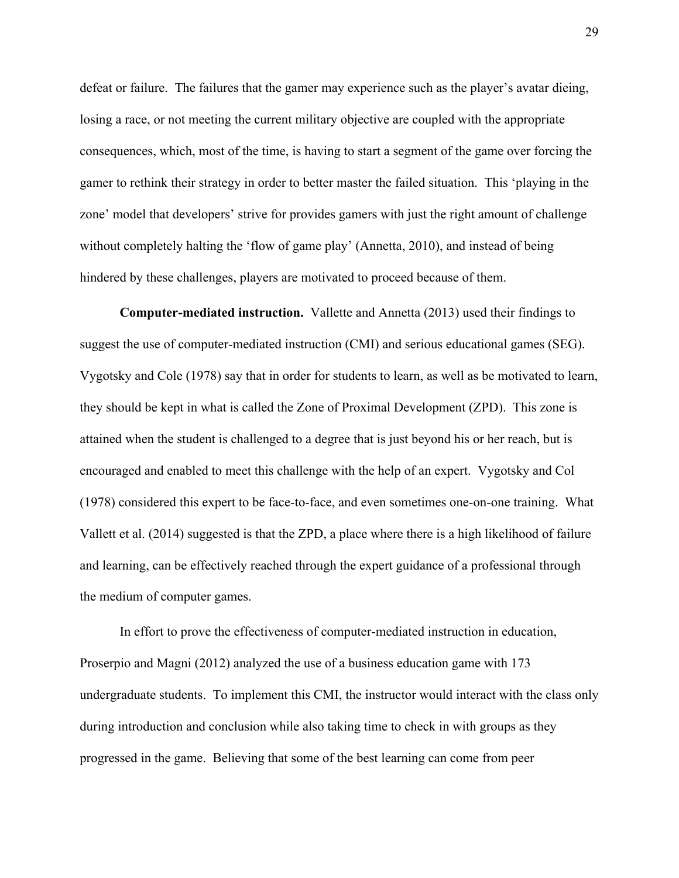defeat or failure. The failures that the gamer may experience such as the player's avatar dieing, losing a race, or not meeting the current military objective are coupled with the appropriate consequences, which, most of the time, is having to start a segment of the game over forcing the gamer to rethink their strategy in order to better master the failed situation. This 'playing in the zone' model that developers' strive for provides gamers with just the right amount of challenge without completely halting the 'flow of game play' (Annetta, 2010), and instead of being hindered by these challenges, players are motivated to proceed because of them.

**Computer-mediated instruction.**Vallette and Annetta (2013) used their findings to suggest the use of computer-mediated instruction (CMI) and serious educational games (SEG). Vygotsky and Cole (1978) say that in order for students to learn, as well as be motivated to learn, they should be kept in what is called the Zone of Proximal Development (ZPD). This zone is attained when the student is challenged to a degree that is just beyond his or her reach, but is encouraged and enabled to meet this challenge with the help of an expert. Vygotsky and Col (1978) considered this expert to be face-to-face, and even sometimes one-on-one training. What Vallett et al. (2014) suggested is that the ZPD, a place where there is a high likelihood of failure and learning, can be effectively reached through the expert guidance of a professional through the medium of computer games.

In effort to prove the effectiveness of computer-mediated instruction in education, Proserpio and Magni (2012) analyzed the use of a business education game with 173 undergraduate students. To implement this CMI, the instructor would interact with the class only during introduction and conclusion while also taking time to check in with groups as they progressed in the game. Believing that some of the best learning can come from peer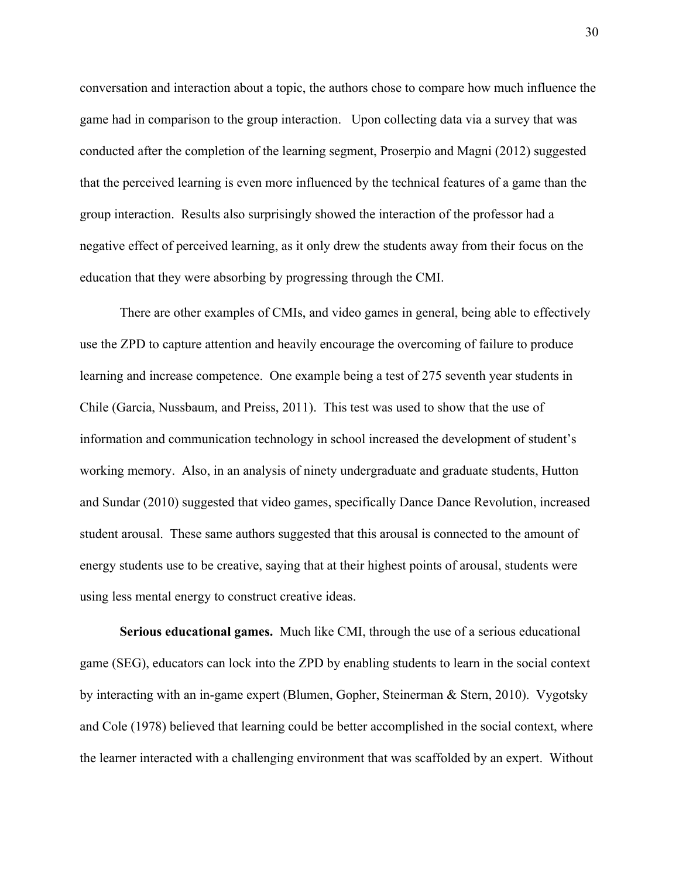conversation and interaction about a topic, the authors chose to compare how much influence the game had in comparison to the group interaction. Upon collecting data via a survey that was conducted after the completion of the learning segment, Proserpio and Magni (2012) suggested that the perceived learning is even more influenced by the technical features of a game than the group interaction. Results also surprisingly showed the interaction of the professor had a negative effect of perceived learning, as it only drew the students away from their focus on the education that they were absorbing by progressing through the CMI.

There are other examples of CMIs, and video games in general, being able to effectively use the ZPD to capture attention and heavily encourage the overcoming of failure to produce learning and increase competence. One example being a test of 275 seventh year students in Chile (Garcia, Nussbaum, and Preiss, 2011). This test was used to show that the use of information and communication technology in school increased the development of student's working memory. Also, in an analysis of ninety undergraduate and graduate students, Hutton and Sundar (2010) suggested that video games, specifically Dance Dance Revolution, increased student arousal. These same authors suggested that this arousal is connected to the amount of energy students use to be creative, saying that at their highest points of arousal, students were using less mental energy to construct creative ideas.

**Serious educational games.**  Much like CMI, through the use of a serious educational game (SEG), educators can lock into the ZPD by enabling students to learn in the social context by interacting with an in-game expert (Blumen, Gopher, Steinerman & Stern, 2010). Vygotsky and Cole (1978) believed that learning could be better accomplished in the social context, where the learner interacted with a challenging environment that was scaffolded by an expert. Without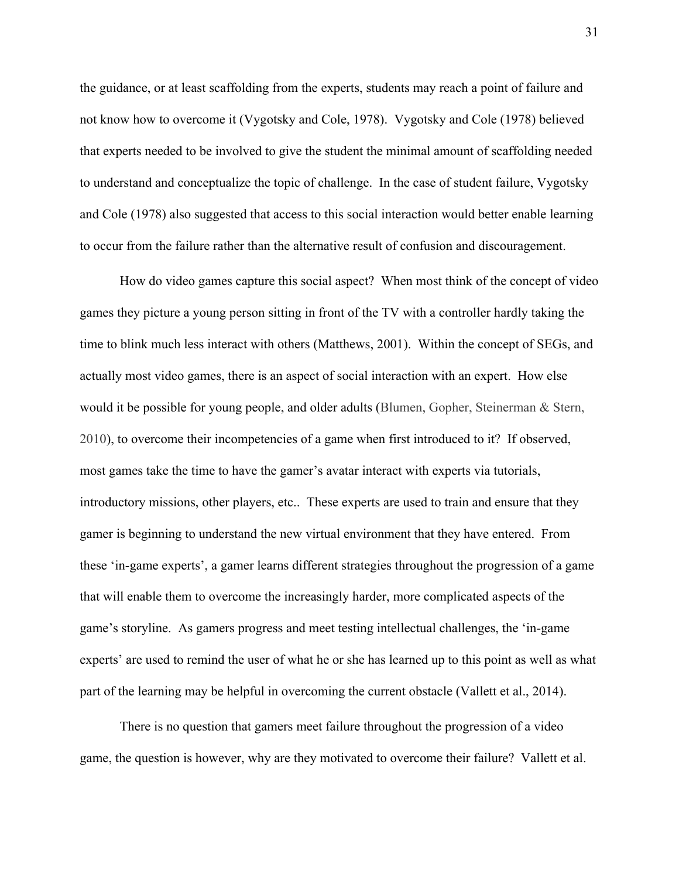the guidance, or at least scaffolding from the experts, students may reach a point of failure and not know how to overcome it (Vygotsky and Cole, 1978). Vygotsky and Cole (1978) believed that experts needed to be involved to give the student the minimal amount of scaffolding needed to understand and conceptualize the topic of challenge. In the case of student failure, Vygotsky and Cole (1978) also suggested that access to this social interaction would better enable learning to occur from the failure rather than the alternative result of confusion and discouragement.

How do video games capture this social aspect? When most think of the concept of video games they picture a young person sitting in front of the TV with a controller hardly taking the time to blink much less interact with others (Matthews, 2001). Within the concept of SEGs, and actually most video games, there is an aspect of social interaction with an expert. How else would it be possible for young people, and older adults (Blumen, Gopher, Steinerman & Stern, 2010), to overcome their incompetencies of a game when first introduced to it? If observed, most games take the time to have the gamer's avatar interact with experts via tutorials, introductory missions, other players, etc.. These experts are used to train and ensure that they gamer is beginning to understand the new virtual environment that they have entered. From these 'in-game experts', a gamer learns different strategies throughout the progression of a game that will enable them to overcome the increasingly harder, more complicated aspects of the game's storyline. As gamers progress and meet testing intellectual challenges, the 'in-game experts' are used to remind the user of what he or she has learned up to this point as well as what part of the learning may be helpful in overcoming the current obstacle (Vallett et al., 2014).

There is no question that gamers meet failure throughout the progression of a video game, the question is however, why are they motivated to overcome their failure? Vallett et al.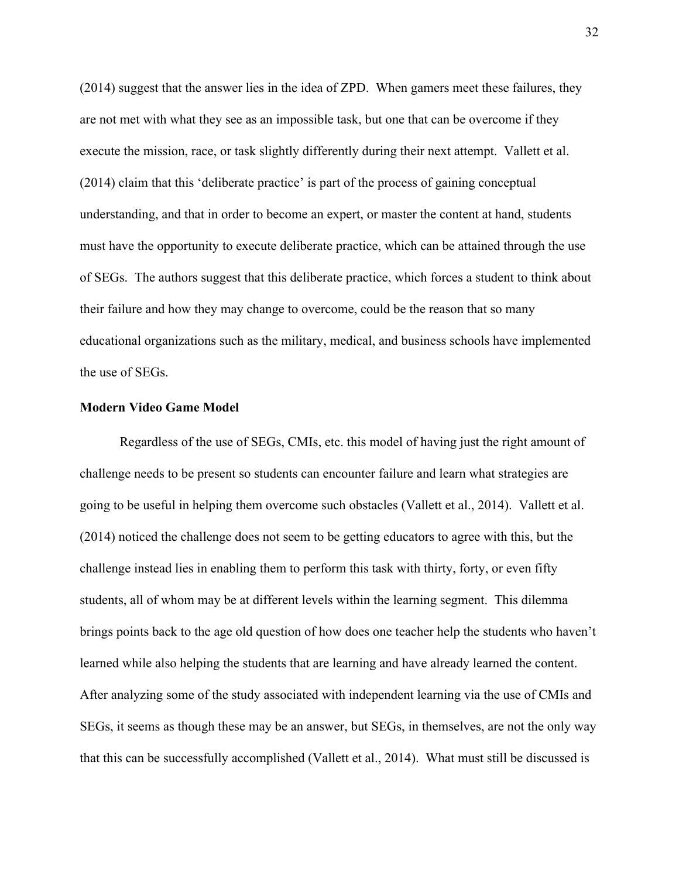(2014) suggest that the answer lies in the idea of ZPD. When gamers meet these failures, they are not met with what they see as an impossible task, but one that can be overcome if they execute the mission, race, or task slightly differently during their next attempt. Vallett et al. (2014) claim that this 'deliberate practice' is part of the process of gaining conceptual understanding, and that in order to become an expert, or master the content at hand, students must have the opportunity to execute deliberate practice, which can be attained through the use of SEGs. The authors suggest that this deliberate practice, which forces a student to think about their failure and how they may change to overcome, could be the reason that so many educational organizations such as the military, medical, and business schools have implemented the use of SEGs.

### **Modern Video Game Model**

Regardless of the use of SEGs, CMIs, etc. this model of having just the right amount of challenge needs to be present so students can encounter failure and learn what strategies are going to be useful in helping them overcome such obstacles (Vallett et al., 2014). Vallett et al. (2014) noticed the challenge does not seem to be getting educators to agree with this, but the challenge instead lies in enabling them to perform this task with thirty, forty, or even fifty students, all of whom may be at different levels within the learning segment. This dilemma brings points back to the age old question of how does one teacher help the students who haven't learned while also helping the students that are learning and have already learned the content. After analyzing some of the study associated with independent learning via the use of CMIs and SEGs, it seems as though these may be an answer, but SEGs, in themselves, are not the only way that this can be successfully accomplished (Vallett et al., 2014). What must still be discussed is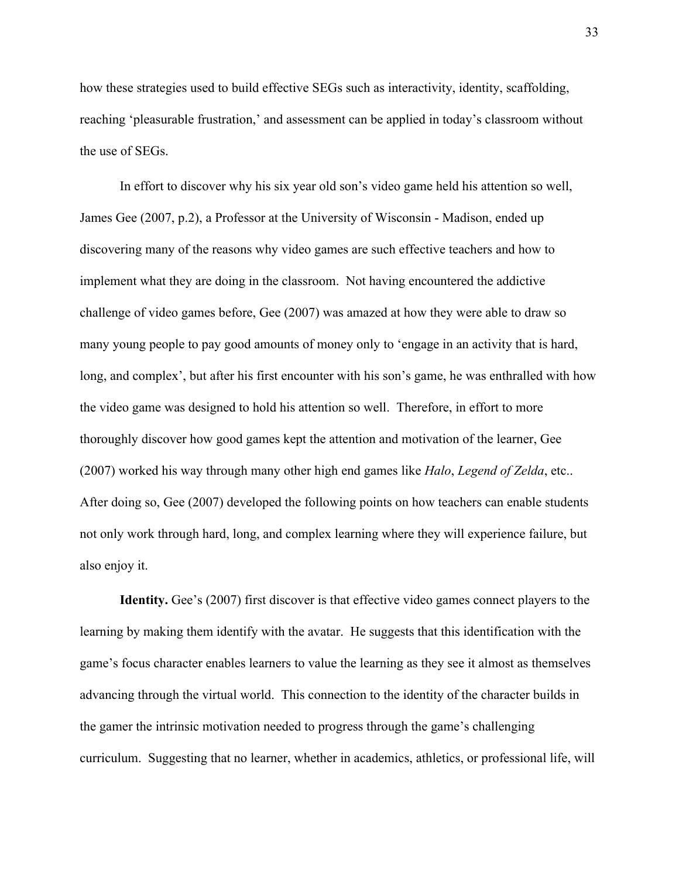how these strategies used to build effective SEGs such as interactivity, identity, scaffolding, reaching 'pleasurable frustration,' and assessment can be applied in today's classroom without the use of SEGs.

In effort to discover why his six year old son's video game held his attention so well, James Gee (2007, p.2), a Professor at the University of Wisconsin - Madison, ended up discovering many of the reasons why video games are such effective teachers and how to implement what they are doing in the classroom. Not having encountered the addictive challenge of video games before, Gee (2007) was amazed at how they were able to draw so many young people to pay good amounts of money only to 'engage in an activity that is hard, long, and complex', but after his first encounter with his son's game, he was enthralled with how the video game was designed to hold his attention so well. Therefore, in effort to more thoroughly discover how good games kept the attention and motivation of the learner, Gee (2007) worked his way through many other high end games like *Halo*, *Legend of Zelda*, etc.. After doing so, Gee (2007) developed the following points on how teachers can enable students not only work through hard, long, and complex learning where they will experience failure, but also enjoy it.

**Identity.** Gee's (2007) first discover is that effective video games connect players to the learning by making them identify with the avatar. He suggests that this identification with the game's focus character enables learners to value the learning as they see it almost as themselves advancing through the virtual world. This connection to the identity of the character builds in the gamer the intrinsic motivation needed to progress through the game's challenging curriculum. Suggesting that no learner, whether in academics, athletics, or professional life, will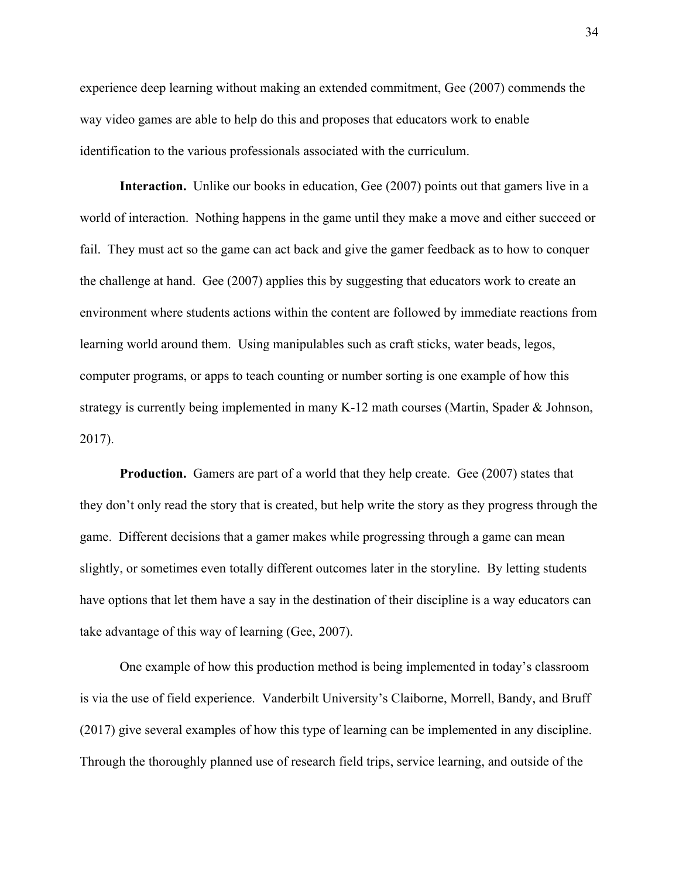experience deep learning without making an extended commitment, Gee (2007) commends the way video games are able to help do this and proposes that educators work to enable identification to the various professionals associated with the curriculum.

**Interaction.** Unlike our books in education, Gee (2007) points out that gamers live in a world of interaction. Nothing happens in the game until they make a move and either succeed or fail. They must act so the game can act back and give the gamer feedback as to how to conquer the challenge at hand. Gee (2007) applies this by suggesting that educators work to create an environment where students actions within the content are followed by immediate reactions from learning world around them. Using manipulables such as craft sticks, water beads, legos, computer programs, or apps to teach counting or number sorting is one example of how this strategy is currently being implemented in many K-12 math courses (Martin, Spader & Johnson, 2017).

**Production.** Gamers are part of a world that they help create. Gee (2007) states that they don't only read the story that is created, but help write the story as they progress through the game. Different decisions that a gamer makes while progressing through a game can mean slightly, or sometimes even totally different outcomes later in the storyline. By letting students have options that let them have a say in the destination of their discipline is a way educators can take advantage of this way of learning (Gee, 2007).

One example of how this production method is being implemented in today's classroom is via the use of field experience. Vanderbilt University's Claiborne, Morrell, Bandy, and Bruff (2017) give several examples of how this type of learning can be implemented in any discipline. Through the thoroughly planned use of research field trips, service learning, and outside of the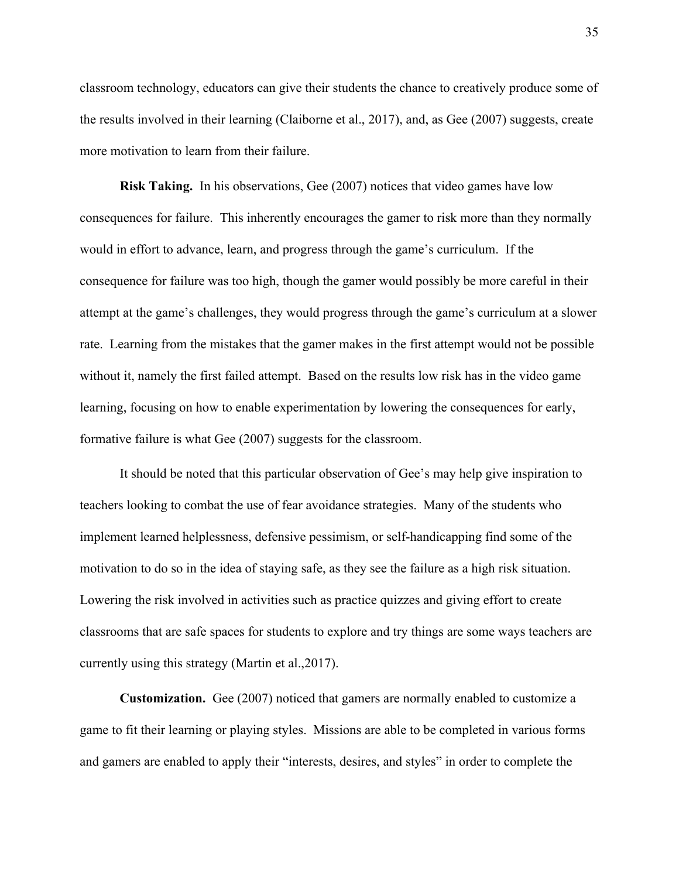classroom technology, educators can give their students the chance to creatively produce some of the results involved in their learning (Claiborne et al., 2017), and, as Gee (2007) suggests, create more motivation to learn from their failure.

**Risk Taking.** In his observations, Gee (2007) notices that video games have low consequences for failure. This inherently encourages the gamer to risk more than they normally would in effort to advance, learn, and progress through the game's curriculum. If the consequence for failure was too high, though the gamer would possibly be more careful in their attempt at the game's challenges, they would progress through the game's curriculum at a slower rate. Learning from the mistakes that the gamer makes in the first attempt would not be possible without it, namely the first failed attempt. Based on the results low risk has in the video game learning, focusing on how to enable experimentation by lowering the consequences for early, formative failure is what Gee (2007) suggests for the classroom.

It should be noted that this particular observation of Gee's may help give inspiration to teachers looking to combat the use of fear avoidance strategies. Many of the students who implement learned helplessness, defensive pessimism, or self-handicapping find some of the motivation to do so in the idea of staying safe, as they see the failure as a high risk situation. Lowering the risk involved in activities such as practice quizzes and giving effort to create classrooms that are safe spaces for students to explore and try things are some ways teachers are currently using this strategy (Martin et al.,2017).

**Customization.** Gee (2007) noticed that gamers are normally enabled to customize a game to fit their learning or playing styles. Missions are able to be completed in various forms and gamers are enabled to apply their "interests, desires, and styles" in order to complete the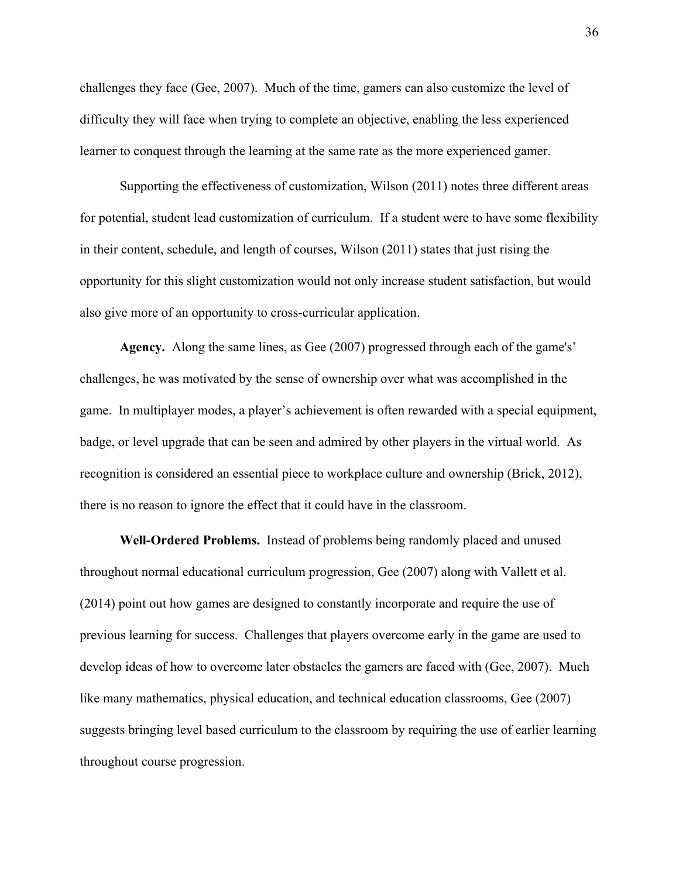challenges they face (Gee, 2007). Much of the time, gamers can also customize the level of difficulty they will face when trying to complete an objective, enabling the less experienced learner to conquest through the learning at the same rate as the more experienced gamer.

Supporting the effectiveness of customization, Wilson (2011) notes three different areas for potential, student lead customization of curriculum. If a student were to have some flexibility in their content, schedule, and length of courses, Wilson (2011) states that just rising the opportunity for this slight customization would not only increase student satisfaction, but would also give more of an opportunity to cross-curricular application.

**Agency.** Along the same lines, as Gee (2007) progressed through each of the game's' challenges, he was motivated by the sense of ownership over what was accomplished in the game. In multiplayer modes, a player's achievement is often rewarded with a special equipment, badge, or level upgrade that can be seen and admired by other players in the virtual world. As recognition is considered an essential piece to workplace culture and ownership (Brick, 2012), there is no reason to ignore the effect that it could have in the classroom.

**Well-Ordered Problems.**  Instead of problems being randomly placed and unused throughout normal educational curriculum progression, Gee (2007) along with Vallett et al. (2014) point out how games are designed to constantly incorporate and require the use of previous learning for success. Challenges that players overcome early in the game are used to develop ideas of how to overcome later obstacles the gamers are faced with (Gee, 2007). Much like many mathematics, physical education, and technical education classrooms, Gee (2007) suggests bringing level based curriculum to the classroom by requiring the use of earlier learning throughout course progression.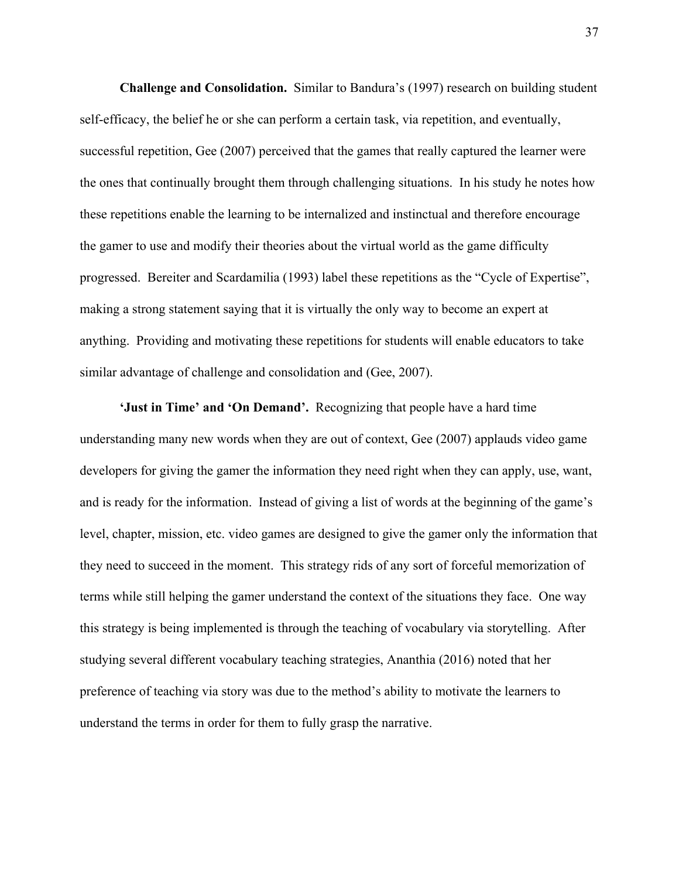**Challenge and Consolidation.** Similar to Bandura's (1997) research on building student self-efficacy, the belief he or she can perform a certain task, via repetition, and eventually, successful repetition, Gee (2007) perceived that the games that really captured the learner were the ones that continually brought them through challenging situations. In his study he notes how these repetitions enable the learning to be internalized and instinctual and therefore encourage the gamer to use and modify their theories about the virtual world as the game difficulty progressed. Bereiter and Scardamilia (1993) label these repetitions as the "Cycle of Expertise", making a strong statement saying that it is virtually the only way to become an expert at anything. Providing and motivating these repetitions for students will enable educators to take similar advantage of challenge and consolidation and (Gee, 2007).

**'Just in Time' and 'On Demand'.**  Recognizing that people have a hard time understanding many new words when they are out of context, Gee (2007) applauds video game developers for giving the gamer the information they need right when they can apply, use, want, and is ready for the information. Instead of giving a list of words at the beginning of the game's level, chapter, mission, etc. video games are designed to give the gamer only the information that they need to succeed in the moment. This strategy rids of any sort of forceful memorization of terms while still helping the gamer understand the context of the situations they face. One way this strategy is being implemented is through the teaching of vocabulary via storytelling. After studying several different vocabulary teaching strategies, Ananthia (2016) noted that her preference of teaching via story was due to the method's ability to motivate the learners to understand the terms in order for them to fully grasp the narrative.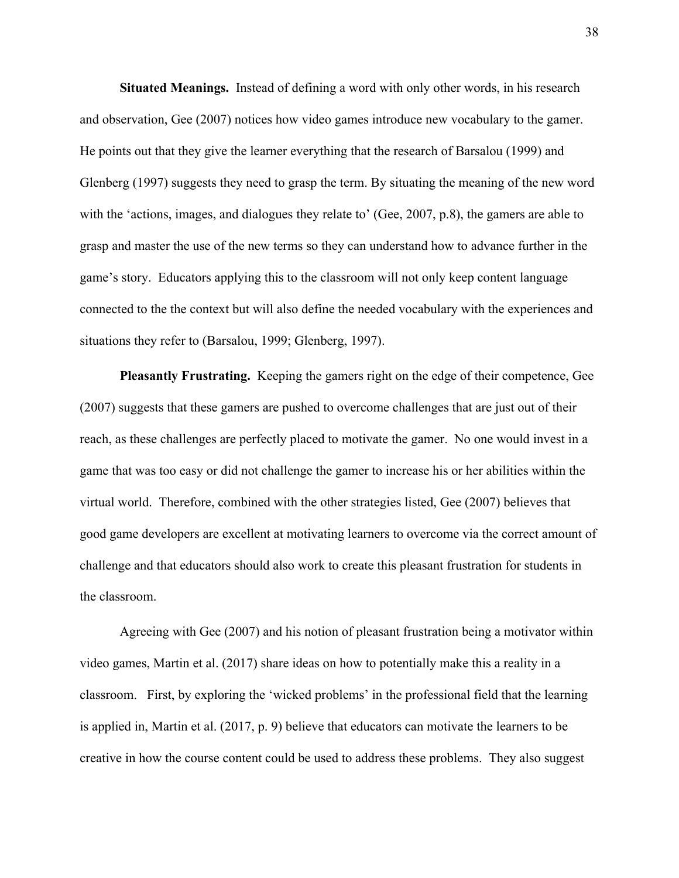**Situated Meanings.**  Instead of defining a word with only other words, in his research and observation, Gee (2007) notices how video games introduce new vocabulary to the gamer. He points out that they give the learner everything that the research of Barsalou (1999) and Glenberg (1997) suggests they need to grasp the term. By situating the meaning of the new word with the 'actions, images, and dialogues they relate to' (Gee, 2007, p.8), the gamers are able to grasp and master the use of the new terms so they can understand how to advance further in the game's story. Educators applying this to the classroom will not only keep content language connected to the the context but will also define the needed vocabulary with the experiences and situations they refer to (Barsalou, 1999; Glenberg, 1997).

**Pleasantly Frustrating.** Keeping the gamers right on the edge of their competence, Gee (2007) suggests that these gamers are pushed to overcome challenges that are just out of their reach, as these challenges are perfectly placed to motivate the gamer. No one would invest in a game that was too easy or did not challenge the gamer to increase his or her abilities within the virtual world. Therefore, combined with the other strategies listed, Gee (2007) believes that good game developers are excellent at motivating learners to overcome via the correct amount of challenge and that educators should also work to create this pleasant frustration for students in the classroom.

Agreeing with Gee (2007) and his notion of pleasant frustration being a motivator within video games, Martin et al. (2017) share ideas on how to potentially make this a reality in a classroom. First, by exploring the 'wicked problems' in the professional field that the learning is applied in, Martin et al. (2017, p. 9) believe that educators can motivate the learners to be creative in how the course content could be used to address these problems. They also suggest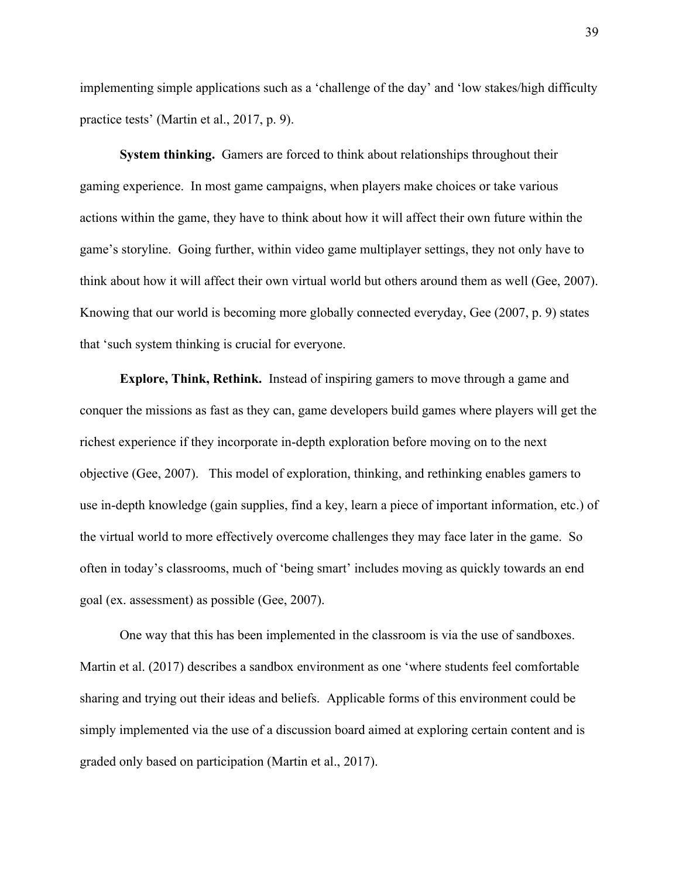implementing simple applications such as a 'challenge of the day' and 'low stakes/high difficulty practice tests' (Martin et al., 2017, p. 9).

**System thinking.** Gamers are forced to think about relationships throughout their gaming experience. In most game campaigns, when players make choices or take various actions within the game, they have to think about how it will affect their own future within the game's storyline. Going further, within video game multiplayer settings, they not only have to think about how it will affect their own virtual world but others around them as well (Gee, 2007). Knowing that our world is becoming more globally connected everyday, Gee (2007, p. 9) states that 'such system thinking is crucial for everyone.

**Explore, Think, Rethink.** Instead of inspiring gamers to move through a game and conquer the missions as fast as they can, game developers build games where players will get the richest experience if they incorporate in-depth exploration before moving on to the next objective (Gee, 2007). This model of exploration, thinking, and rethinking enables gamers to use in-depth knowledge (gain supplies, find a key, learn a piece of important information, etc.) of the virtual world to more effectively overcome challenges they may face later in the game. So often in today's classrooms, much of 'being smart' includes moving as quickly towards an end goal (ex. assessment) as possible (Gee, 2007).

One way that this has been implemented in the classroom is via the use of sandboxes. Martin et al. (2017) describes a sandbox environment as one 'where students feel comfortable sharing and trying out their ideas and beliefs. Applicable forms of this environment could be simply implemented via the use of a discussion board aimed at exploring certain content and is graded only based on participation (Martin et al., 2017).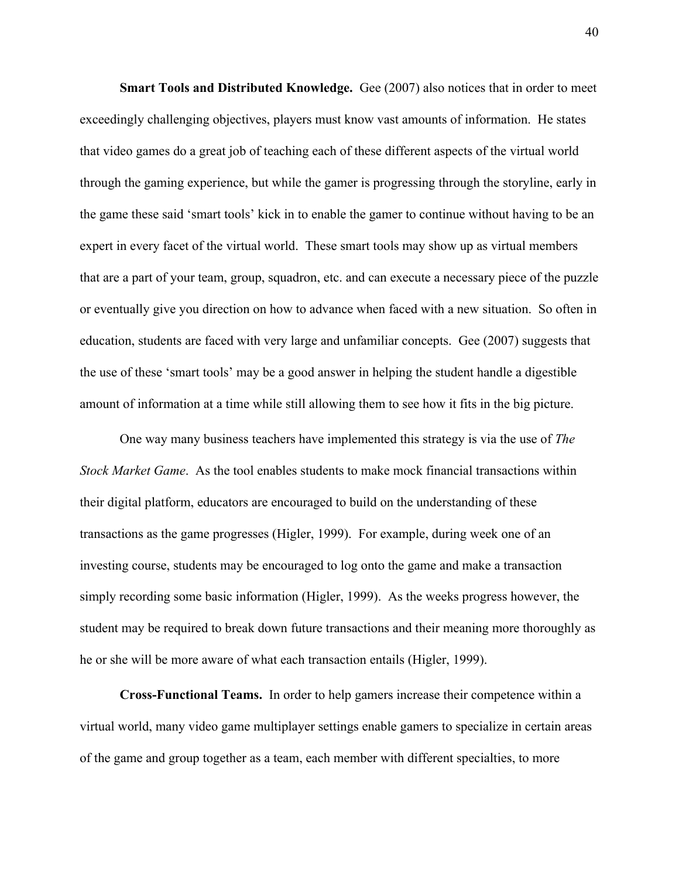**Smart Tools and Distributed Knowledge.** Gee (2007) also notices that in order to meet exceedingly challenging objectives, players must know vast amounts of information. He states that video games do a great job of teaching each of these different aspects of the virtual world through the gaming experience, but while the gamer is progressing through the storyline, early in the game these said 'smart tools' kick in to enable the gamer to continue without having to be an expert in every facet of the virtual world. These smart tools may show up as virtual members that are a part of your team, group, squadron, etc. and can execute a necessary piece of the puzzle or eventually give you direction on how to advance when faced with a new situation. So often in education, students are faced with very large and unfamiliar concepts. Gee (2007) suggests that the use of these 'smart tools' may be a good answer in helping the student handle a digestible amount of information at a time while still allowing them to see how it fits in the big picture.

One way many business teachers have implemented this strategy is via the use of *The Stock Market Game*. As the tool enables students to make mock financial transactions within their digital platform, educators are encouraged to build on the understanding of these transactions as the game progresses (Higler, 1999). For example, during week one of an investing course, students may be encouraged to log onto the game and make a transaction simply recording some basic information (Higler, 1999). As the weeks progress however, the student may be required to break down future transactions and their meaning more thoroughly as he or she will be more aware of what each transaction entails (Higler, 1999).

**Cross-Functional Teams.** In order to help gamers increase their competence within a virtual world, many video game multiplayer settings enable gamers to specialize in certain areas of the game and group together as a team, each member with different specialties, to more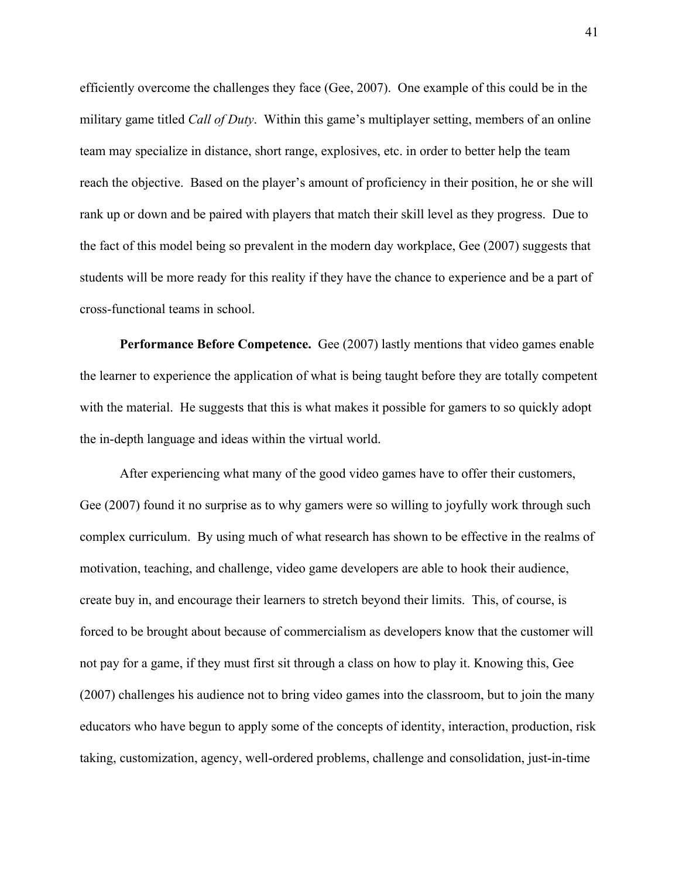efficiently overcome the challenges they face (Gee, 2007). One example of this could be in the military game titled *Call of Duty*. Within this game's multiplayer setting, members of an online team may specialize in distance, short range, explosives, etc. in order to better help the team reach the objective. Based on the player's amount of proficiency in their position, he or she will rank up or down and be paired with players that match their skill level as they progress. Due to the fact of this model being so prevalent in the modern day workplace, Gee (2007) suggests that students will be more ready for this reality if they have the chance to experience and be a part of cross-functional teams in school.

**Performance Before Competence.** Gee (2007) lastly mentions that video games enable the learner to experience the application of what is being taught before they are totally competent with the material. He suggests that this is what makes it possible for gamers to so quickly adopt the in-depth language and ideas within the virtual world.

After experiencing what many of the good video games have to offer their customers, Gee (2007) found it no surprise as to why gamers were so willing to joyfully work through such complex curriculum. By using much of what research has shown to be effective in the realms of motivation, teaching, and challenge, video game developers are able to hook their audience, create buy in, and encourage their learners to stretch beyond their limits. This, of course, is forced to be brought about because of commercialism as developers know that the customer will not pay for a game, if they must first sit through a class on how to play it. Knowing this, Gee (2007) challenges his audience not to bring video games into the classroom, but to join the many educators who have begun to apply some of the concepts of identity, interaction, production, risk taking, customization, agency, well-ordered problems, challenge and consolidation, just-in-time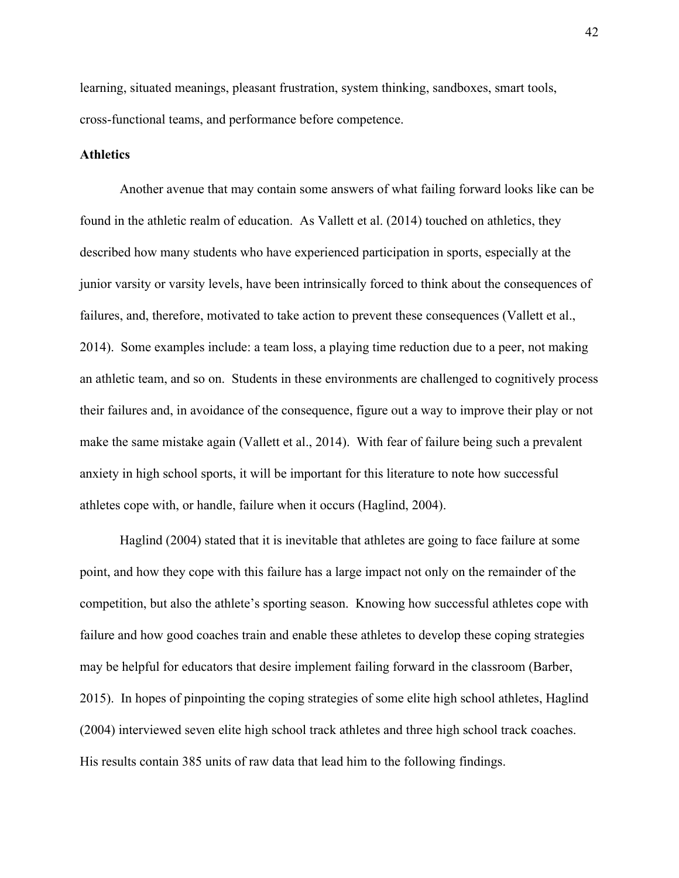learning, situated meanings, pleasant frustration, system thinking, sandboxes, smart tools, cross-functional teams, and performance before competence.

## **Athletics**

Another avenue that may contain some answers of what failing forward looks like can be found in the athletic realm of education. As Vallett et al. (2014) touched on athletics, they described how many students who have experienced participation in sports, especially at the junior varsity or varsity levels, have been intrinsically forced to think about the consequences of failures, and, therefore, motivated to take action to prevent these consequences (Vallett et al., 2014). Some examples include: a team loss, a playing time reduction due to a peer, not making an athletic team, and so on. Students in these environments are challenged to cognitively process their failures and, in avoidance of the consequence, figure out a way to improve their play or not make the same mistake again (Vallett et al., 2014). With fear of failure being such a prevalent anxiety in high school sports, it will be important for this literature to note how successful athletes cope with, or handle, failure when it occurs (Haglind, 2004).

Haglind (2004) stated that it is inevitable that athletes are going to face failure at some point, and how they cope with this failure has a large impact not only on the remainder of the competition, but also the athlete's sporting season. Knowing how successful athletes cope with failure and how good coaches train and enable these athletes to develop these coping strategies may be helpful for educators that desire implement failing forward in the classroom (Barber, 2015). In hopes of pinpointing the coping strategies of some elite high school athletes, Haglind (2004) interviewed seven elite high school track athletes and three high school track coaches. His results contain 385 units of raw data that lead him to the following findings.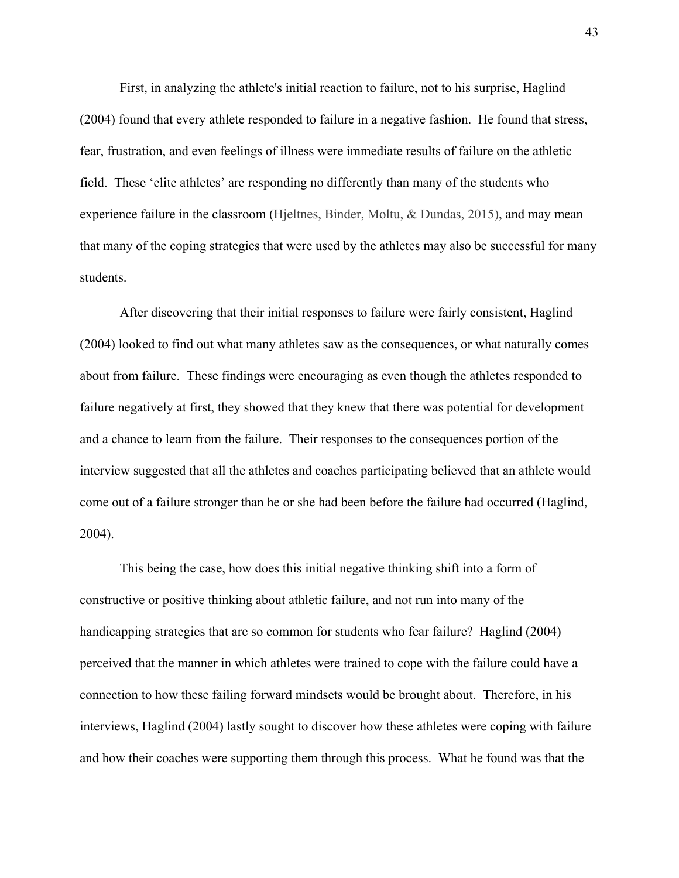First, in analyzing the athlete's initial reaction to failure, not to his surprise, Haglind (2004) found that every athlete responded to failure in a negative fashion. He found that stress, fear, frustration, and even feelings of illness were immediate results of failure on the athletic field. These 'elite athletes' are responding no differently than many of the students who experience failure in the classroom (Hjeltnes, Binder, Moltu, & Dundas, 2015), and may mean that many of the coping strategies that were used by the athletes may also be successful for many students.

After discovering that their initial responses to failure were fairly consistent, Haglind (2004) looked to find out what many athletes saw as the consequences, or what naturally comes about from failure. These findings were encouraging as even though the athletes responded to failure negatively at first, they showed that they knew that there was potential for development and a chance to learn from the failure. Their responses to the consequences portion of the interview suggested that all the athletes and coaches participating believed that an athlete would come out of a failure stronger than he or she had been before the failure had occurred (Haglind, 2004).

This being the case, how does this initial negative thinking shift into a form of constructive or positive thinking about athletic failure, and not run into many of the handicapping strategies that are so common for students who fear failure? Haglind (2004) perceived that the manner in which athletes were trained to cope with the failure could have a connection to how these failing forward mindsets would be brought about. Therefore, in his interviews, Haglind (2004) lastly sought to discover how these athletes were coping with failure and how their coaches were supporting them through this process. What he found was that the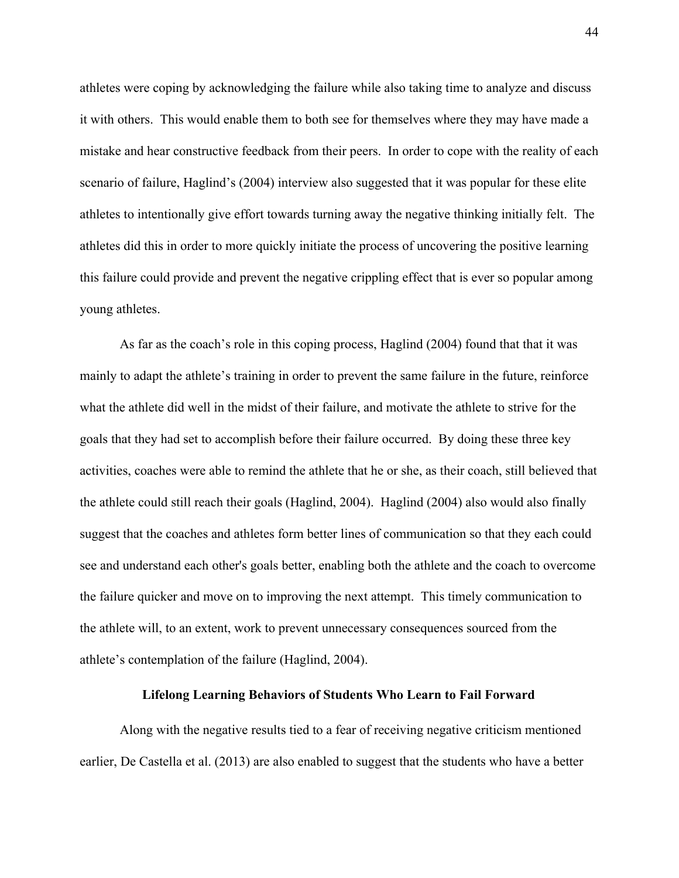athletes were coping by acknowledging the failure while also taking time to analyze and discuss it with others. This would enable them to both see for themselves where they may have made a mistake and hear constructive feedback from their peers. In order to cope with the reality of each scenario of failure, Haglind's (2004) interview also suggested that it was popular for these elite athletes to intentionally give effort towards turning away the negative thinking initially felt. The athletes did this in order to more quickly initiate the process of uncovering the positive learning this failure could provide and prevent the negative crippling effect that is ever so popular among young athletes.

As far as the coach's role in this coping process, Haglind (2004) found that that it was mainly to adapt the athlete's training in order to prevent the same failure in the future, reinforce what the athlete did well in the midst of their failure, and motivate the athlete to strive for the goals that they had set to accomplish before their failure occurred. By doing these three key activities, coaches were able to remind the athlete that he or she, as their coach, still believed that the athlete could still reach their goals (Haglind, 2004). Haglind (2004) also would also finally suggest that the coaches and athletes form better lines of communication so that they each could see and understand each other's goals better, enabling both the athlete and the coach to overcome the failure quicker and move on to improving the next attempt. This timely communication to the athlete will, to an extent, work to prevent unnecessary consequences sourced from the athlete's contemplation of the failure (Haglind, 2004).

## **Lifelong Learning Behaviors of Students Who Learn to Fail Forward**

Along with the negative results tied to a fear of receiving negative criticism mentioned earlier, De Castella et al. (2013) are also enabled to suggest that the students who have a better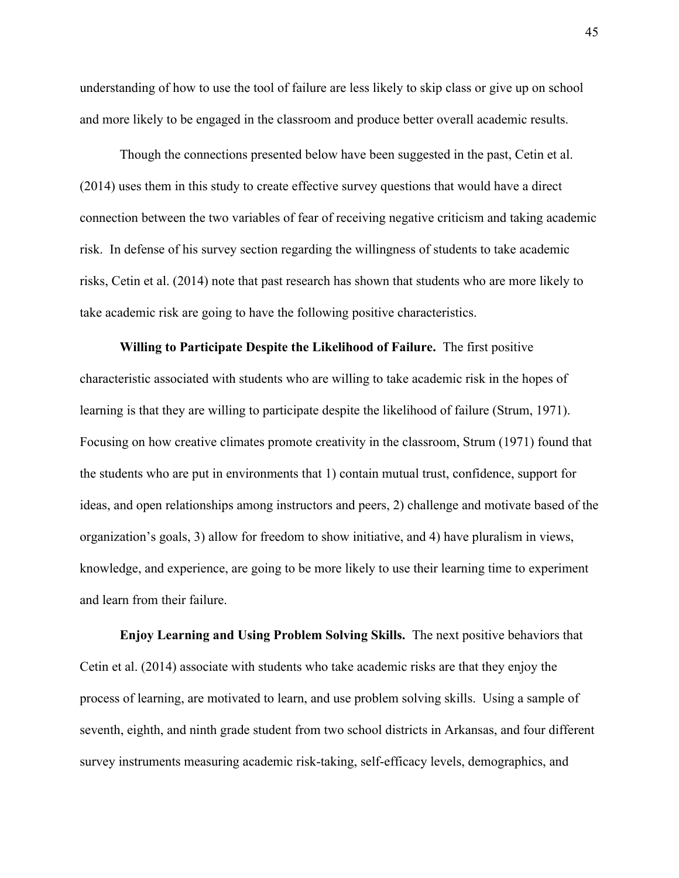understanding of how to use the tool of failure are less likely to skip class or give up on school and more likely to be engaged in the classroom and produce better overall academic results.

Though the connections presented below have been suggested in the past, Cetin et al. (2014) uses them in this study to create effective survey questions that would have a direct connection between the two variables of fear of receiving negative criticism and taking academic risk. In defense of his survey section regarding the willingness of students to take academic risks, Cetin et al. (2014) note that past research has shown that students who are more likely to take academic risk are going to have the following positive characteristics.

**Willing to Participate Despite the Likelihood of Failure.** The first positive characteristic associated with students who are willing to take academic risk in the hopes of learning is that they are willing to participate despite the likelihood of failure (Strum, 1971). Focusing on how creative climates promote creativity in the classroom, Strum (1971) found that the students who are put in environments that 1) contain mutual trust, confidence, support for ideas, and open relationships among instructors and peers, 2) challenge and motivate based of the organization's goals, 3) allow for freedom to show initiative, and 4) have pluralism in views, knowledge, and experience, are going to be more likely to use their learning time to experiment and learn from their failure.

**Enjoy Learning and Using Problem Solving Skills.** The next positive behaviors that Cetin et al. (2014) associate with students who take academic risks are that they enjoy the process of learning, are motivated to learn, and use problem solving skills. Using a sample of seventh, eighth, and ninth grade student from two school districts in Arkansas, and four different survey instruments measuring academic risk-taking, self-efficacy levels, demographics, and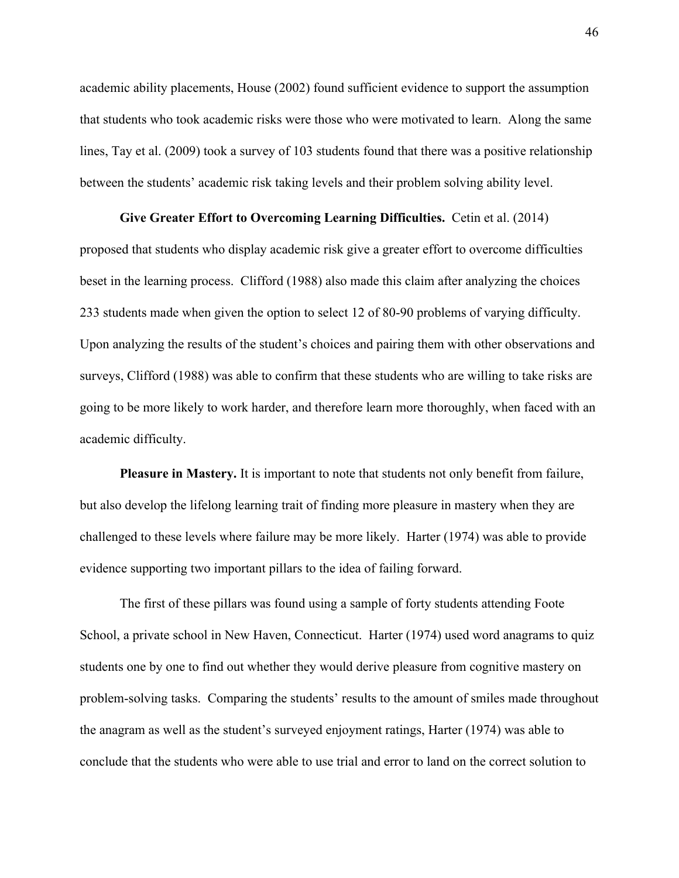academic ability placements, House (2002) found sufficient evidence to support the assumption that students who took academic risks were those who were motivated to learn. Along the same lines, Tay et al. (2009) took a survey of 103 students found that there was a positive relationship between the students' academic risk taking levels and their problem solving ability level.

## **Give Greater Effort to Overcoming Learning Difficulties.** Cetin et al. (2014)

proposed that students who display academic risk give a greater effort to overcome difficulties beset in the learning process. Clifford (1988) also made this claim after analyzing the choices 233 students made when given the option to select 12 of 80-90 problems of varying difficulty. Upon analyzing the results of the student's choices and pairing them with other observations and surveys, Clifford (1988) was able to confirm that these students who are willing to take risks are going to be more likely to work harder, and therefore learn more thoroughly, when faced with an academic difficulty.

**Pleasure in Mastery.** It is important to note that students not only benefit from failure, but also develop the lifelong learning trait of finding more pleasure in mastery when they are challenged to these levels where failure may be more likely. Harter (1974) was able to provide evidence supporting two important pillars to the idea of failing forward.

The first of these pillars was found using a sample of forty students attending Foote School, a private school in New Haven, Connecticut. Harter (1974) used word anagrams to quiz students one by one to find out whether they would derive pleasure from cognitive mastery on problem-solving tasks. Comparing the students' results to the amount of smiles made throughout the anagram as well as the student's surveyed enjoyment ratings, Harter (1974) was able to conclude that the students who were able to use trial and error to land on the correct solution to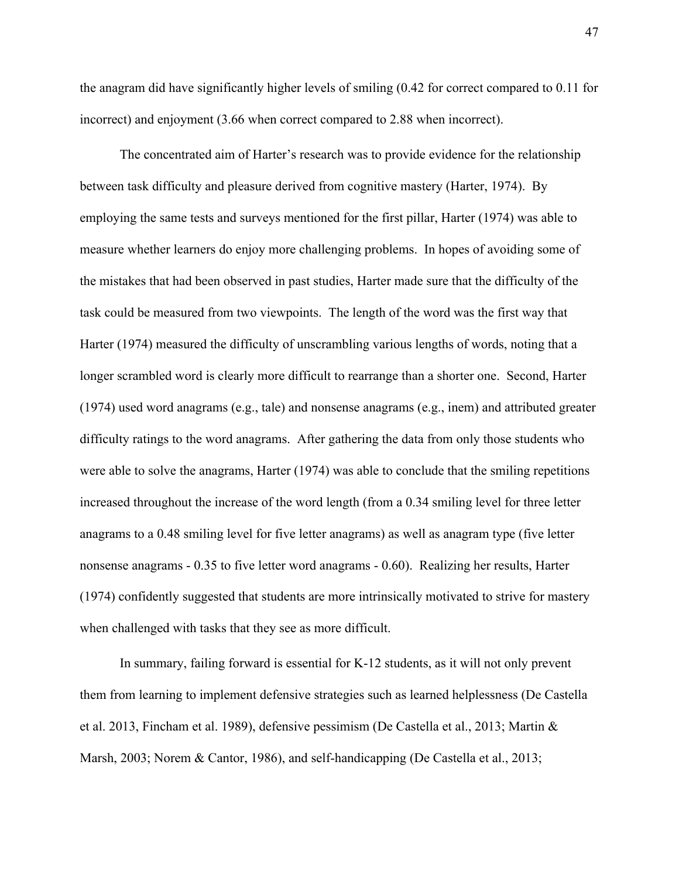the anagram did have significantly higher levels of smiling (0.42 for correct compared to 0.11 for incorrect) and enjoyment (3.66 when correct compared to 2.88 when incorrect).

The concentrated aim of Harter's research was to provide evidence for the relationship between task difficulty and pleasure derived from cognitive mastery (Harter, 1974). By employing the same tests and surveys mentioned for the first pillar, Harter (1974) was able to measure whether learners do enjoy more challenging problems. In hopes of avoiding some of the mistakes that had been observed in past studies, Harter made sure that the difficulty of the task could be measured from two viewpoints. The length of the word was the first way that Harter (1974) measured the difficulty of unscrambling various lengths of words, noting that a longer scrambled word is clearly more difficult to rearrange than a shorter one. Second, Harter (1974) used word anagrams (e.g., tale) and nonsense anagrams (e.g., inem) and attributed greater difficulty ratings to the word anagrams. After gathering the data from only those students who were able to solve the anagrams, Harter (1974) was able to conclude that the smiling repetitions increased throughout the increase of the word length (from a 0.34 smiling level for three letter anagrams to a 0.48 smiling level for five letter anagrams) as well as anagram type (five letter nonsense anagrams - 0.35 to five letter word anagrams - 0.60). Realizing her results, Harter (1974) confidently suggested that students are more intrinsically motivated to strive for mastery when challenged with tasks that they see as more difficult.

In summary, failing forward is essential for K-12 students, as it will not only prevent them from learning to implement defensive strategies such as learned helplessness (De Castella et al. 2013, Fincham et al. 1989), defensive pessimism (De Castella et al., 2013; Martin & Marsh, 2003; Norem & Cantor, 1986), and self-handicapping (De Castella et al., 2013;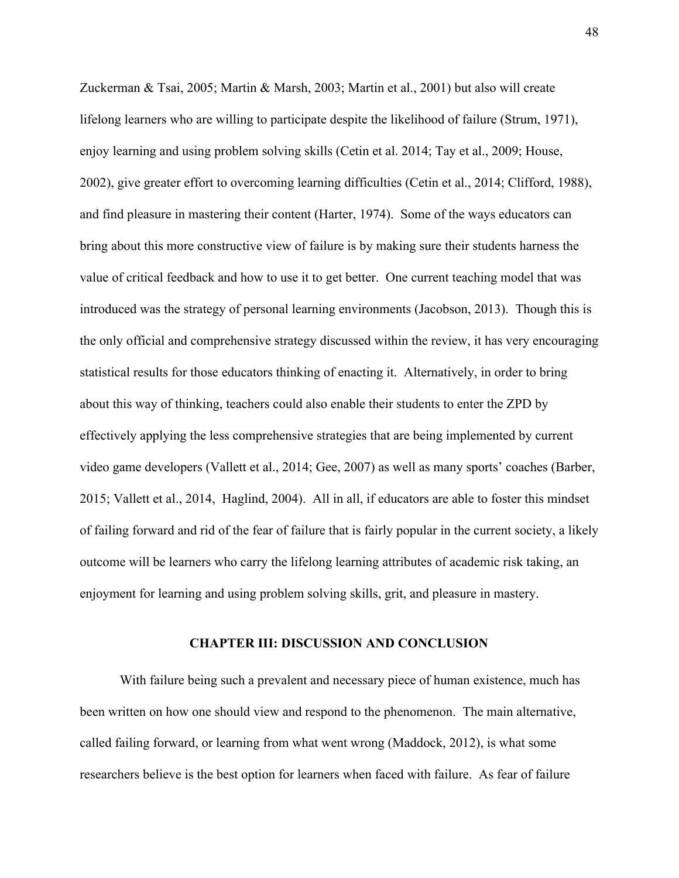Zuckerman & Tsai, 2005; Martin & Marsh, 2003; Martin et al., 2001) but also will create lifelong learners who are willing to participate despite the likelihood of failure (Strum, 1971), enjoy learning and using problem solving skills (Cetin et al. 2014; Tay et al., 2009; House, 2002), give greater effort to overcoming learning difficulties (Cetin et al., 2014; Clifford, 1988), and find pleasure in mastering their content (Harter, 1974). Some of the ways educators can bring about this more constructive view of failure is by making sure their students harness the value of critical feedback and how to use it to get better. One current teaching model that was introduced was the strategy of personal learning environments (Jacobson, 2013). Though this is the only official and comprehensive strategy discussed within the review, it has very encouraging statistical results for those educators thinking of enacting it. Alternatively, in order to bring about this way of thinking, teachers could also enable their students to enter the ZPD by effectively applying the less comprehensive strategies that are being implemented by current video game developers (Vallett et al., 2014; Gee, 2007) as well as many sports' coaches (Barber, 2015; Vallett et al., 2014, Haglind, 2004). All in all, if educators are able to foster this mindset of failing forward and rid of the fear of failure that is fairly popular in the current society, a likely outcome will be learners who carry the lifelong learning attributes of academic risk taking, an enjoyment for learning and using problem solving skills, grit, and pleasure in mastery.

#### **CHAPTER III: DISCUSSION AND CONCLUSION**

With failure being such a prevalent and necessary piece of human existence, much has been written on how one should view and respond to the phenomenon. The main alternative, called failing forward, or learning from what went wrong (Maddock, 2012), is what some researchers believe is the best option for learners when faced with failure. As fear of failure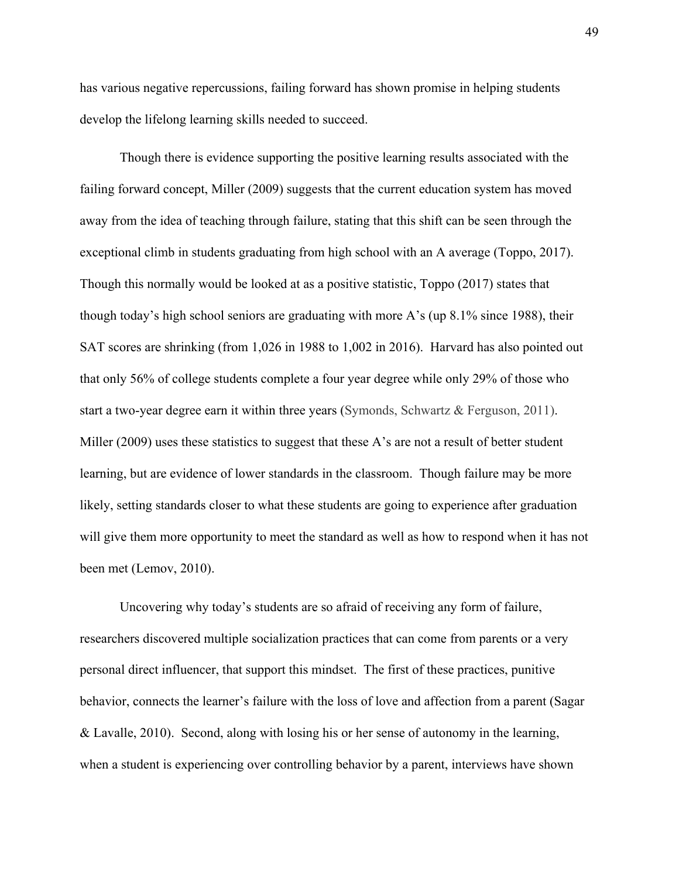has various negative repercussions, failing forward has shown promise in helping students develop the lifelong learning skills needed to succeed.

Though there is evidence supporting the positive learning results associated with the failing forward concept, Miller (2009) suggests that the current education system has moved away from the idea of teaching through failure, stating that this shift can be seen through the exceptional climb in students graduating from high school with an A average (Toppo, 2017). Though this normally would be looked at as a positive statistic, Toppo (2017) states that though today's high school seniors are graduating with more A's (up 8.1% since 1988), their SAT scores are shrinking (from 1,026 in 1988 to 1,002 in 2016). Harvard has also pointed out that only 56% of college students complete a four year degree while only 29% of those who start a two-year degree earn it within three years (Symonds, Schwartz & Ferguson, 2011). Miller (2009) uses these statistics to suggest that these A's are not a result of better student learning, but are evidence of lower standards in the classroom. Though failure may be more likely, setting standards closer to what these students are going to experience after graduation will give them more opportunity to meet the standard as well as how to respond when it has not been met (Lemov, 2010).

Uncovering why today's students are so afraid of receiving any form of failure, researchers discovered multiple socialization practices that can come from parents or a very personal direct influencer, that support this mindset. The first of these practices, punitive behavior, connects the learner's failure with the loss of love and affection from a parent (Sagar & Lavalle, 2010). Second, along with losing his or her sense of autonomy in the learning, when a student is experiencing over controlling behavior by a parent, interviews have shown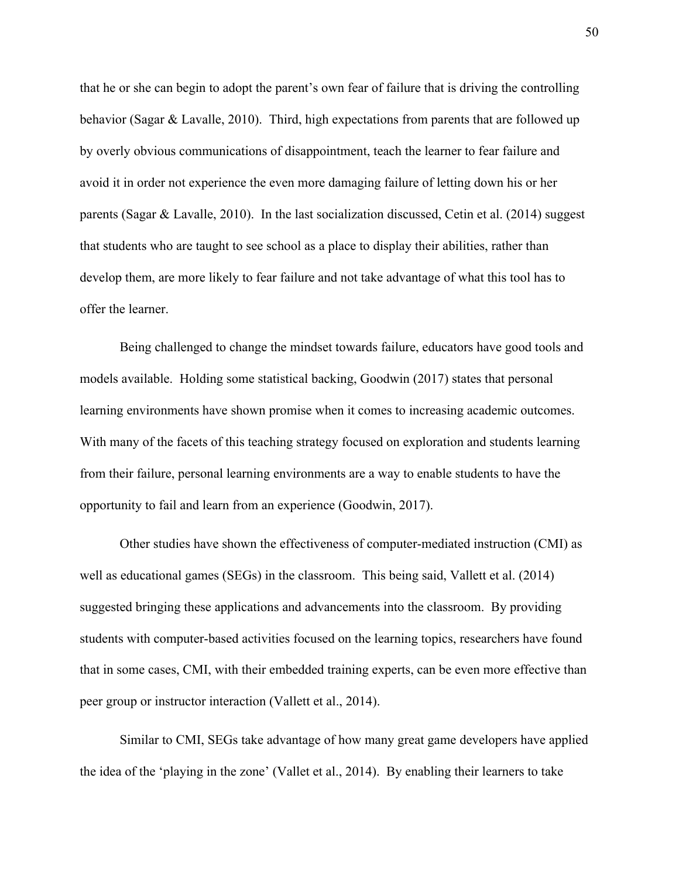that he or she can begin to adopt the parent's own fear of failure that is driving the controlling behavior (Sagar & Lavalle, 2010). Third, high expectations from parents that are followed up by overly obvious communications of disappointment, teach the learner to fear failure and avoid it in order not experience the even more damaging failure of letting down his or her parents (Sagar & Lavalle, 2010). In the last socialization discussed, Cetin et al. (2014) suggest that students who are taught to see school as a place to display their abilities, rather than develop them, are more likely to fear failure and not take advantage of what this tool has to offer the learner.

Being challenged to change the mindset towards failure, educators have good tools and models available. Holding some statistical backing, Goodwin (2017) states that personal learning environments have shown promise when it comes to increasing academic outcomes. With many of the facets of this teaching strategy focused on exploration and students learning from their failure, personal learning environments are a way to enable students to have the opportunity to fail and learn from an experience (Goodwin, 2017).

Other studies have shown the effectiveness of computer-mediated instruction (CMI) as well as educational games (SEGs) in the classroom. This being said, Vallett et al. (2014) suggested bringing these applications and advancements into the classroom. By providing students with computer-based activities focused on the learning topics, researchers have found that in some cases, CMI, with their embedded training experts, can be even more effective than peer group or instructor interaction (Vallett et al., 2014).

Similar to CMI, SEGs take advantage of how many great game developers have applied the idea of the 'playing in the zone' (Vallet et al., 2014). By enabling their learners to take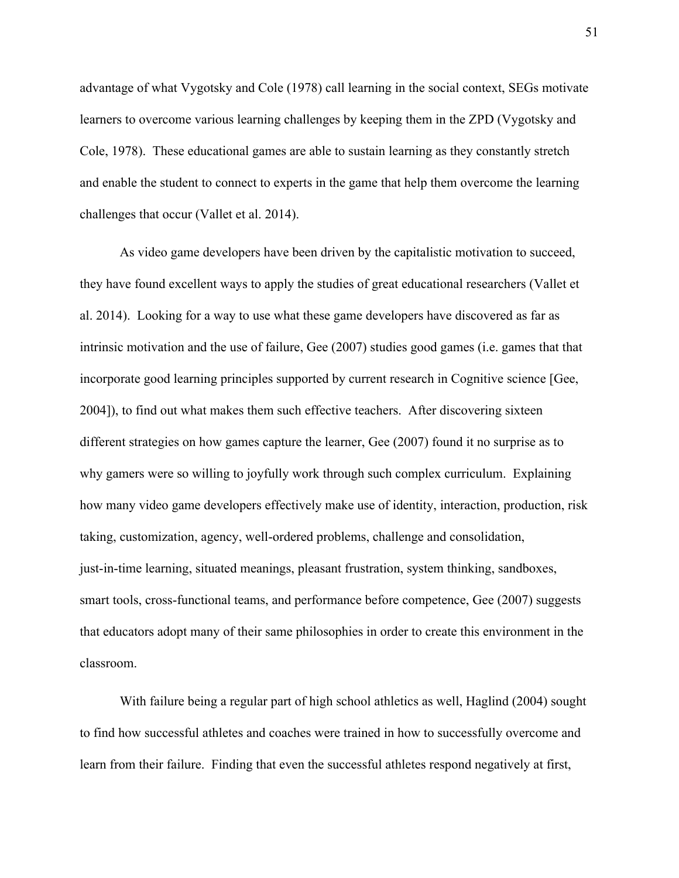advantage of what Vygotsky and Cole (1978) call learning in the social context, SEGs motivate learners to overcome various learning challenges by keeping them in the ZPD (Vygotsky and Cole, 1978). These educational games are able to sustain learning as they constantly stretch and enable the student to connect to experts in the game that help them overcome the learning challenges that occur (Vallet et al. 2014).

As video game developers have been driven by the capitalistic motivation to succeed, they have found excellent ways to apply the studies of great educational researchers (Vallet et al. 2014). Looking for a way to use what these game developers have discovered as far as intrinsic motivation and the use of failure, Gee (2007) studies good games (i.e. games that that incorporate good learning principles supported by current research in Cognitive science [Gee, 2004]), to find out what makes them such effective teachers. After discovering sixteen different strategies on how games capture the learner, Gee (2007) found it no surprise as to why gamers were so willing to joyfully work through such complex curriculum. Explaining how many video game developers effectively make use of identity, interaction, production, risk taking, customization, agency, well-ordered problems, challenge and consolidation, just-in-time learning, situated meanings, pleasant frustration, system thinking, sandboxes, smart tools, cross-functional teams, and performance before competence, Gee (2007) suggests that educators adopt many of their same philosophies in order to create this environment in the classroom.

With failure being a regular part of high school athletics as well, Haglind (2004) sought to find how successful athletes and coaches were trained in how to successfully overcome and learn from their failure. Finding that even the successful athletes respond negatively at first,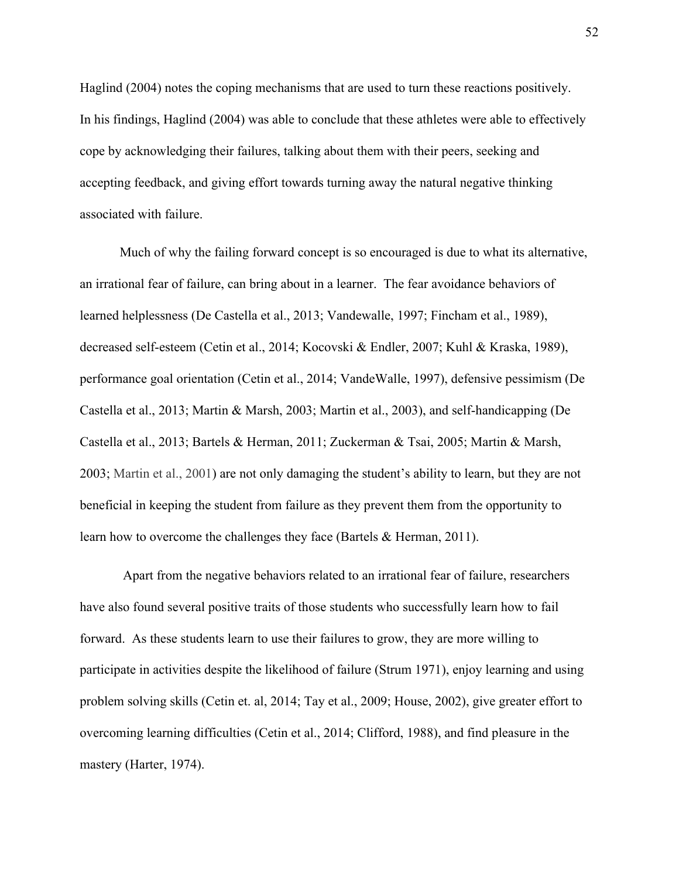Haglind (2004) notes the coping mechanisms that are used to turn these reactions positively. In his findings, Haglind (2004) was able to conclude that these athletes were able to effectively cope by acknowledging their failures, talking about them with their peers, seeking and accepting feedback, and giving effort towards turning away the natural negative thinking associated with failure.

Much of why the failing forward concept is so encouraged is due to what its alternative, an irrational fear of failure, can bring about in a learner. The fear avoidance behaviors of learned helplessness (De Castella et al., 2013; Vandewalle, 1997; Fincham et al., 1989), decreased self-esteem (Cetin et al., 2014; Kocovski & Endler, 2007; Kuhl & Kraska, 1989), performance goal orientation (Cetin et al., 2014; VandeWalle, 1997), defensive pessimism (De Castella et al., 2013; Martin & Marsh, 2003; Martin et al., 2003), and self-handicapping (De Castella et al., 2013; Bartels & Herman, 2011; Zuckerman & Tsai, 2005; Martin & Marsh, 2003; Martin et al., 2001) are not only damaging the student's ability to learn, but they are not beneficial in keeping the student from failure as they prevent them from the opportunity to learn how to overcome the challenges they face (Bartels & Herman, 2011).

 Apart from the negative behaviors related to an irrational fear of failure, researchers have also found several positive traits of those students who successfully learn how to fail forward. As these students learn to use their failures to grow, they are more willing to participate in activities despite the likelihood of failure (Strum 1971), enjoy learning and using problem solving skills (Cetin et. al, 2014; Tay et al., 2009; House, 2002), give greater effort to overcoming learning difficulties (Cetin et al., 2014; Clifford, 1988), and find pleasure in the mastery (Harter, 1974).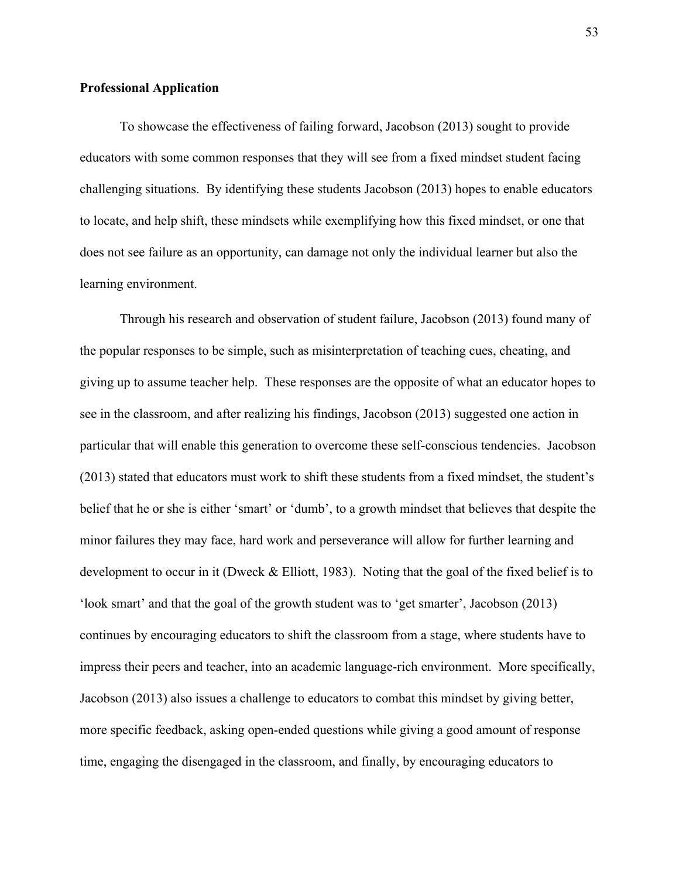## **Professional Application**

To showcase the effectiveness of failing forward, Jacobson (2013) sought to provide educators with some common responses that they will see from a fixed mindset student facing challenging situations. By identifying these students Jacobson (2013) hopes to enable educators to locate, and help shift, these mindsets while exemplifying how this fixed mindset, or one that does not see failure as an opportunity, can damage not only the individual learner but also the learning environment.

Through his research and observation of student failure, Jacobson (2013) found many of the popular responses to be simple, such as misinterpretation of teaching cues, cheating, and giving up to assume teacher help. These responses are the opposite of what an educator hopes to see in the classroom, and after realizing his findings, Jacobson (2013) suggested one action in particular that will enable this generation to overcome these self-conscious tendencies. Jacobson (2013) stated that educators must work to shift these students from a fixed mindset, the student's belief that he or she is either 'smart' or 'dumb', to a growth mindset that believes that despite the minor failures they may face, hard work and perseverance will allow for further learning and development to occur in it (Dweck & Elliott, 1983). Noting that the goal of the fixed belief is to 'look smart' and that the goal of the growth student was to 'get smarter', Jacobson (2013) continues by encouraging educators to shift the classroom from a stage, where students have to impress their peers and teacher, into an academic language-rich environment. More specifically, Jacobson (2013) also issues a challenge to educators to combat this mindset by giving better, more specific feedback, asking open-ended questions while giving a good amount of response time, engaging the disengaged in the classroom, and finally, by encouraging educators to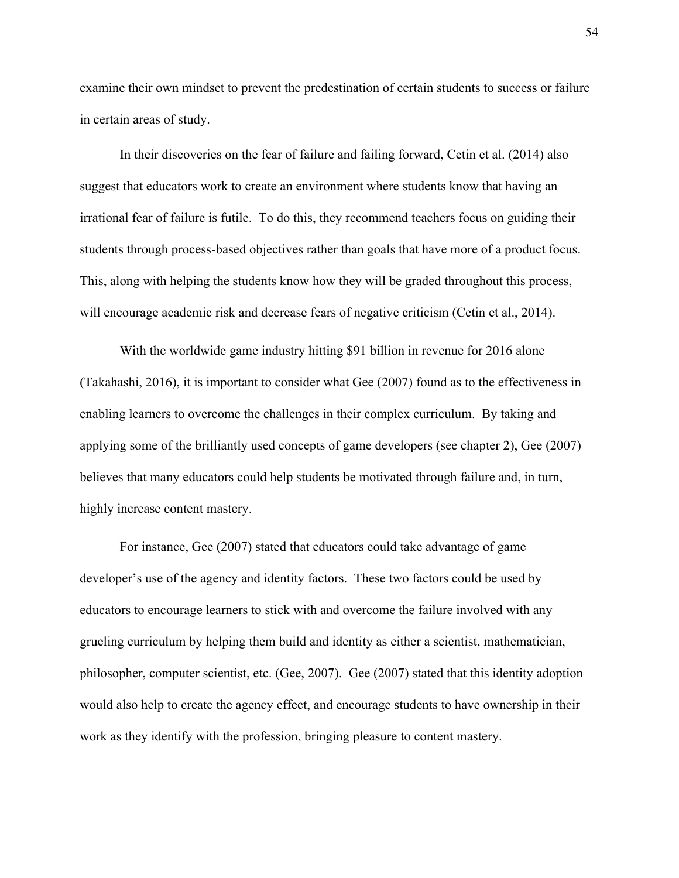examine their own mindset to prevent the predestination of certain students to success or failure in certain areas of study.

In their discoveries on the fear of failure and failing forward, Cetin et al. (2014) also suggest that educators work to create an environment where students know that having an irrational fear of failure is futile. To do this, they recommend teachers focus on guiding their students through process-based objectives rather than goals that have more of a product focus. This, along with helping the students know how they will be graded throughout this process, will encourage academic risk and decrease fears of negative criticism (Cetin et al., 2014).

With the worldwide game industry hitting \$91 billion in revenue for 2016 alone (Takahashi, 2016), it is important to consider what Gee (2007) found as to the effectiveness in enabling learners to overcome the challenges in their complex curriculum. By taking and applying some of the brilliantly used concepts of game developers (see chapter 2), Gee (2007) believes that many educators could help students be motivated through failure and, in turn, highly increase content mastery.

For instance, Gee (2007) stated that educators could take advantage of game developer's use of the agency and identity factors. These two factors could be used by educators to encourage learners to stick with and overcome the failure involved with any grueling curriculum by helping them build and identity as either a scientist, mathematician, philosopher, computer scientist, etc. (Gee, 2007). Gee (2007) stated that this identity adoption would also help to create the agency effect, and encourage students to have ownership in their work as they identify with the profession, bringing pleasure to content mastery.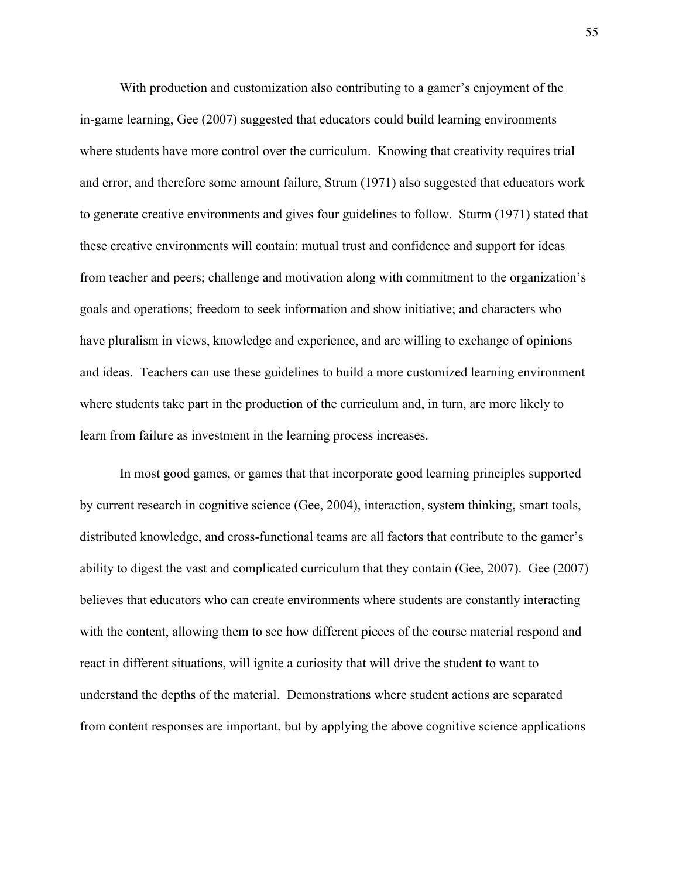With production and customization also contributing to a gamer's enjoyment of the in-game learning, Gee (2007) suggested that educators could build learning environments where students have more control over the curriculum. Knowing that creativity requires trial and error, and therefore some amount failure, Strum (1971) also suggested that educators work to generate creative environments and gives four guidelines to follow. Sturm (1971) stated that these creative environments will contain: mutual trust and confidence and support for ideas from teacher and peers; challenge and motivation along with commitment to the organization's goals and operations; freedom to seek information and show initiative; and characters who have pluralism in views, knowledge and experience, and are willing to exchange of opinions and ideas. Teachers can use these guidelines to build a more customized learning environment where students take part in the production of the curriculum and, in turn, are more likely to learn from failure as investment in the learning process increases.

In most good games, or games that that incorporate good learning principles supported by current research in cognitive science (Gee, 2004), interaction, system thinking, smart tools, distributed knowledge, and cross-functional teams are all factors that contribute to the gamer's ability to digest the vast and complicated curriculum that they contain (Gee, 2007). Gee (2007) believes that educators who can create environments where students are constantly interacting with the content, allowing them to see how different pieces of the course material respond and react in different situations, will ignite a curiosity that will drive the student to want to understand the depths of the material. Demonstrations where student actions are separated from content responses are important, but by applying the above cognitive science applications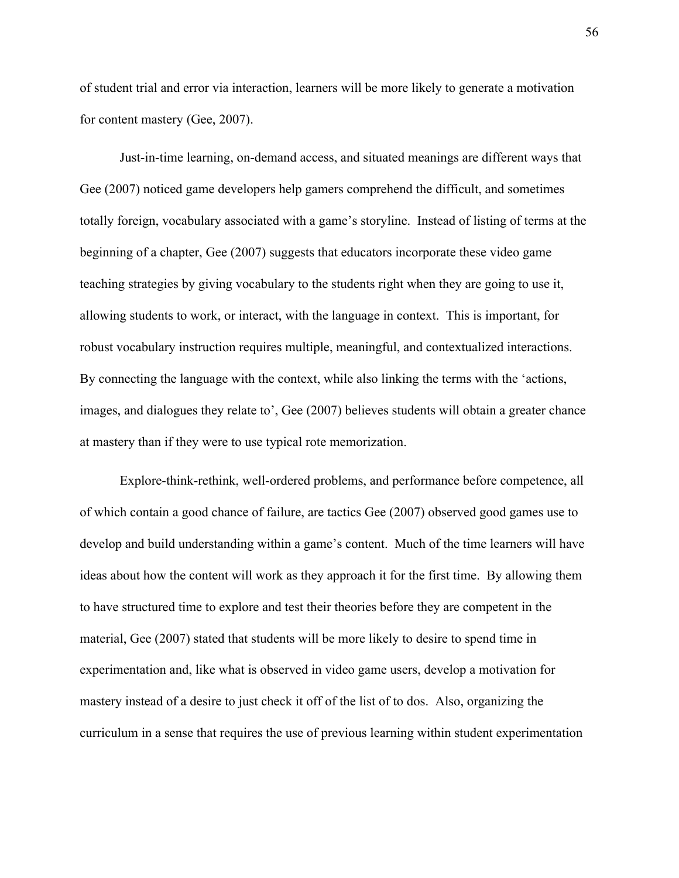of student trial and error via interaction, learners will be more likely to generate a motivation for content mastery (Gee, 2007).

Just-in-time learning, on-demand access, and situated meanings are different ways that Gee (2007) noticed game developers help gamers comprehend the difficult, and sometimes totally foreign, vocabulary associated with a game's storyline. Instead of listing of terms at the beginning of a chapter, Gee (2007) suggests that educators incorporate these video game teaching strategies by giving vocabulary to the students right when they are going to use it, allowing students to work, or interact, with the language in context. This is important, for robust vocabulary instruction requires multiple, meaningful, and contextualized interactions. By connecting the language with the context, while also linking the terms with the 'actions, images, and dialogues they relate to', Gee (2007) believes students will obtain a greater chance at mastery than if they were to use typical rote memorization.

Explore-think-rethink, well-ordered problems, and performance before competence, all of which contain a good chance of failure, are tactics Gee (2007) observed good games use to develop and build understanding within a game's content. Much of the time learners will have ideas about how the content will work as they approach it for the first time. By allowing them to have structured time to explore and test their theories before they are competent in the material, Gee (2007) stated that students will be more likely to desire to spend time in experimentation and, like what is observed in video game users, develop a motivation for mastery instead of a desire to just check it off of the list of to dos. Also, organizing the curriculum in a sense that requires the use of previous learning within student experimentation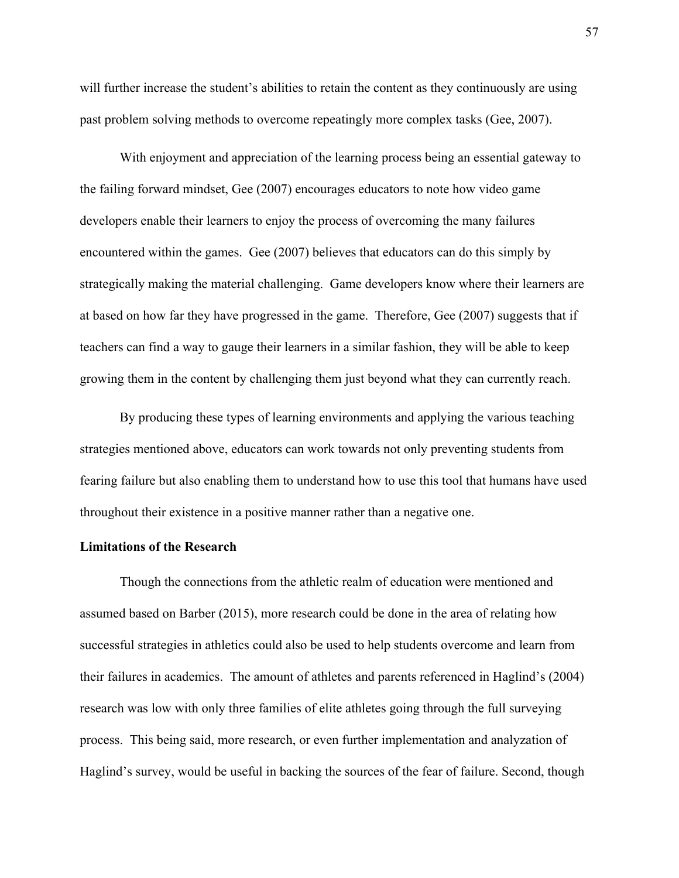will further increase the student's abilities to retain the content as they continuously are using past problem solving methods to overcome repeatingly more complex tasks (Gee, 2007).

With enjoyment and appreciation of the learning process being an essential gateway to the failing forward mindset, Gee (2007) encourages educators to note how video game developers enable their learners to enjoy the process of overcoming the many failures encountered within the games. Gee (2007) believes that educators can do this simply by strategically making the material challenging. Game developers know where their learners are at based on how far they have progressed in the game. Therefore, Gee (2007) suggests that if teachers can find a way to gauge their learners in a similar fashion, they will be able to keep growing them in the content by challenging them just beyond what they can currently reach.

By producing these types of learning environments and applying the various teaching strategies mentioned above, educators can work towards not only preventing students from fearing failure but also enabling them to understand how to use this tool that humans have used throughout their existence in a positive manner rather than a negative one.

## **Limitations of the Research**

Though the connections from the athletic realm of education were mentioned and assumed based on Barber (2015), more research could be done in the area of relating how successful strategies in athletics could also be used to help students overcome and learn from their failures in academics. The amount of athletes and parents referenced in Haglind's (2004) research was low with only three families of elite athletes going through the full surveying process. This being said, more research, or even further implementation and analyzation of Haglind's survey, would be useful in backing the sources of the fear of failure. Second, though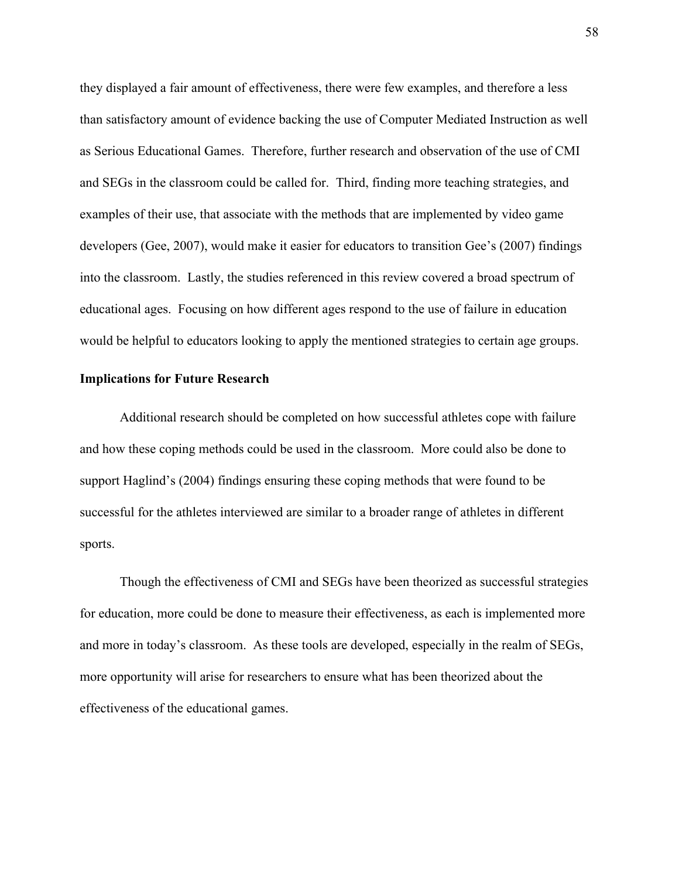they displayed a fair amount of effectiveness, there were few examples, and therefore a less than satisfactory amount of evidence backing the use of Computer Mediated Instruction as well as Serious Educational Games. Therefore, further research and observation of the use of CMI and SEGs in the classroom could be called for. Third, finding more teaching strategies, and examples of their use, that associate with the methods that are implemented by video game developers (Gee, 2007), would make it easier for educators to transition Gee's (2007) findings into the classroom. Lastly, the studies referenced in this review covered a broad spectrum of educational ages. Focusing on how different ages respond to the use of failure in education would be helpful to educators looking to apply the mentioned strategies to certain age groups.

## **Implications for Future Research**

Additional research should be completed on how successful athletes cope with failure and how these coping methods could be used in the classroom. More could also be done to support Haglind's (2004) findings ensuring these coping methods that were found to be successful for the athletes interviewed are similar to a broader range of athletes in different sports.

Though the effectiveness of CMI and SEGs have been theorized as successful strategies for education, more could be done to measure their effectiveness, as each is implemented more and more in today's classroom. As these tools are developed, especially in the realm of SEGs, more opportunity will arise for researchers to ensure what has been theorized about the effectiveness of the educational games.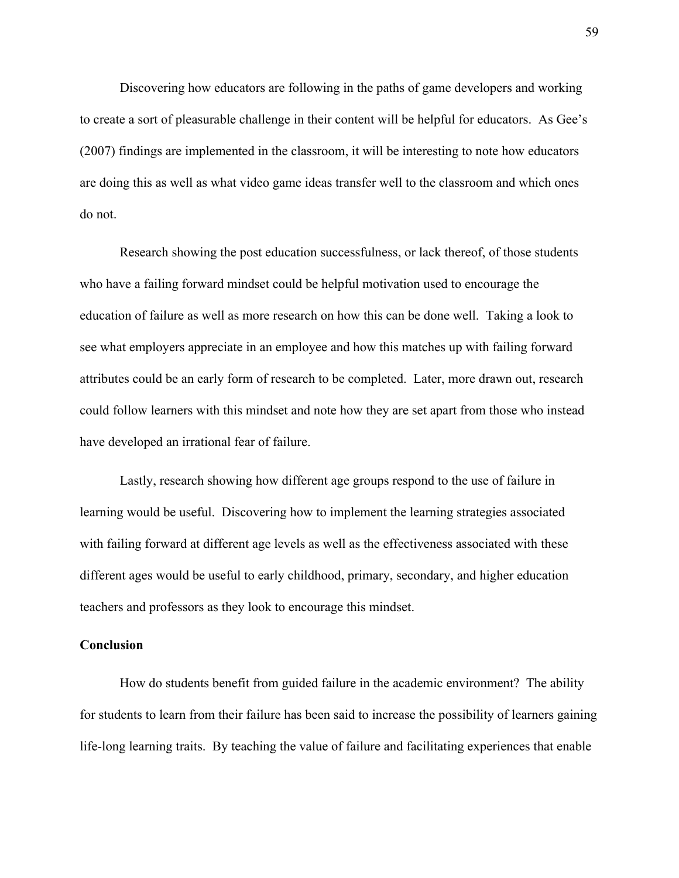Discovering how educators are following in the paths of game developers and working to create a sort of pleasurable challenge in their content will be helpful for educators. As Gee's (2007) findings are implemented in the classroom, it will be interesting to note how educators are doing this as well as what video game ideas transfer well to the classroom and which ones do not.

Research showing the post education successfulness, or lack thereof, of those students who have a failing forward mindset could be helpful motivation used to encourage the education of failure as well as more research on how this can be done well. Taking a look to see what employers appreciate in an employee and how this matches up with failing forward attributes could be an early form of research to be completed. Later, more drawn out, research could follow learners with this mindset and note how they are set apart from those who instead have developed an irrational fear of failure.

Lastly, research showing how different age groups respond to the use of failure in learning would be useful. Discovering how to implement the learning strategies associated with failing forward at different age levels as well as the effectiveness associated with these different ages would be useful to early childhood, primary, secondary, and higher education teachers and professors as they look to encourage this mindset.

## **Conclusion**

How do students benefit from guided failure in the academic environment? The ability for students to learn from their failure has been said to increase the possibility of learners gaining life-long learning traits. By teaching the value of failure and facilitating experiences that enable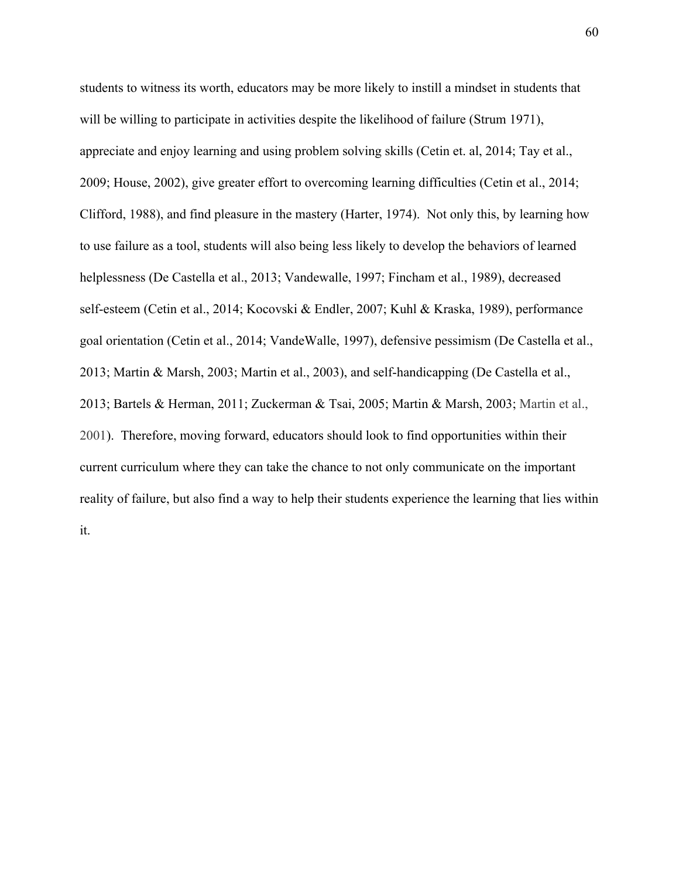students to witness its worth, educators may be more likely to instill a mindset in students that will be willing to participate in activities despite the likelihood of failure (Strum 1971), appreciate and enjoy learning and using problem solving skills (Cetin et. al, 2014; Tay et al., 2009; House, 2002), give greater effort to overcoming learning difficulties (Cetin et al., 2014; Clifford, 1988), and find pleasure in the mastery (Harter, 1974). Not only this, by learning how to use failure as a tool, students will also being less likely to develop the behaviors of learned helplessness (De Castella et al., 2013; Vandewalle, 1997; Fincham et al., 1989), decreased self-esteem (Cetin et al., 2014; Kocovski & Endler, 2007; Kuhl & Kraska, 1989), performance goal orientation (Cetin et al., 2014; VandeWalle, 1997), defensive pessimism (De Castella et al., 2013; Martin & Marsh, 2003; Martin et al., 2003), and self-handicapping (De Castella et al., 2013; Bartels & Herman, 2011; Zuckerman & Tsai, 2005; Martin & Marsh, 2003; Martin et al., 2001). Therefore, moving forward, educators should look to find opportunities within their current curriculum where they can take the chance to not only communicate on the important reality of failure, but also find a way to help their students experience the learning that lies within it.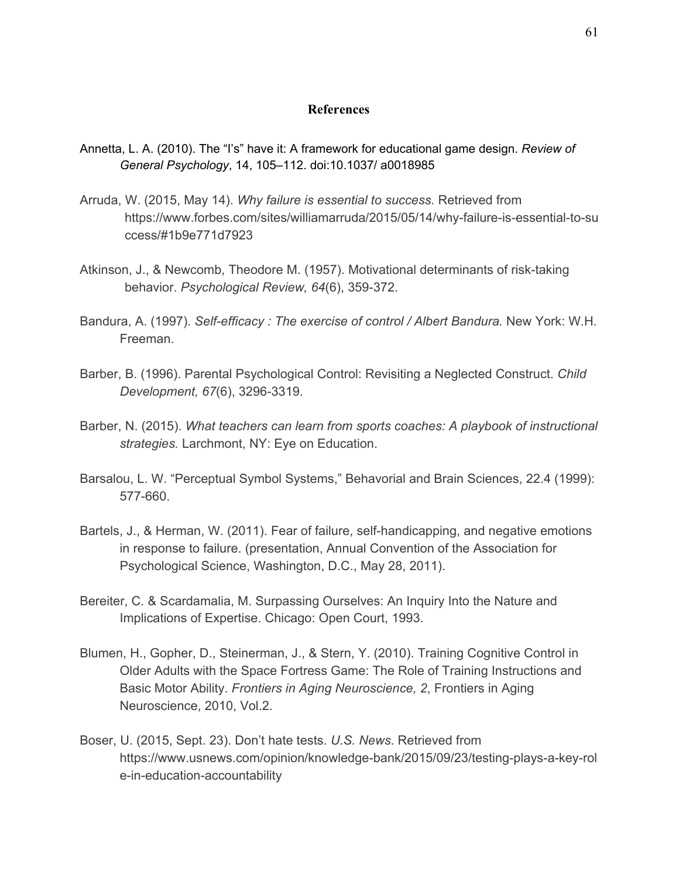## **References**

- Annetta, L. A. (2010). The "I's" have it: A framework for educational game design. *Review of General Psychology*, 14, 105–112. doi:10.1037/ a0018985
- Arruda, W. (2015, May 14). *Why failure is essential to success.* Retrieved from https://www.forbes.com/sites/williamarruda/2015/05/14/why-failure-is-essential-to-su ccess/#1b9e771d7923
- Atkinson, J., & Newcomb, Theodore M. (1957). Motivational determinants of risk-taking behavior. *Psychological Review, 64*(6), 359-372.
- Bandura, A. (1997). *Self-efficacy : The exercise of control / Albert Bandura.* New York: W.H. Freeman.
- Barber, B. (1996). Parental Psychological Control: Revisiting a Neglected Construct. *Child Development, 67*(6), 3296-3319.
- Barber, N. (2015). *What teachers can learn from sports coaches: A playbook of instructional strategies.* Larchmont, NY: Eye on Education.
- Barsalou, L. W. "Perceptual Symbol Systems," Behavorial and Brain Sciences, 22.4 (1999): 577-660.
- Bartels, J., & Herman, W. (2011). Fear of failure, self-handicapping, and negative emotions in response to failure. (presentation, Annual Convention of the Association for Psychological Science, Washington, D.C., May 28, 2011).
- Bereiter, C. & Scardamalia, M. Surpassing Ourselves: An Inquiry Into the Nature and Implications of Expertise. Chicago: Open Court, 1993.
- Blumen, H., Gopher, D., Steinerman, J., & Stern, Y. (2010). Training Cognitive Control in Older Adults with the Space Fortress Game: The Role of Training Instructions and Basic Motor Ability. *Frontiers in Aging Neuroscience, 2*, Frontiers in Aging Neuroscience, 2010, Vol.2.
- Boser, U. (2015, Sept. 23). Don't hate tests. *U.S. News*. Retrieved from https://www.usnews.com/opinion/knowledge-bank/2015/09/23/testing-plays-a-key-rol e-in-education-accountability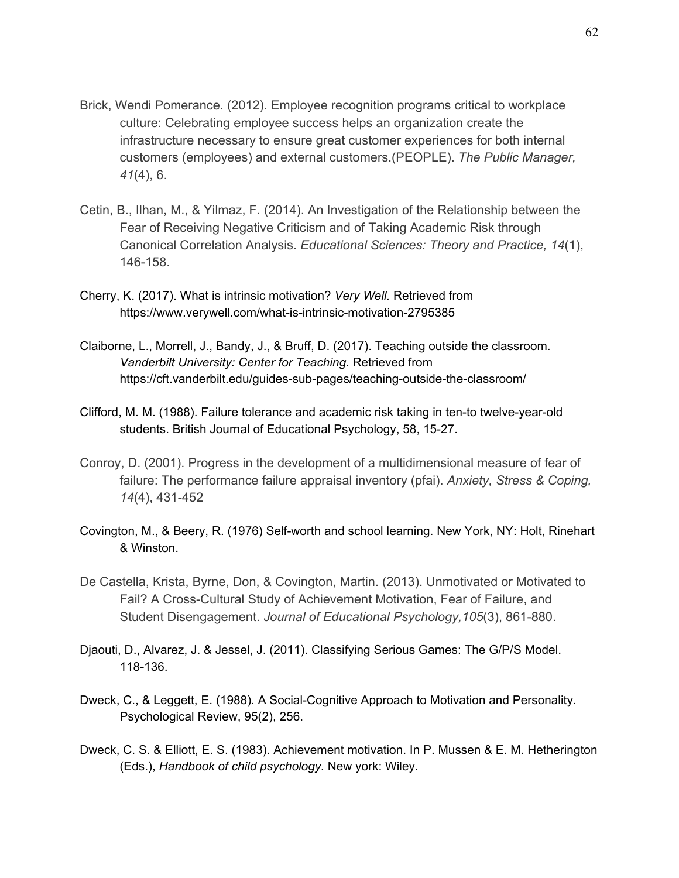- Brick, Wendi Pomerance. (2012). Employee recognition programs critical to workplace culture: Celebrating employee success helps an organization create the infrastructure necessary to ensure great customer experiences for both internal customers (employees) and external customers.(PEOPLE). *The Public Manager, 41*(4), 6.
- Cetin, B., Ilhan, M., & Yilmaz, F. (2014). An Investigation of the Relationship between the Fear of Receiving Negative Criticism and of Taking Academic Risk through Canonical Correlation Analysis. *Educational Sciences: Theory and Practice, 14*(1), 146-158.
- Cherry, K. (2017). What is intrinsic motivation? *Very Well.* Retrieved from https://www.verywell.com/what-is-intrinsic-motivation-2795385
- Claiborne, L., Morrell, J., Bandy, J., & Bruff, D. (2017). Teaching outside the classroom. *Vanderbilt University: Center for Teaching*. Retrieved from https://cft.vanderbilt.edu/guides-sub-pages/teaching-outside-the-classroom/
- Clifford, M. M. (1988). Failure tolerance and academic risk taking in ten-to twelve-year-old students. British Journal of Educational Psychology, 58, 15-27.
- Conroy, D. (2001). Progress in the development of a multidimensional measure of fear of failure: The performance failure appraisal inventory (pfai). *Anxiety, Stress & Coping, 14*(4), 431-452
- Covington, M., & Beery, R. (1976) Self-worth and school learning. New York, NY: Holt, Rinehart & Winston.
- De Castella, Krista, Byrne, Don, & Covington, Martin. (2013). Unmotivated or Motivated to Fail? A Cross-Cultural Study of Achievement Motivation, Fear of Failure, and Student Disengagement. *Journal of Educational Psychology,105*(3), 861-880.
- Djaouti, D., Alvarez, J. & Jessel, J. (2011). Classifying Serious Games: The G/P/S Model. 118-136.
- Dweck, C., & Leggett, E. (1988). A Social-Cognitive Approach to Motivation and Personality. Psychological Review, 95(2), 256.
- Dweck, C. S. & Elliott, E. S. (1983). Achievement motivation. In P. Mussen & E. M. Hetherington (Eds.), *Handbook of child psychology.* New york: Wiley.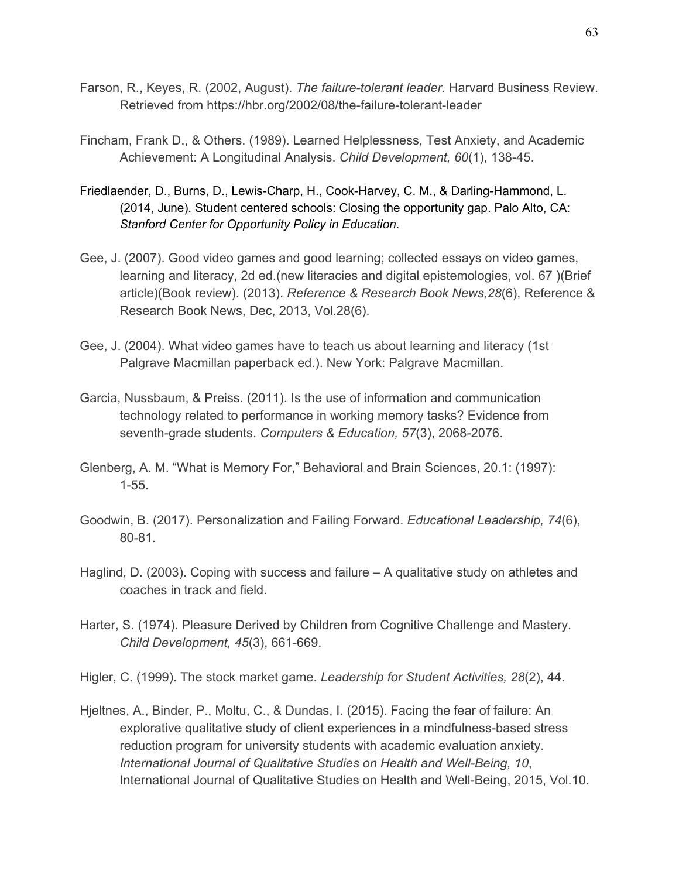- Farson, R., Keyes, R. (2002, August). *The failure-tolerant leader.* Harvard Business Review. Retrieved from https://hbr.org/2002/08/the-failure-tolerant-leader
- Fincham, Frank D., & Others. (1989). Learned Helplessness, Test Anxiety, and Academic Achievement: A Longitudinal Analysis. *Child Development, 60*(1), 138-45.
- Friedlaender, D., Burns, D., Lewis-Charp, H., Cook-Harvey, C. M., & Darling-Hammond, L. (2014, June). Student centered schools: Closing the opportunity gap. Palo Alto, CA: *Stanford Center for Opportunity Policy in Education*.
- Gee, J. (2007). Good video games and good learning; collected essays on video games, learning and literacy, 2d ed.(new literacies and digital epistemologies, vol. 67 )(Brief article)(Book review). (2013). *Reference & Research Book News,28*(6), Reference & Research Book News, Dec, 2013, Vol.28(6).
- Gee, J. (2004). What video games have to teach us about learning and literacy (1st Palgrave Macmillan paperback ed.). New York: Palgrave Macmillan.
- Garcia, Nussbaum, & Preiss. (2011). Is the use of information and communication technology related to performance in working memory tasks? Evidence from seventh-grade students. *Computers & Education, 57*(3), 2068-2076.
- Glenberg, A. M. "What is Memory For," Behavioral and Brain Sciences, 20.1: (1997): 1-55.
- Goodwin, B. (2017). Personalization and Failing Forward. *Educational Leadership, 74*(6), 80-81.
- Haglind, D. (2003). Coping with success and failure A qualitative study on athletes and coaches in track and field.
- Harter, S. (1974). Pleasure Derived by Children from Cognitive Challenge and Mastery. *Child Development, 45*(3), 661-669.
- Higler, C. (1999). The stock market game. *Leadership for Student Activities, 28*(2), 44.
- Hjeltnes, A., Binder, P., Moltu, C., & Dundas, I. (2015). Facing the fear of failure: An explorative qualitative study of client experiences in a mindfulness-based stress reduction program for university students with academic evaluation anxiety. *International Journal of Qualitative Studies on Health and Well-Being, 10*, International Journal of Qualitative Studies on Health and Well-Being, 2015, Vol.10.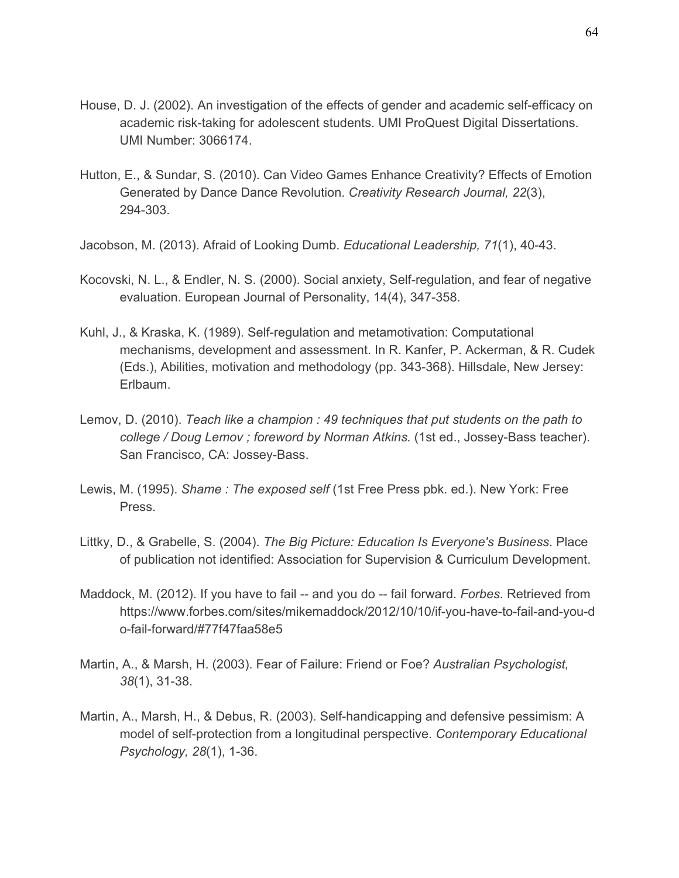- House, D. J. (2002). An investigation of the effects of gender and academic self-efficacy on academic risk-taking for adolescent students. UMI ProQuest Digital Dissertations. UMI Number: 3066174.
- Hutton, E., & Sundar, S. (2010). Can Video Games Enhance Creativity? Effects of Emotion Generated by Dance Dance Revolution. *Creativity Research Journal, 22*(3), 294-303.
- Jacobson, M. (2013). Afraid of Looking Dumb. *Educational Leadership, 71*(1), 40-43.
- Kocovski, N. L., & Endler, N. S. (2000). Social anxiety, Self-regulation, and fear of negative evaluation. European Journal of Personality, 14(4), 347-358.
- Kuhl, J., & Kraska, K. (1989). Self-regulation and metamotivation: Computational mechanisms, development and assessment. In R. Kanfer, P. Ackerman, & R. Cudek (Eds.), Abilities, motivation and methodology (pp. 343-368). Hillsdale, New Jersey: Erlbaum.
- Lemov, D. (2010). *Teach like a champion : 49 techniques that put students on the path to college / Doug Lemov ; foreword by Norman Atkins.* (1st ed., Jossey-Bass teacher). San Francisco, CA: Jossey-Bass.
- Lewis, M. (1995). *Shame : The exposed self* (1st Free Press pbk. ed.). New York: Free Press.
- Littky, D., & Grabelle, S. (2004). *The Big Picture: Education Is Everyone's Business*. Place of publication not identified: Association for Supervision & Curriculum Development.
- Maddock, M. (2012). If you have to fail -- and you do -- fail forward. *Forbes.* Retrieved from https://www.forbes.com/sites/mikemaddock/2012/10/10/if-you-have-to-fail-and-you-d o-fail-forward/#77f47faa58e5
- Martin, A., & Marsh, H. (2003). Fear of Failure: Friend or Foe? *Australian Psychologist, 38*(1), 31-38.
- Martin, A., Marsh, H., & Debus, R. (2003). Self-handicapping and defensive pessimism: A model of self-protection from a longitudinal perspective. *Contemporary Educational Psychology, 28*(1), 1-36.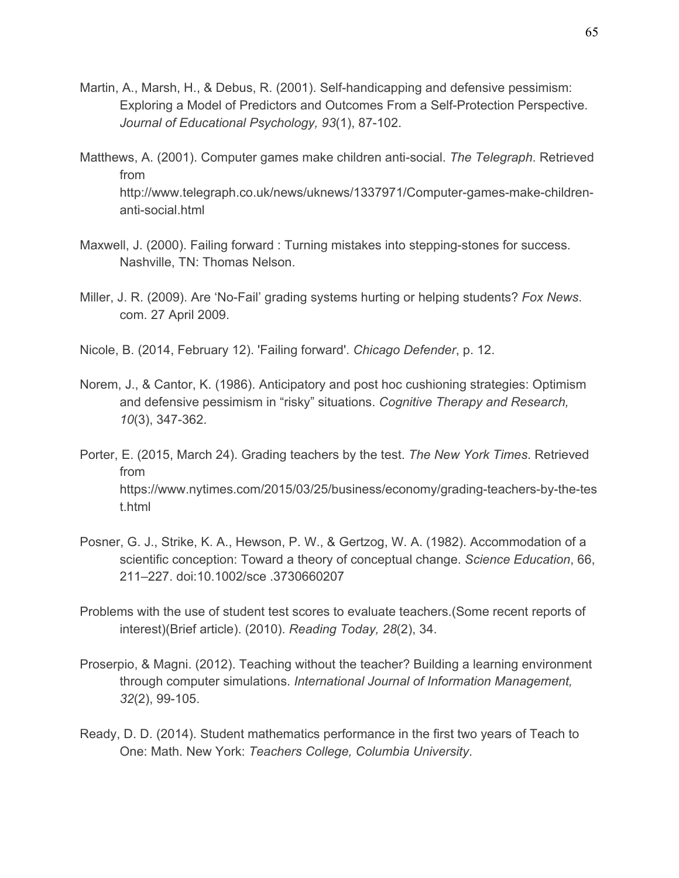- Martin, A., Marsh, H., & Debus, R. (2001). Self-handicapping and defensive pessimism: Exploring a Model of Predictors and Outcomes From a Self-Protection Perspective. *Journal of Educational Psychology, 93*(1), 87-102.
- Matthews, A. (2001). Computer games make children anti-social. *The Telegraph*. Retrieved from http://www.telegraph.co.uk/news/uknews/1337971/Computer-games-make-childrenanti-social.html
- Maxwell, J. (2000). Failing forward : Turning mistakes into stepping-stones for success. Nashville, TN: Thomas Nelson.
- Miller, J. R. (2009). Are 'No-Fail' grading systems hurting or helping students? *Fox News*. com. 27 April 2009.
- Nicole, B. (2014, February 12). 'Failing forward'. *Chicago Defender*, p. 12.
- Norem, J., & Cantor, K. (1986). Anticipatory and post hoc cushioning strategies: Optimism and defensive pessimism in "risky" situations. *Cognitive Therapy and Research, 10*(3), 347-362.
- Porter, E. (2015, March 24). Grading teachers by the test. *The New York Times*. Retrieved from https://www.nytimes.com/2015/03/25/business/economy/grading-teachers-by-the-tes t.html
- Posner, G. J., Strike, K. A., Hewson, P. W., & Gertzog, W. A. (1982). Accommodation of a scientific conception: Toward a theory of conceptual change. *Science Education*, 66, 211–227. doi:10.1002/sce .3730660207
- Problems with the use of student test scores to evaluate teachers.(Some recent reports of interest)(Brief article). (2010). *Reading Today, 28*(2), 34.
- Proserpio, & Magni. (2012). Teaching without the teacher? Building a learning environment through computer simulations. *International Journal of Information Management, 32*(2), 99-105.
- Ready, D. D. (2014). Student mathematics performance in the first two years of Teach to One: Math. New York: *Teachers College, Columbia University*.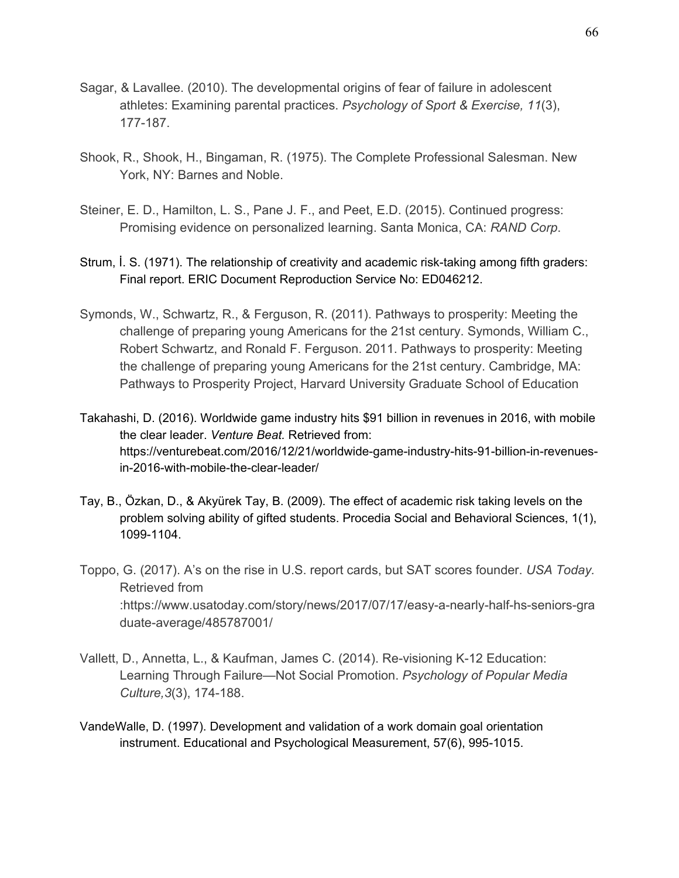- Sagar, & Lavallee. (2010). The developmental origins of fear of failure in adolescent athletes: Examining parental practices. *Psychology of Sport & Exercise, 11*(3), 177-187.
- Shook, R., Shook, H., Bingaman, R. (1975). The Complete Professional Salesman. New York, NY: Barnes and Noble.
- Steiner, E. D., Hamilton, L. S., Pane J. F., and Peet, E.D. (2015). Continued progress: Promising evidence on personalized learning. Santa Monica, CA: *RAND Corp*.
- Strum, İ. S. (1971). The relationship of creativity and academic risk-taking among fifth graders: Final report. ERIC Document Reproduction Service No: ED046212.
- Symonds, W., Schwartz, R., & Ferguson, R. (2011). Pathways to prosperity: Meeting the challenge of preparing young Americans for the 21st century. Symonds, William C., Robert Schwartz, and Ronald F. Ferguson. 2011. Pathways to prosperity: Meeting the challenge of preparing young Americans for the 21st century. Cambridge, MA: Pathways to Prosperity Project, Harvard University Graduate School of Education
- Takahashi, D. (2016). Worldwide game industry hits \$91 billion in revenues in 2016, with mobile the clear leader. *Venture Beat.* Retrieved from: https://venturebeat.com/2016/12/21/worldwide-game-industry-hits-91-billion-in-revenuesin-2016-with-mobile-the-clear-leader/
- Tay, B., Özkan, D., & Akyürek Tay, B. (2009). The effect of academic risk taking levels on the problem solving ability of gifted students. Procedia Social and Behavioral Sciences, 1(1), 1099-1104.
- Toppo, G. (2017). A's on the rise in U.S. report cards, but SAT scores founder. *USA Today.* Retrieved from :https://www.usatoday.com/story/news/2017/07/17/easy-a-nearly-half-hs-seniors-gra duate-average/485787001/
- Vallett, D., Annetta, L., & Kaufman, James C. (2014). Re-visioning K-12 Education: Learning Through Failure—Not Social Promotion. *Psychology of Popular Media Culture,3*(3), 174-188.
- VandeWalle, D. (1997). Development and validation of a work domain goal orientation instrument. Educational and Psychological Measurement, 57(6), 995-1015.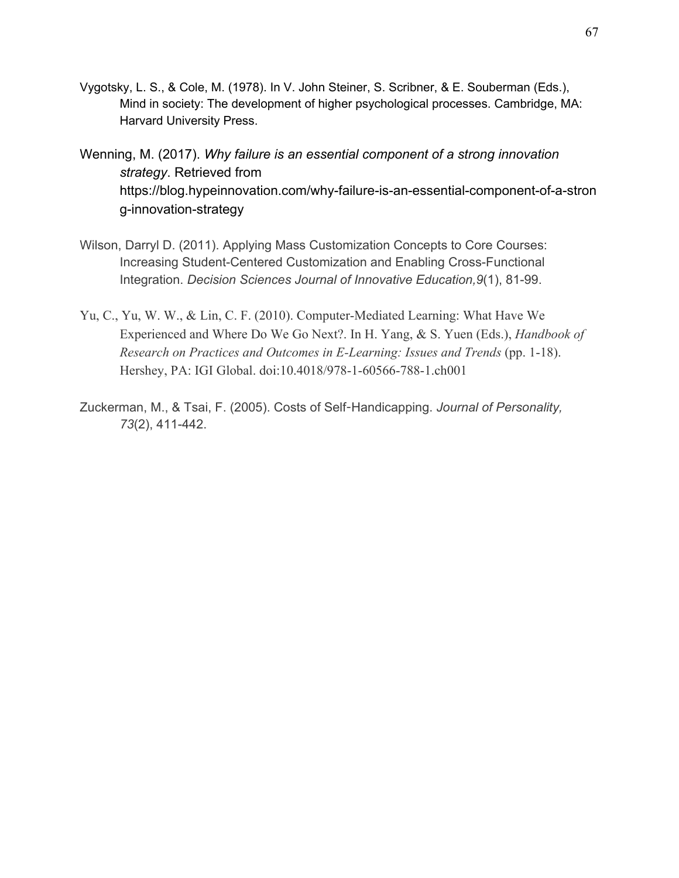- Vygotsky, L. S., & Cole, M. (1978). In V. John Steiner, S. Scribner, & E. Souberman (Eds.), Mind in society: The development of higher psychological processes. Cambridge, MA: Harvard University Press.
- Wenning, M. (2017). *Why failure is an essential component of a strong innovation strategy*. Retrieved from https://blog.hypeinnovation.com/why-failure-is-an-essential-component-of-a-stron g-innovation-strategy
- Wilson, Darryl D. (2011). Applying Mass Customization Concepts to Core Courses: Increasing Student-Centered Customization and Enabling Cross-Functional Integration. *Decision Sciences Journal of Innovative Education,9*(1), 81-99.
- Yu, C., Yu, W. W., & Lin, C. F. (2010). Computer-Mediated Learning: What Have We Experienced and Where Do We Go Next?. In H. Yang, & S. Yuen (Eds.), *Handbook of Research on Practices and Outcomes in E-Learning: Issues and Trends* (pp. 1-18). Hershey, PA: IGI Global. doi:10.4018/978-1-60566-788-1.ch001
- Zuckerman, M., & Tsai, F. (2005). Costs of Self-Handicapping. *Journal of Personality, 73*(2), 411-442.